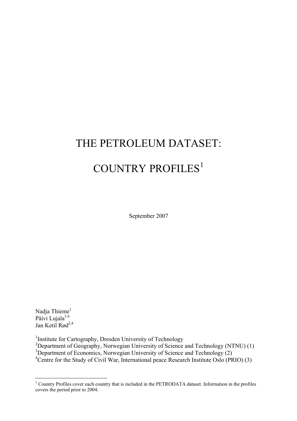# THE PETROLEUM DATASET: COUNTRY PROFILES<sup>1</sup>

September 2007

Nadja Thieme<sup>1</sup> Päivi Lujala<sup>3,4</sup> Jan Ketil Rød<sup>2,4</sup>

<sup>1</sup>Institute for Cartography, Dresden University of Technology<br><sup>2</sup>Department of Geography, Norwegian University of Science and Technology (NTNU) (1) <sup>3</sup>Department of Economics, Norwegian University of Science and Technology (2)

<sup>4</sup>Centre for the Study of Civil War, International peace Research Institute Oslo (PRIO) (3)

<sup>&</sup>lt;sup>1</sup> Country Profiles cover each country that is included in the PETRODATA dataset. Information in the profiles covers the period prior to 2004.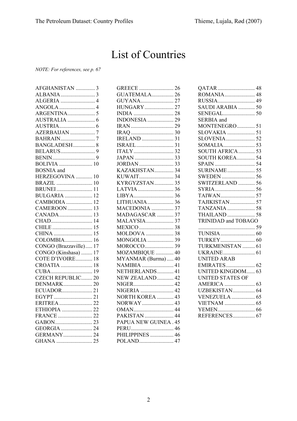# List of Countries

*NOTE: For references, see p. 67* 

| AFGHANISTAN                   | $\overline{3}$ |
|-------------------------------|----------------|
|                               |                |
|                               |                |
|                               |                |
|                               |                |
|                               |                |
|                               |                |
| AZERBAIJAN 7                  |                |
|                               |                |
| BANGLADESH 8                  |                |
|                               |                |
|                               |                |
| <b>BOLIVIA</b> 10             |                |
| <b>BOSNIA</b> and             |                |
| BOSNIA and<br>HERZEGOVINA  10 |                |
| BRAZIL  10                    |                |
| <b>BRUNEI</b> 11              |                |
| <b>BULGARIA</b> 12            |                |
| CAMBODIA  12                  |                |
| CAMEROON  13                  |                |
|                               |                |
|                               |                |
|                               |                |
|                               |                |
| COLOMBIA 16                   |                |
| CONGO (Brazzaville) 17        |                |
| CONGO (Kinshasa)  17          |                |
| COTE D'IVOIRE 18              |                |
| CROATIA  18<br>CUBA  19       |                |
|                               |                |
| CZECH REPUBLIC 20             |                |
| <b>DENMARK 20</b>             |                |
| ECUADOR21                     |                |
|                               |                |
| ERITREA22                     |                |
| ETHIOPIA  22                  |                |
|                               |                |
|                               |                |
| GEORGIA  24                   |                |
| GERMANY 24                    |                |
|                               |                |

| <b>GUATEMALA 26</b>   |  |
|-----------------------|--|
|                       |  |
| <b>HUNGARY</b> 27     |  |
|                       |  |
|                       |  |
|                       |  |
|                       |  |
| IRELAND  31           |  |
|                       |  |
|                       |  |
|                       |  |
|                       |  |
| KAZAKHSTAN 34         |  |
|                       |  |
| KYRGYZSTAN 35         |  |
|                       |  |
|                       |  |
| LITHUANIA 36          |  |
| MACEDONIA  37         |  |
| MADAGASCAR  37        |  |
| <b>MALAYSIA</b> 37    |  |
|                       |  |
| MOLDOVA  38           |  |
| MONGOLIA  39          |  |
|                       |  |
| MOZAMBIQUE  40        |  |
| MYANMAR (Burma) 40    |  |
| NAMIBIA  41           |  |
| NETHERLANDS 41        |  |
| NEW ZEALAND 42        |  |
|                       |  |
| NIGERIA  42           |  |
| NORTH KOREA  43       |  |
| NORWAY 43             |  |
|                       |  |
| PAKISTAN  44          |  |
| PAPUA NEW GUINEA . 45 |  |
|                       |  |
|                       |  |
|                       |  |
| POLAND 47             |  |

| ROMANIA 48<br>RUSSIA 49<br>SAUDI ARABIA  50<br>SERBIA and<br>MONTENEGRO 51<br>SLOVAKIA  51<br>SOUTH KOREA 54<br><b>SURINAME</b> 55<br>SWITZERLAND  56<br>TAJIKISTAN  57<br>TANZANIA  58<br><b>THAILAND</b> 58<br>TRINIDAD and TOBAGO<br>TURKMENISTAN  61<br><b>UNITED ARAB</b><br><b>EMIRATES 62</b><br><b>UNITED KINGDOM 63</b><br>UNITED STATES OF<br>UZBEKISTAN 64<br><b>VENEZUELA</b> 65<br><b>VIETNAM</b> 65<br>REFERENCES 67 |  |
|------------------------------------------------------------------------------------------------------------------------------------------------------------------------------------------------------------------------------------------------------------------------------------------------------------------------------------------------------------------------------------------------------------------------------------|--|
|                                                                                                                                                                                                                                                                                                                                                                                                                                    |  |
|                                                                                                                                                                                                                                                                                                                                                                                                                                    |  |
|                                                                                                                                                                                                                                                                                                                                                                                                                                    |  |
|                                                                                                                                                                                                                                                                                                                                                                                                                                    |  |
|                                                                                                                                                                                                                                                                                                                                                                                                                                    |  |
|                                                                                                                                                                                                                                                                                                                                                                                                                                    |  |
|                                                                                                                                                                                                                                                                                                                                                                                                                                    |  |
|                                                                                                                                                                                                                                                                                                                                                                                                                                    |  |
|                                                                                                                                                                                                                                                                                                                                                                                                                                    |  |
|                                                                                                                                                                                                                                                                                                                                                                                                                                    |  |
|                                                                                                                                                                                                                                                                                                                                                                                                                                    |  |
|                                                                                                                                                                                                                                                                                                                                                                                                                                    |  |
|                                                                                                                                                                                                                                                                                                                                                                                                                                    |  |
|                                                                                                                                                                                                                                                                                                                                                                                                                                    |  |
|                                                                                                                                                                                                                                                                                                                                                                                                                                    |  |
|                                                                                                                                                                                                                                                                                                                                                                                                                                    |  |
|                                                                                                                                                                                                                                                                                                                                                                                                                                    |  |
|                                                                                                                                                                                                                                                                                                                                                                                                                                    |  |
|                                                                                                                                                                                                                                                                                                                                                                                                                                    |  |
|                                                                                                                                                                                                                                                                                                                                                                                                                                    |  |
|                                                                                                                                                                                                                                                                                                                                                                                                                                    |  |
|                                                                                                                                                                                                                                                                                                                                                                                                                                    |  |
|                                                                                                                                                                                                                                                                                                                                                                                                                                    |  |
|                                                                                                                                                                                                                                                                                                                                                                                                                                    |  |
|                                                                                                                                                                                                                                                                                                                                                                                                                                    |  |
|                                                                                                                                                                                                                                                                                                                                                                                                                                    |  |
|                                                                                                                                                                                                                                                                                                                                                                                                                                    |  |
|                                                                                                                                                                                                                                                                                                                                                                                                                                    |  |
|                                                                                                                                                                                                                                                                                                                                                                                                                                    |  |
|                                                                                                                                                                                                                                                                                                                                                                                                                                    |  |
|                                                                                                                                                                                                                                                                                                                                                                                                                                    |  |
|                                                                                                                                                                                                                                                                                                                                                                                                                                    |  |
|                                                                                                                                                                                                                                                                                                                                                                                                                                    |  |
|                                                                                                                                                                                                                                                                                                                                                                                                                                    |  |
|                                                                                                                                                                                                                                                                                                                                                                                                                                    |  |
|                                                                                                                                                                                                                                                                                                                                                                                                                                    |  |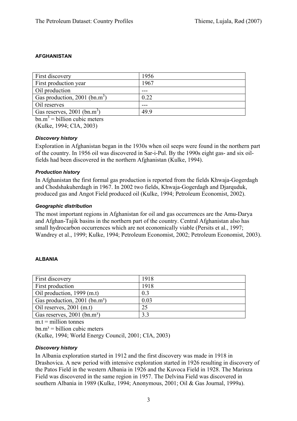# **AFGHANISTAN**

| 1956 |
|------|
| 1967 |
|      |
| 0.22 |
|      |
| 49.9 |
|      |

 $bm{m}$ <sup>3</sup> = billion cubic meters

(Kulke, 1994; CIA, 2003)

# *Discovery history*

Exploration in Afghanistan began in the 1930s when oil seeps were found in the northern part of the country. In 1956 oil was discovered in Sar-i-Pul. By the 1990s eight gas- and six oilfields had been discovered in the northern Afghanistan (Kulke, 1994).

# *Production history*

In Afghanistan the first formal gas production is reported from the fields Khwaja-Gogerdagh and Chodshakuherdagh in 1967. In 2002 two fields, Khwaja-Gogerdagh and Djarquduk, produced gas and Angot Field produced oil (Kulke, 1994; Petroleum Economist, 2002).

#### *Geographic distribution*

The most important regions in Afghanistan for oil and gas occurrences are the Amu-Darya and Afghan-Tajik basins in the northern part of the country. Central Afghanistan also has small hydrocarbon occurrences which are not economically viable (Persits et al., 1997; Wandrey et al., 1999; Kulke, 1994; Petroleum Economist, 2002; Petroleum Economist, 2003).

# **ALBANIA**

| First discovery                             | 1918 |
|---------------------------------------------|------|
| First production                            | 1918 |
| Oil production, 1999 (m.t)                  | 0.3  |
| Gas production, $2001$ (bn.m <sup>3</sup> ) | 0.03 |
| Oil reserves, $2001$ (m.t)                  | 25   |
| Gas reserves, 2001 (bn.m <sup>3</sup> )     | 33   |

 $m t =$  million tonnes

 $bn.m<sup>3</sup> = billion cubic meters$ 

(Kulke, 1994; World Energy Council, 2001; CIA, 2003)

#### *Discovery history*

In Albania exploration started in 1912 and the first discovery was made in 1918 in Drashovica. A new period with intensive exploration started in 1926 resulting in discovery of the Patos Field in the western Albania in 1926 and the Kuvoca Field in 1928. The Marinza Field was discovered in the same region in 1957. The Delvina Field was discovered in southern Albania in 1989 (Kulke, 1994; Anonymous, 2001; Oil & Gas Journal, 1999a).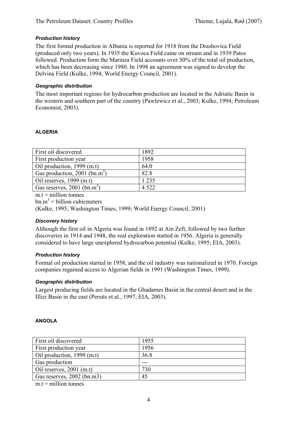# *Production history*

The first formal production in Albania is reported for 1918 from the Drashovica Field (produced only two years). In 1935 the Kuvoca Field came on stream and in 1939 Patos followed. Production form the Marinza Field accounts over 50% of the total oil production, which has been decreasing since 1980. In 1998 an agreement was signed to develop the Delvina Field (Kulke, 1994; World Energy Council, 2001).

#### *Geographic distribution*

The most important regions for hydrocarbon production are located in the Adriatic Basin in the western and southern part of the country (Pawlewicz et al., 2003; Kulke, 1994; Petroleum Economist, 2003).

#### **ALGERIA**

| First oil discovered                      | 1892    |
|-------------------------------------------|---------|
| First production year                     | 1958    |
| Oil production, 1999 (m.t)                | 64.0    |
| Gas production, 2001 (bn.m <sup>3</sup> ) | 82.8    |
| Oil reserves, $1999$ (m.t)                | 1 2 3 5 |
| Gas reserves, $2001$ (bn.m <sup>3</sup> ) | 4 5 2 2 |

 $m.t =$  million tonnes

 $bm{m}^3$  = billion cubicmeters

(Kulke, 1995; Washington Times, 1999; World Energy Council, 2001)

#### *Discovery history*

Although the first oil in Algeria was found in 1892 at Ain Zeft, followed by two further discoveries in 1914 and 1948, the real exploration started in 1956. Algeria is generally considered to have large unexplored hydrocarbon potential (Kulke, 1995; EIA, 2003).

#### *Production history*

Formal oil production started in 1958, and the oil industry was nationalized in 1970. Foreign companies regained access to Algerian fields in 1991 (Washington Times, 1999).

#### *Geographic distribution*

Largest producing fields are located in the Ghadames Basin in the central desert and in the Illizi Basin in the east (Persits et al., 1997; EIA, 2003).

#### **ANGOLA**

| First oil discovered       | 1955 |
|----------------------------|------|
| First production year      | 1956 |
| Oil production, 1999 (m.t) | 36.8 |
| Gas production             |      |
| Oil reserves, $2001$ (m.t) | 730  |
| Gas reserves, 2002 (bn.m3) | 45   |

 $m.t =$  million tonnes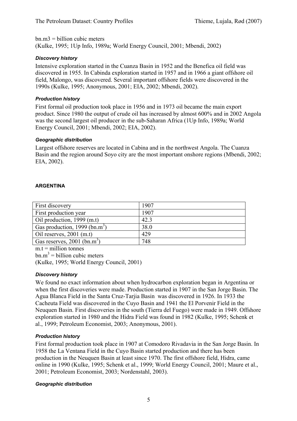$bn.m3 = billion cubic meters$ (Kulke, 1995; 1Up Info, 1989a; World Energy Council, 2001; Mbendi, 2002)

# *Discovery history*

Intensive exploration started in the Cuanza Basin in 1952 and the Benefica oil field was discovered in 1955. In Cabinda exploration started in 1957 and in 1966 a giant offshore oil field, Malongo, was discovered. Several important offshore fields were discovered in the 1990s (Kulke, 1995; Anonymous, 2001; EIA, 2002; Mbendi, 2002).

# *Production history*

First formal oil production took place in 1956 and in 1973 oil became the main export product. Since 1980 the output of crude oil has increased by almost 600% and in 2002 Angola was the second largest oil producer in the sub-Saharan Africa (1Up Info, 1989a; World Energy Council, 2001; Mbendi, 2002; EIA, 2002).

# *Geographic distribution*

Largest offshore reserves are located in Cabina and in the northwest Angola. The Cuanza Basin and the region around Soyo city are the most important onshore regions (Mbendi, 2002; EIA, 2002).

# **ARGENTINA**

| First discovery                                                                                                                                                                                                                                                     | 1907 |
|---------------------------------------------------------------------------------------------------------------------------------------------------------------------------------------------------------------------------------------------------------------------|------|
| First production year                                                                                                                                                                                                                                               | 1907 |
| Oil production, 1999 (m.t)                                                                                                                                                                                                                                          | 42.3 |
| Gas production, 1999 (bn.m <sup>3</sup> )                                                                                                                                                                                                                           | 38.0 |
| Oil reserves, $2001$ (m.t)                                                                                                                                                                                                                                          | 429  |
| Gas reserves, $2001$ (bn.m <sup>3</sup> )                                                                                                                                                                                                                           | 748  |
| $\sim$ 0.000 $\sim$ 0.000 $\sim$ 0.000 $\sim$ 0.000 $\sim$ 0.000 $\sim$ 0.000 $\sim$ 0.000 $\sim$ 0.000 $\sim$ 0.000 $\sim$ 0.000 $\sim$ 0.000 $\sim$ 0.000 $\sim$ 0.000 $\sim$ 0.000 $\sim$ 0.000 $\sim$ 0.000 $\sim$ 0.000 $\sim$ 0.000 $\sim$ 0.000 $\sim$ 0.000 |      |

 $m.t =$  million tonnes  $bm{m}^3$  = billion cubic meters (Kulke, 1995; World Energy Council, 2001)

# *Discovery history*

We found no exact information about when hydrocarbon exploration began in Argentina or when the first discoveries were made. Production started in 1907 in the San Jorge Basin. The Agua Blanca Field in the Santa Cruz-Tarjia Basin was discovered in 1926. In 1933 the Cacheuta Field was discovered in the Cuyo Basin and 1941 the El Porvenir Field in the Neuquen Basin. First discoveries in the south (Tierra del Fuego) were made in 1949. Offshore exploration started in 1980 and the Hidra Field was found in 1982 (Kulke, 1995; Schenk et al., 1999; Petroleum Economist, 2003; Anonymous, 2001).

# *Production history*

First formal production took place in 1907 at Comodoro Rivadavia in the San Jorge Basin. In 1958 the La Ventana Field in the Cuyo Basin started production and there has been production in the Neuquen Basin at least since 1970. The first offshore field, Hidra, came online in 1990 (Kulke, 1995; Schenk et al., 1999; World Energy Council, 2001; Maure et al., 2001; Petroleum Economist, 2003; Nordenstahl, 2003).

# *Geographic distribution*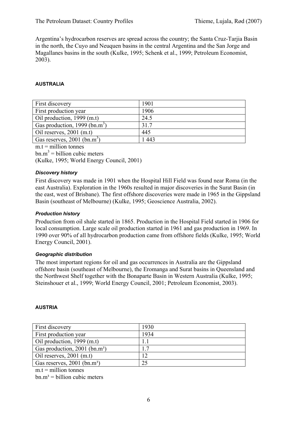Argentina's hydrocarbon reserves are spread across the country; the Santa Cruz-Tarjia Basin in the north, the Cuyo and Neuquen basins in the central Argentina and the San Jorge and Magallanes basins in the south (Kulke, 1995; Schenk et al., 1999; Petroleum Economist, 2003).

#### **AUSTRALIA**

| First discovery                           | 1901  |
|-------------------------------------------|-------|
| First production year                     | 1906  |
| Oil production, 1999 (m.t)                | 24.5  |
| Gas production, 1999 (bn.m <sup>3</sup> ) | 31.7  |
| Oil reserves, $2001$ (m.t)                | 445   |
| Gas reserves, $2001$ (bn.m <sup>3</sup> ) | 1 443 |
|                                           |       |

 $m.t =$  million tonnes  $bm{m}^3$  = billion cubic meters (Kulke, 1995; World Energy Council, 2001)

#### *Discovery history*

First discovery was made in 1901 when the Hospital Hill Field was found near Roma (in the east Australia). Exploration in the 1960s resulted in major discoveries in the Surat Basin (in the east, west of Brisbane). The first offshore discoveries were made in 1965 in the Gippsland Basin (southeast of Melbourne) (Kulke, 1995; Geoscience Australia, 2002).

#### *Production history*

Production from oil shale started in 1865. Production in the Hospital Field started in 1906 for local consumption. Large scale oil production started in 1961 and gas production in 1969. In 1990 over 90% of all hydrocarbon production came from offshore fields (Kulke, 1995; World Energy Council, 2001).

#### *Geographic distribution*

The most important regions for oil and gas occurrences in Australia are the Gippsland offshore basin (southeast of Melbourne), the Eromanga and Surat basins in Queensland and the Northwest Shelf together with the Bonaparte Basin in Western Australia (Kulke, 1995; Steinshouer et al., 1999; World Energy Council, 2001; Petroleum Economist, 2003).

#### **AUSTRIA**

| <b>First discovery</b>                      | 1930 |
|---------------------------------------------|------|
| First production year                       | 1934 |
| Oil production, $1999$ (m.t)                |      |
| Gas production, $2001$ (bn.m <sup>3</sup> ) | 17   |
| Oil reserves, $2001$ (m.t)                  | 12   |
| Gas reserves, 2001 (bn.m <sup>3</sup> )     | 25   |

 $m t =$  million tonnes

 $bn.m<sup>3</sup> = billion cubic meters$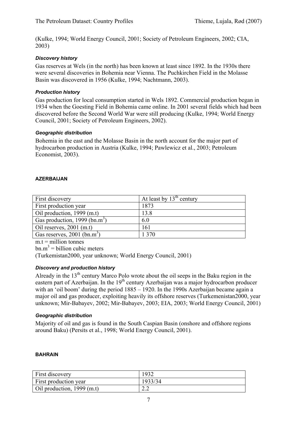(Kulke, 1994; World Energy Council, 2001; Society of Petroleum Engineers, 2002; CIA, 2003)

# *Discovery history*

Gas reserves at Wels (in the north) has been known at least since 1892. In the 1930s there were several discoveries in Bohemia near Vienna. The Puchkirchen Field in the Molasse Basin was discovered in 1956 (Kulke, 1994; Nachtmann, 2003).

# *Production history*

Gas production for local consumption started in Wels 1892. Commercial production began in 1934 when the Goesting Field in Bohemia came online. In 2001 several fields which had been discovered before the Second World War were still producing (Kulke, 1994; World Energy Council, 2001; Society of Petroleum Engineers, 2002).

# *Geographic distribution*

Bohemia in the east and the Molasse Basin in the north account for the major part of hydrocarbon production in Austria (Kulke, 1994; Pawlewicz et al., 2003; Petroleum Economist, 2003).

# **AZERBAIJAN**

| First discovery                           | At least by $13th$ century |
|-------------------------------------------|----------------------------|
| First production year                     | 1873                       |
| Oil production, $1999$ (m.t)              | 13.8                       |
| Gas production, 1999 (bn.m <sup>3</sup> ) | 6.0                        |
| Oil reserves, $2001$ (m.t)                | 161                        |
| Gas reserves, $2001$ (bn.m <sup>3</sup> ) | 1 370                      |

 $m.t =$  million tonnes

 $bm{m}^3$  = billion cubic meters

(Turkemistan2000, year unknown; World Energy Council, 2001)

# *Discovery and production history*

Already in the 13<sup>th</sup> century Marco Polo wrote about the oil seeps in the Baku region in the eastern part of Azerbaijan. In the  $19<sup>th</sup>$  century Azerbaijan was a major hydrocarbon producer with an 'oil boom' during the period  $1885 - 1920$ . In the 1990s Azerbaijan became again a major oil and gas producer, exploiting heavily its offshore reserves (Turkemenistan2000, year unknown; Mir-Babayev, 2002; Mir-Babayev, 2003; EIA, 2003; World Energy Council, 2001)

# *Geographic distribution*

Majority of oil and gas is found in the South Caspian Basin (onshore and offshore regions around Baku) (Persits et al., 1998; World Energy Council, 2001).

#### **BAHRAIN**

| First discovery              | 1932          |
|------------------------------|---------------|
| <b>First production year</b> | 1933/34       |
| Oil production, $1999$ (m.t) | $\cap$<br>2.Z |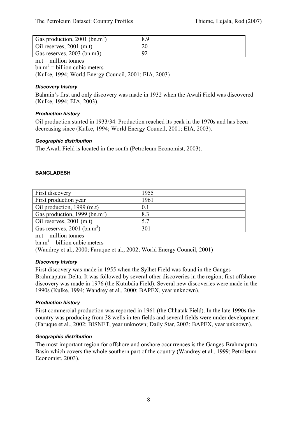| Gas production, 2001 (bn.m <sup>3</sup> ) | 8.9 |
|-------------------------------------------|-----|
| Oil reserves, $2001$ (m.t)                |     |
| Gas reserves, 2003 (bn.m3)                |     |

 $m.t =$  million tonnes  $bm{m}^3$  = billion cubic meters (Kulke, 1994; World Energy Council, 2001; EIA, 2003)

# *Discovery history*

Bahrain's first and only discovery was made in 1932 when the Awali Field was discovered (Kulke, 1994; EIA, 2003).

# *Production history*

Oil production started in 1933/34. Production reached its peak in the 1970s and has been decreasing since (Kulke, 1994; World Energy Council, 2001; EIA, 2003).

# *Geographic distribution*

The Awali Field is located in the south (Petroleum Economist, 2003).

# **BANGLADESH**

| First discovery                           | 1955 |
|-------------------------------------------|------|
| First production year                     | 1961 |
| Oil production, 1999 (m.t)                | 0.1  |
| Gas production, 1999 (bn.m <sup>3</sup> ) | 8.3  |
| Oil reserves, $2001$ (m.t)                | 5.7  |
| Gas reserves, $2001$ (bn.m <sup>3</sup> ) | 301  |

 $m.t =$  million tonnes

 $bm{m}^3$  = billion cubic meters

(Wandrey et al., 2000; Faruque et al., 2002; World Energy Council, 2001)

# *Discovery history*

First discovery was made in 1955 when the Sylhet Field was found in the Ganges-Brahmaputra Delta. It was followed by several other discoveries in the region; first offshore discovery was made in 1976 (the Kutubdia Field). Several new discoveries were made in the 1990s (Kulke, 1994; Wandrey et al., 2000; BAPEX, year unknown).

# *Production history*

First commercial production was reported in 1961 (the Chhatak Field). In the late 1990s the country was producing from 38 wells in ten fields and several fields were under development (Faruque et al., 2002; BISNET, year unknown; Daily Star, 2003; BAPEX, year unknown).

# *Geographic distribution*

The most important region for offshore and onshore occurrences is the Ganges-Brahmaputra Basin which covers the whole southern part of the country (Wandrey et al., 1999; Petroleum Economist, 2003).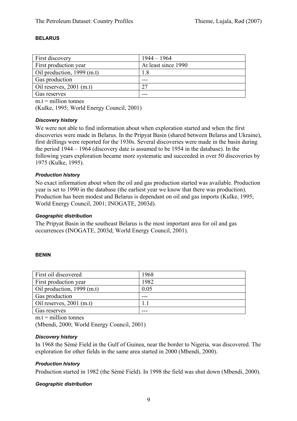#### **BELARUS**

| <b>First discovery</b>       | $1944 - 1964$       |
|------------------------------|---------------------|
|                              |                     |
| <b>First production year</b> | At least since 1990 |
| Oil production, $1999$ (m.t) | 1.8                 |
| Gas production               |                     |
| Oil reserves, $2001$ (m.t)   | 27                  |
| Gas reserves                 |                     |

 $m.t = *m*$ illion tonnes

(Kulke, 1995; World Energy Council, 2001)

#### *Discovery history*

We were not able to find information about when exploration started and when the first discoveries were made in Belarus. In the Pripyat Basin (shared between Belarus and Ukraine), first drillings were reported for the 1930s. Several discoveries were made in the basin during the period 1944 – 1964 (discovery date is assumed to be 1954 in the database). In the following years exploration became more systematic and succeeded in over 50 discoveries by 1975 (Kulke, 1995).

#### *Production history*

No exact information about when the oil and gas production started was available. Production year is set to 1990 in the database (the earliest year we know that there was production). Production has been modest and Belarus is dependant on oil and gas imports (Kulke, 1995; World Energy Council, 2001; INOGATE, 2003d).

#### *Geographic distribution*

The Pripyat Basin in the southeast Belarus is the most important area for oil and gas occurrences (INOGATE, 2003d; World Energy Council, 2001).

#### **BENIN**

| Gas reserves               |      |
|----------------------------|------|
| Oil reserves, $2001$ (m.t) |      |
| Gas production             |      |
| Oil production, 1999 (m.t) | 0.05 |
| First production year      | 1982 |
| First oil discovered       | 1968 |
|                            |      |

 $m t =$  million tonnes

(Mbendi, 2000; World Energy Council, 2001)

#### *Discovery history*

In 1968 the Sèmè Field in the Gulf of Guinea, near the border to Nigeria, was discovered. The exploration for other fields in the same area started in 2000 (Mbendi, 2000).

# *Production history*

Production started in 1982 (the Sèmè Field). In 1998 the field was shut down (Mbendi, 2000).

#### *Geographic distribution*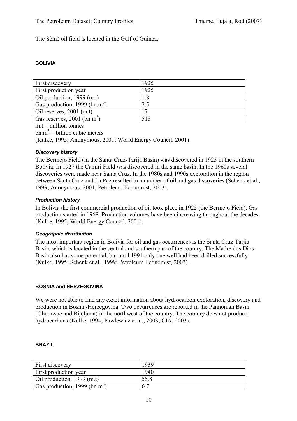The Sèmè oil field is located in the Gulf of Guinea.

#### **BOLIVIA**

| First discovery                           | 1925 |
|-------------------------------------------|------|
| First production year                     | 1925 |
| Oil production, 1999 (m.t)                | 1.8  |
| Gas production, 1999 (bn.m <sup>3</sup> ) | 2.5  |
| Oil reserves, $2001$ (m.t)                | 17   |
| Gas reserves, $2001$ (bn.m <sup>3</sup> ) | 518  |

 $m.t = *m*$ illion tonnes

 $bm{m}^3$  = billion cubic meters

(Kulke, 1995; Anonymous, 2001; World Energy Council, 2001)

#### *Discovery history*

The Bermejo Field (in the Santa Cruz-Tarija Basin) was discovered in 1925 in the southern Bolivia. In 1927 the Camiri Field was discovered in the same basin. In the 1960s several discoveries were made near Santa Cruz. In the 1980s and 1990s exploration in the region between Santa Cruz and La Paz resulted in a number of oil and gas discoveries (Schenk et al., 1999; Anonymous, 2001; Petroleum Economist, 2003).

#### *Production history*

In Bolivia the first commercial production of oil took place in 1925 (the Bermejo Field). Gas production started in 1968. Production volumes have been increasing throughout the decades (Kulke, 1995; World Energy Council, 2001).

#### *Geographic distribution*

The most important region in Bolivia for oil and gas occurrences is the Santa Cruz-Tarjia Basin, which is located in the central and southern part of the country. The Madre dos Dios Basin also has some potential, but until 1991 only one well had been drilled successfully (Kulke, 1995; Schenk et al., 1999; Petroleum Economist, 2003).

#### **BOSNIA and HERZEGOVINA**

We were not able to find any exact information about hydrocarbon exploration, discovery and production in Bosnia-Herzegovina. Two occurrences are reported in the Pannonian Basin (Obudovac and Bijeljuna) in the northwest of the country. The country does not produce hydrocarbons (Kulke, 1994; Pawlewicz et al., 2003; CIA, 2003).

#### **BRAZIL**

| First discovery                           | 1939        |
|-------------------------------------------|-------------|
| First production year                     | 1940        |
| Oil production, 1999 (m.t)                | 55.8        |
| Gas production, 1999 (bn.m <sup>3</sup> ) | $6^{\circ}$ |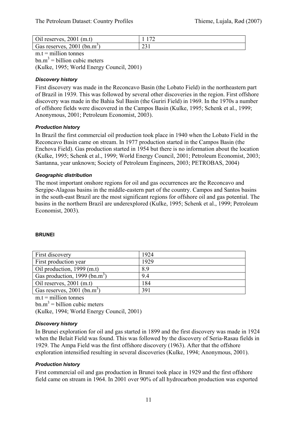| Oil reserves, $2001$ (m.t)                |                       |
|-------------------------------------------|-----------------------|
| Gas reserves, $2001$ (bn.m <sup>3</sup> ) | $\mathcal{L}$<br>ا رے |

 $m.t =$  million tonnes  $bm{m}^3$  = billion cubic meters (Kulke, 1995; World Energy Council, 2001)

# *Discovery history*

First discovery was made in the Reconcavo Basin (the Lobato Field) in the northeastern part of Brazil in 1939. This was followed by several other discoveries in the region. First offshore discovery was made in the Bahia Sul Basin (the Guriri Field) in 1969. In the 1970s a number of offshore fields were discovered in the Campos Basin (Kulke, 1995; Schenk et al., 1999; Anonymous, 2001; Petroleum Economist, 2003).

# *Production history*

In Brazil the first commercial oil production took place in 1940 when the Lobato Field in the Reconcavo Basin came on stream. In 1977 production started in the Campos Basin (the Enchova Field). Gas production started in 1954 but there is no information about the location (Kulke, 1995; Schenk et al., 1999; World Energy Council, 2001; Petroleum Economist, 2003; Santanna, year unknown; Society of Petroleum Engineers, 2003; PETROBAS, 2004)

# *Geographic distribution*

The most important onshore regions for oil and gas occurrences are the Reconcavo and Sergipe-Alagoas basins in the middle-eastern part of the country. Campos and Santos basins in the south-east Brazil are the most significant regions for offshore oil and gas potential. The basins in the northern Brazil are underexplored (Kulke, 1995; Schenk et al., 1999; Petroleum Economist, 2003).

# **BRUNEI**

| First discovery                           | 1924 |
|-------------------------------------------|------|
| First production year                     | 1929 |
| Oil production, 1999 (m.t)                | 8.9  |
| Gas production, 1999 (bn.m <sup>3</sup> ) | 9.4  |
| Oil reserves, $2001$ (m.t)                | 184  |
| Gas reserves, $2001$ (bn.m <sup>3</sup> ) | 391  |

 $m.t =$  million tonnes  $bm{m}^3$  = billion cubic meters (Kulke, 1994; World Energy Council, 2001)

# *Discovery history*

In Brunei exploration for oil and gas started in 1899 and the first discovery was made in 1924 when the Belait Field was found. This was followed by the discovery of Seria-Rasau fields in 1929. The Ampa Field was the first offshore discovery (1963). After that the offshore exploration intensified resulting in several discoveries (Kulke, 1994; Anonymous, 2001).

# *Production history*

First commercial oil and gas production in Brunei took place in 1929 and the first offshore field came on stream in 1964. In 2001 over 90% of all hydrocarbon production was exported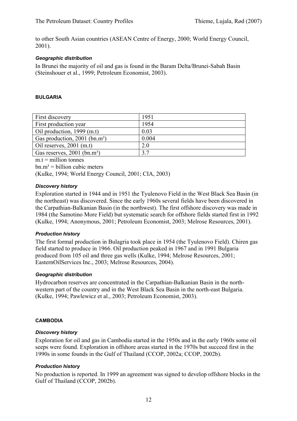to other South Asian countries (ASEAN Centre of Energy, 2000; World Energy Council, 2001).

#### *Geographic distribution*

In Brunei the majority of oil and gas is found in the Baram Delta/Brunei-Sabah Basin (Steinshouer et al., 1999; Petroleum Economist, 2003).

#### **BULGARIA**

| First discovery                             | 1951  |
|---------------------------------------------|-------|
| First production year                       | 1954  |
| Oil production, 1999 (m.t)                  | 0.03  |
| Gas production, $2001$ (bn.m <sup>3</sup> ) | 0.004 |
| Oil reserves, $2001$ (m.t)                  | 2.0   |
| Gas reserves, 2001 (bn.m <sup>3</sup> )     | 37    |
|                                             |       |

 $m.t =$  million tonnes  $bm.m^3 = \text{billion cubic meters}$ (Kulke, 1994; World Energy Council, 2001; CIA, 2003)

#### *Discovery history*

Exploration started in 1944 and in 1951 the Tyulenovo Field in the West Black Sea Basin (in the northeast) was discovered. Since the early 1960s several fields have been discovered in the Carpathian-Balkanian Basin (in the northwest). The first offshore discovery was made in 1984 (the Samotino More Field) but systematic search for offshore fields started first in 1992 (Kulke, 1994; Anonymous, 2001; Petroleum Economist, 2003; Melrose Resources, 2001).

# *Production history*

The first formal production in Bulagria took place in 1954 (the Tyulenovo Field). Chiren gas field started to produce in 1966. Oil production peaked in 1967 and in 1991 Bulgaria produced from 105 oil and three gas wells (Kulke, 1994; Melrose Resources, 2001; EasternOilServices Inc., 2003; Melrose Resources, 2004).

#### *Geographic distribution*

Hydrocarbon reserves are concentrated in the Carpathian-Balkanian Basin in the northwestern part of the country and in the West Black Sea Basin in the north-east Bulgaria. (Kulke, 1994; Pawlewicz et al., 2003; Petroleum Economist, 2003).

#### **CAMBODIA**

# *Discovery history*

Exploration for oil and gas in Cambodia started in the 1950s and in the early 1960s some oil seeps were found. Exploration in offshore areas started in the 1970s but succeed first in the 1990s in some founds in the Gulf of Thailand (CCOP, 2002a; CCOP, 2002b).

# *Production history*

No production is reported. In 1999 an agreement was signed to develop offshore blocks in the Gulf of Thailand (CCOP, 2002b).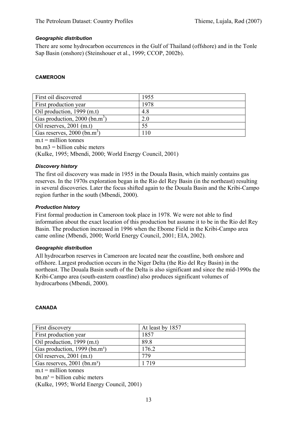#### *Geographic distribution*

There are some hydrocarbon occurrences in the Gulf of Thailand (offshore) and in the Tonle Sap Basin (onshore) (Steinshouer et al., 1999; CCOP, 2002b).

#### **CAMEROON**

| First oil discovered                      | 1955 |
|-------------------------------------------|------|
| First production year                     | 1978 |
| Oil production, $1999$ (m.t)              | 4.8  |
| Gas production, 2000 (bn.m <sup>3</sup> ) | 2.0  |
| Oil reserves, $2001$ (m.t)                | 55   |
| Gas reserves, $2000$ (bn.m <sup>3</sup> ) | l 10 |

 $m.t =$  million tonnes

 $bn.m3 = billion cubic meters$ 

(Kulke, 1995; Mbendi, 2000; World Energy Council, 2001)

#### *Discovery history*

The first oil discovery was made in 1955 in the Douala Basin, which mainly contains gas reserves. In the 1970s exploration began in the Rio del Rey Basin (in the northeast) resulting in several discoveries. Later the focus shifted again to the Douala Basin and the Kribi-Campo region further in the south (Mbendi, 2000).

#### *Production history*

First formal production in Cameroon took place in 1978. We were not able to find information about the exact location of this production but assume it to be in the Rio del Rey Basin. The production increased in 1996 when the Ebome Field in the Kribi-Campo area came online (Mbendi, 2000; World Energy Council, 2001; EIA, 2002).

#### *Geographic distribution*

All hydrocarbon reserves in Cameroon are located near the coastline, both onshore and offshore. Largest production occurs in the Niger Delta (the Rio del Rey Basin) in the northeast. The Douala Basin south of the Delta is also significant and since the mid-1990s the Kribi-Campo area (south-eastern coastline) also produces significant volumes of hydrocarbons (Mbendi, 2000).

#### **CANADA**

| First discovery                           | At least by 1857 |
|-------------------------------------------|------------------|
| First production year                     | 1857             |
| Oil production, 1999 (m.t)                | 89.8             |
| Gas production, 1999 (bn.m <sup>3</sup> ) | 176.2            |
| Oil reserves, $2001$ (m.t)                | 779              |
| Gas reserves, 2001 (bn.m <sup>3</sup> )   | 1 7 1 9          |

 $m t =$  million tonnes

 $bn.m<sup>3</sup> = billion cubic meters$ 

(Kulke, 1995; World Energy Council, 2001)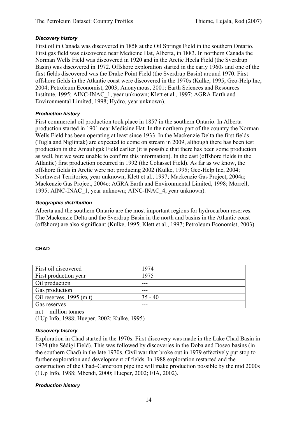# *Discovery history*

First oil in Canada was discovered in 1858 at the Oil Springs Field in the southern Ontario. First gas field was discovered near Medicine Hat, Alberta, in 1883. In northern Canada the Norman Wells Field was discovered in 1920 and in the Arctic Hecla Field (the Sverdrup Basin) was discovered in 1972. Offshore exploration started in the early 1960s and one of the first fields discovered was the Drake Point Field (the Sverdrup Basin) around 1970. First offshore fields in the Atlantic coast were discovered in the 1970s (Kulke, 1995; Geo-Help Inc, 2004; Petroleum Economist, 2003; Anonymous, 2001; Earth Sciences and Resources Institute, 1995; AINC-INAC\_1, year unknown; Klett et al., 1997; AGRA Earth and Environmental Limited, 1998; Hydro, year unknown).

# *Production history*

First commercial oil production took place in 1857 in the southern Ontario. In Alberta production started in 1901 near Medicine Hat. In the northern part of the country the Norman Wells Field has been operating at least since 1933. In the Mackenzie Delta the first fields (Tugla and Niglintak) are expected to come on stream in 2009, although there has been test production in the Amauligak Field earlier (it is possible that there has been some production as well, but we were unable to confirm this information). In the east (offshore fields in the Atlantic) first production occurred in 1992 (the Cohasset Field). As far as we know, the offshore fields in Arctic were not producing 2002 (Kulke, 1995; Geo-Help Inc, 2004; Northwest Territories, year unknown; Klett et al., 1997; Mackenzie Gas Project, 2004a; Mackenzie Gas Project, 2004c; AGRA Earth and Environmental Limited, 1998; Morrell, 1995; AINC-INAC\_1, year unknown; AINC-INAC\_4, year unknown).

# *Geographic distribution*

Alberta and the southern Ontario are the most important regions for hydrocarbon reserves. The Mackenzie Delta and the Sverdrup Basin in the north and basins in the Atlantic coast (offshore) are also significant (Kulke, 1995; Klett et al., 1997; Petroleum Economist, 2003).

# **CHAD**

| First oil discovered       | 1974      |
|----------------------------|-----------|
| First production year      | 1975      |
| Oil production             |           |
| Gas production             |           |
| Oil reserves, $1995$ (m.t) | $35 - 40$ |
| Gas reserves               |           |

 $m_t$  = million tonnes

(1Up Info, 1988; Hueper, 2002; Kulke, 1995)

# *Discovery history*

Exploration in Chad started in the 1970s. First discovery was made in the Lake Chad Basin in 1974 (the Sédigi Field). This was followed by discoveries in the Doba and Doseo basins (in the southern Chad) in the late 1970s. Civil war that broke out in 1979 effectively put stop to further exploration and development of fields. In 1988 exploration restarted and the construction of the Chad–Cameroon pipeline will make production possible by the mid 2000s (1Up Info, 1988; Mbendi, 2000; Hueper, 2002; EIA, 2002).

# *Production history*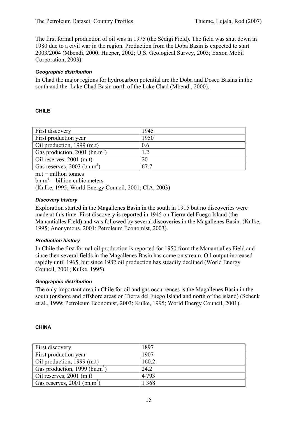The first formal production of oil was in 1975 (the Sédigi Field). The field was shut down in 1980 due to a civil war in the region. Production from the Doba Basin is expected to start 2003/2004 (Mbendi, 2000; Hueper, 2002; U.S. Geological Survey, 2003; Exxon Mobil Corporation, 2003).

#### *Geographic distribution*

In Chad the major regions for hydrocarbon potential are the Doba and Doseo Basins in the south and the Lake Chad Basin north of the Lake Chad (Mbendi, 2000).

#### **CHILE**

| First discovery                           | 1945 |
|-------------------------------------------|------|
| First production year                     | 1950 |
| Oil production, 1999 (m.t)                | 0.6  |
| Gas production, 2001 (bn.m <sup>3</sup> ) | 1.2  |
| Oil reserves, $2001$ (m.t)                | 20   |
| Gas reserves, $2003$ (bn.m <sup>3</sup> ) | 67.7 |

 $m_t$  = million tonnes

 $bm{m}^3$  = billion cubic meters

(Kulke, 1995; World Energy Council, 2001; CIA, 2003)

#### *Discovery history*

Exploration started in the Magallenes Basin in the south in 1915 but no discoveries were made at this time. First discovery is reported in 1945 on Tierra del Fuego Island (the Manantialles Field) and was followed by several discoveries in the Magallenes Basin. (Kulke, 1995; Anonymous, 2001; Petroleum Economist, 2003).

# *Production history*

In Chile the first formal oil production is reported for 1950 from the Manantialles Field and since then several fields in the Magallenes Basin has come on stream. Oil output increased rapidly until 1965, but since 1982 oil production has steadily declined (World Energy Council, 2001; Kulke, 1995).

#### *Geographic distribution*

The only important area in Chile for oil and gas occurrences is the Magallenes Basin in the south (onshore and offshore areas on Tierra del Fuego Island and north of the island) (Schenk et al., 1999; Petroleum Economist, 2003; Kulke, 1995; World Energy Council, 2001).

#### **CHINA**

| First discovery                           | 1897    |
|-------------------------------------------|---------|
| First production year                     | 1907    |
| Oil production, 1999 (m.t)                | 160.2   |
| Gas production, 1999 (bn.m <sup>3</sup> ) | 24.2    |
| Oil reserves, $2001$ (m.t)                | 4 7 9 3 |
| Gas reserves, $2001$ (bn.m <sup>3</sup> ) | 1 368   |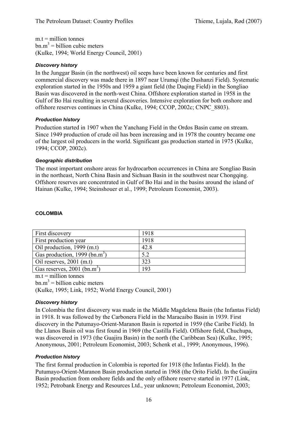$m.t =$  million tonnes  $bm{m}^3$  = billion cubic meters (Kulke, 1994; World Energy Council, 2001)

# *Discovery history*

In the Junggar Basin (in the northwest) oil seeps have been known for centuries and first commercial discovery was made there in 1897 near Urumqi (the Dushanzi Field). Systematic exploration started in the 1950s and 1959 a giant field (the Daqing Field) in the Songliao Basin was discovered in the north-west China. Offshore exploration started in 1958 in the Gulf of Bo Hai resulting in several discoveries. Intensive exploration for both onshore and offshore reserves continues in China (Kulke, 1994; CCOP, 2002c; CNPC\_8803).

#### *Production history*

Production started in 1907 when the Yanchang Field in the Ordos Basin came on stream. Since 1949 production of crude oil has been increasing and in 1978 the country became one of the largest oil producers in the world. Significant gas production started in 1975 (Kulke, 1994; CCOP, 2002c).

#### *Geographic distribution*

The most important onshore areas for hydrocarbon occurrences in China are Songliao Basin in the northeast, North China Basin and Sichuan Basin in the southwest near Chongqing. Offshore reserves are concentrated in Gulf of Bo Hai and in the basins around the island of Hainan (Kulke, 1994; Steinshouer et al., 1999; Petroleum Economist, 2003).

| <b>First discovery</b>                    | 1918 |
|-------------------------------------------|------|
| First production year                     | 1918 |
| $\vert$ Oil production, 1999 (m.t)        | 42.8 |
| Gas production, 1999 (bn.m <sup>3</sup> ) | 5.2  |
| Oil reserves, $2001$ (m.t)                | 323  |
| Gas reserves, 2001 (bn.m <sup>3</sup> )   | 193  |

#### **COLOMBIA**

 $m.t =$  million tonnes

 $bm{m}^3$  = billion cubic meters

(Kulke, 1995; Link, 1952; World Energy Council, 2001)

# *Discovery history*

In Colombia the first discovery was made in the Middle Magdelena Basin (the Infantas Field) in 1918. It was followed by the Carbonera Field in the Maracaibo Basin in 1939. First discovery in the Putumayo-Orient-Maranon Basin is reported in 1959 (the Caribe Field). In the Llanos Basin oil was first found in 1969 (the Castilla Field). Offshore field, Chuchupa, was discovered in 1973 (the Guajira Basin) in the north (the Caribbean Sea) (Kulke, 1995; Anonymous, 2001; Petroleum Economist, 2003; Schenk et al., 1999; Anonymous, 1996).

# *Production history*

The first formal production in Colombia is reported for 1918 (the Infantas Field). In the Putumayo-Orient-Maranon Basin production started in 1968 (the Orito Field). In the Guajira Basin production from onshore fields and the only offshore reserve started in 1977 (Link, 1952; Petrobank Energy and Resources Ltd., year unknown; Petroleum Economist, 2003;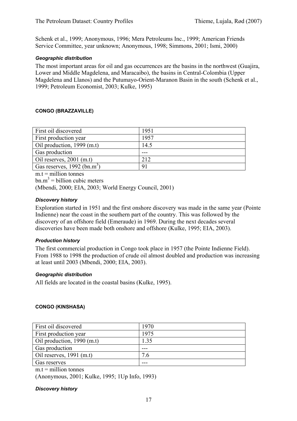Schenk et al., 1999; Anonymous, 1996; Mera Petroleums Inc., 1999; American Friends Service Committee, year unknown; Anonymous, 1998; Simmons, 2001; Ismi, 2000)

# *Geographic distribution*

The most important areas for oil and gas occurrences are the basins in the northwest (Guajira, Lower and Middle Magdelena, and Maracaibo), the basins in Central-Colombia (Upper Magdelena and Llanos) and the Putumayo-Orient-Maranon Basin in the south (Schenk et al., 1999; Petroleum Economist, 2003; Kulke, 1995)

# **CONGO (BRAZZAVILLE)**

| First oil discovered                      | 1951 |
|-------------------------------------------|------|
| First production year                     | 1957 |
| Oil production, 1999 (m.t)                | 14.5 |
| Gas production                            |      |
| Oil reserves, $2001$ (m.t)                | 212  |
| Gas reserves, $1992$ (bn.m <sup>3</sup> ) | 91   |

 $m_t$  = million tonnes

 $bm{m}^3$  = billion cubic meters

(Mbendi, 2000; EIA, 2003; World Energy Council, 2001)

#### *Discovery history*

Exploration started in 1951 and the first onshore discovery was made in the same year (Pointe Indienne) near the coast in the southern part of the country. This was followed by the discovery of an offshore field (Emeraude) in 1969. During the next decades several discoveries have been made both onshore and offshore (Kulke, 1995; EIA, 2003).

#### *Production history*

The first commercial production in Congo took place in 1957 (the Pointe Indienne Field). From 1988 to 1998 the production of crude oil almost doubled and production was increasing at least until 2003 (Mbendi, 2000; EIA, 2003).

#### *Geographic distribution*

All fields are located in the coastal basins (Kulke, 1995).

# **CONGO (KINSHASA)**

| First oil discovered       | 1970 |
|----------------------------|------|
| First production year      | 1975 |
| Oil production, 1990 (m.t) | 1.35 |
| Gas production             |      |
| Oil reserves, $1991$ (m.t) | 7.6  |
| Gas reserves               |      |
|                            |      |

 $m.t = *million tonnes*$ 

(Anonymous, 2001; Kulke, 1995; 1Up Info, 1993)

*Discovery history*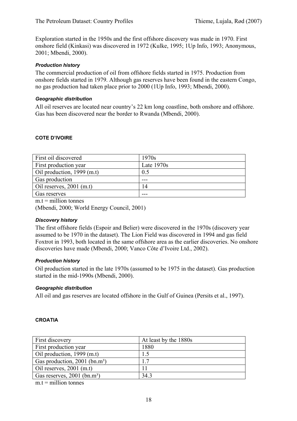Exploration started in the 1950s and the first offshore discovery was made in 1970. First onshore field (Kinkasi) was discovered in 1972 (Kulke, 1995; 1Up Info, 1993; Anonymous, 2001; Mbendi, 2000).

#### *Production history*

The commercial production of oil from offshore fields started in 1975. Production from onshore fields started in 1979. Although gas reserves have been found in the eastern Congo, no gas production had taken place prior to 2000 (1Up Info, 1993; Mbendi, 2000).

#### *Geographic distribution*

All oil reserves are located near country's 22 km long coastline, both onshore and offshore. Gas has been discovered near the border to Rwanda (Mbendi, 2000).

#### **COTE D'IVOIRE**

| First oil discovered         | 1970s        |
|------------------------------|--------------|
| First production year        | Late $1970s$ |
| Oil production, $1999$ (m.t) | 0.5          |
| Gas production               |              |
| Oil reserves, $2001$ (m.t)   | 14           |
| Gas reserves                 | ---          |

 $m.t = *m*$ illion tonnes

(Mbendi, 2000; World Energy Council, 2001)

#### *Discovery history*

The first offshore fields (Espoir and Belier) were discovered in the 1970s (discovery year assumed to be 1970 in the dataset). The Lion Field was discovered in 1994 and gas field Foxtrot in 1993, both located in the same offshore area as the earlier discoveries. No onshore discoveries have made (Mbendi, 2000; Vanco Côte d'Ivoire Ltd., 2002).

# *Production history*

Oil production started in the late 1970s (assumed to be 1975 in the dataset). Gas production started in the mid-1990s (Mbendi, 2000).

# *Geographic distribution*

All oil and gas reserves are located offshore in the Gulf of Guinea (Persits et al., 1997).

#### **CROATIA**

| First discovery                           | At least by the 1880s |
|-------------------------------------------|-----------------------|
| First production year                     | 1880                  |
| Oil production, $1999$ (m.t)              | 1.5                   |
| Gas production, 2001 (bn.m <sup>3</sup> ) | 17                    |
| Oil reserves, $2001$ (m.t)                |                       |
| Gas reserves, 2001 (bn.m <sup>3</sup> )   | 34.3                  |

 $m t =$  million tonnes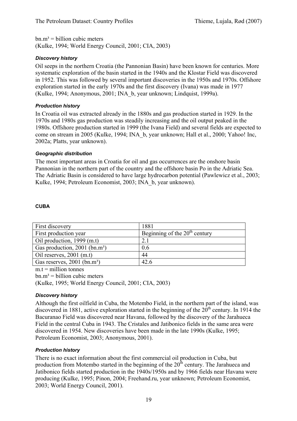$bn.m<sup>3</sup> = billion cubic meters$ (Kulke, 1994; World Energy Council, 2001; CIA, 2003)

# *Discovery history*

Oil seeps in the northern Croatia (the Pannonian Basin) have been known for centuries. More systematic exploration of the basin started in the 1940s and the Klostar Field was discovered in 1952. This was followed by several important discoveries in the 1950s and 1970s. Offshore exploration started in the early 1970s and the first discovery (Ivana) was made in 1977 (Kulke, 1994; Anonymous, 2001; INA\_b, year unknown; Lindquist, 1999a).

# *Production history*

In Croatia oil was extracted already in the 1880s and gas production started in 1929. In the 1970s and 1980s gas production was steadily increasing and the oil output peaked in the 1980s. Offshore production started in 1999 (the Ivana Field) and several fields are expected to come on stream in 2005 (Kulke, 1994; INA\_b, year unknown; Hall et al., 2000; Yahoo! Inc, 2002a; Platts, year unknown).

# *Geographic distribution*

The most important areas in Croatia for oil and gas occurrences are the onshore basin Pannonian in the northern part of the country and the offshore basin Po in the Adriatic Sea. The Adriatic Basin is considered to have large hydrocarbon potential (Pawlewicz et al., 2003; Kulke, 1994; Petroleum Economist, 2003; INA\_b, year unknown).

# **CUBA**

| First discovery                             | 1881                            |
|---------------------------------------------|---------------------------------|
| First production year                       | Beginning of the $20th$ century |
| Oil production, 1999 (m.t)                  | 2.1                             |
| Gas production, $2001$ (bn.m <sup>3</sup> ) | 0.6                             |
| Oil reserves, $2001$ (m.t)                  | 44                              |
| Gas reserves, 2001 (bn.m <sup>3</sup> )     | 42.6                            |

 $m.t =$  million tonnes

 $bn.m<sup>3</sup> = billion cubic meters$ 

(Kulke, 1995; World Energy Council, 2001; CIA, 2003)

# *Discovery history*

Although the first oilfield in Cuba, the Motembo Field, in the northern part of the island, was discovered in 1881, active exploration started in the beginning of the  $20<sup>th</sup>$  century. In 1914 the Bacuranao Field was discovered near Havana, followed by the discovery of the Jarahueca Field in the central Cuba in 1943. The Cristales and Jatibonico fields in the same area were discovered in 1954. New discoveries have been made in the late 1990s (Kulke, 1995; Petroleum Economist, 2003; Anonymous, 2001).

# *Production history*

There is no exact information about the first commercial oil production in Cuba, but production from Motembo started in the beginning of the  $20<sup>th</sup>$  century. The Jarahueca and Jatibonico fields started production in the 1940s/1950s and by 1966 fields near Havana were producing (Kulke, 1995; Pinon, 2004; Freehand.ru, year unknown; Petroleum Economist, 2003; World Energy Council, 2001).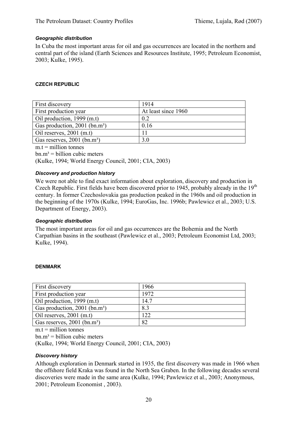#### *Geographic distribution*

In Cuba the most important areas for oil and gas occurrences are located in the northern and central part of the island (Earth Sciences and Resources Institute, 1995; Petroleum Economist, 2003; Kulke, 1995).

#### **CZECH REPUBLIC**

| First discovery                             | 1914                |
|---------------------------------------------|---------------------|
| First production year                       | At least since 1960 |
| Oil production, 1999 (m.t)                  | 0.2                 |
| Gas production, $2001$ (bn.m <sup>3</sup> ) | 0.16                |
| Oil reserves, $2001$ (m.t)                  |                     |
| Gas reserves, 2001 (bn.m <sup>3</sup> )     | 3.0                 |

 $m.t =$  million tonnes

 $bn.m<sup>3</sup> = billion cubic meters$ 

(Kulke, 1994; World Energy Council, 2001; CIA, 2003)

#### *Discovery and production history*

We were not able to find exact information about exploration, discovery and production in Czech Republic. First fields have been discovered prior to 1945, probably already in the 19<sup>th</sup> century. In former Czechoslovakia gas production peaked in the 1960s and oil production in the beginning of the 1970s (Kulke, 1994; EuroGas, Inc. 1996b; Pawlewicz et al., 2003; U.S. Department of Energy, 2003).

#### *Geographic distribution*

The most important areas for oil and gas occurrences are the Bohemia and the North Carpathian basins in the southeast (Pawlewicz et al., 2003; Petroleum Economist Ltd, 2003; Kulke, 1994).

#### **DENMARK**

| First discovery                           | 1966 |
|-------------------------------------------|------|
| First production year                     | 1972 |
| Oil production, 1999 (m.t)                | 14.7 |
| Gas production, 2001 (bn.m <sup>3</sup> ) | 8.3  |
| Oil reserves, $2001$ (m.t)                | 122  |
| Gas reserves, 2001 (bn.m <sup>3</sup> )   | 82   |

 $m.t = *m*$ illion tonnes

 $bn.m<sup>3</sup> = billion cubic meters$ 

(Kulke, 1994; World Energy Council, 2001; CIA, 2003)

#### *Discovery history*

Although exploration in Denmark started in 1935, the first discovery was made in 1966 when the offshore field Kraka was found in the North Sea Graben. In the following decades several discoveries were made in the same area (Kulke, 1994; Pawlewicz et al., 2003; Anonymous, 2001; Petroleum Economist , 2003).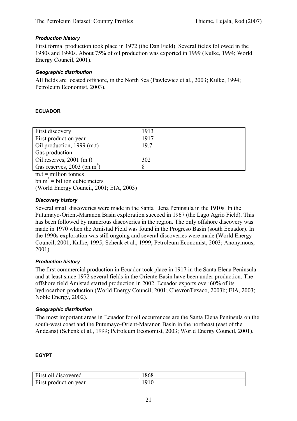# *Production history*

First formal production took place in 1972 (the Dan Field). Several fields followed in the 1980s and 1990s. About 75% of oil production was exported in 1999 (Kulke, 1994; World Energy Council, 2001).

#### *Geographic distribution*

All fields are located offshore, in the North Sea (Pawlewicz et al., 2003; Kulke, 1994; Petroleum Economist, 2003).

#### **ECUADOR**

| First discovery                           | 1913 |
|-------------------------------------------|------|
| First production year                     | 1917 |
| Oil production, 1999 (m.t)                | 19.7 |
| Gas production                            |      |
| Oil reserves, $2001$ (m.t)                | 302  |
| Gas reserves, $2003$ (bn.m <sup>3</sup> ) | 8    |

 $m.t =$  million tonnes

(World Energy Council, 2001; EIA, 2003)

#### *Discovery history*

Several small discoveries were made in the Santa Elena Peninsula in the 1910s. In the Putumayo-Orient-Maranon Basin exploration succeed in 1967 (the Lago Agrio Field). This has been followed by numerous discoveries in the region. The only offshore discovery was made in 1970 when the Amistad Field was found in the Progreso Basin (south Ecuador). In the 1990s exploration was still ongoing and several discoveries were made (World Energy Council, 2001; Kulke, 1995; Schenk et al., 1999; Petroleum Economist, 2003; Anonymous, 2001).

# *Production history*

The first commercial production in Ecuador took place in 1917 in the Santa Elena Peninsula and at least since 1972 several fields in the Oriente Basin have been under production. The offshore field Amistad started production in 2002. Ecuador exports over 60% of its hydrocarbon production (World Energy Council, 2001; ChevronTexaco, 2003b; EIA, 2003; Noble Energy, 2002).

#### *Geographic distribution*

The most important areas in Ecuador for oil occurrences are the Santa Elena Peninsula on the south-west coast and the Putumayo-Orient-Maranon Basin in the northeast (east of the Andeans) (Schenk et al., 1999; Petroleum Economist, 2003; World Energy Council, 2001).

#### **EGYPT**

| First oil discovered  | 1868 |
|-----------------------|------|
| First production year | 1910 |

 $bm{m}^3$  = billion cubic meters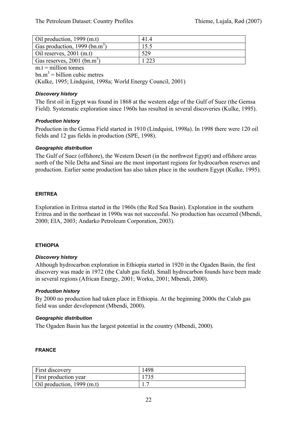| Oil production, $1999$ (m.t)              | 414  |
|-------------------------------------------|------|
| Gas production, 1999 (bn.m <sup>3</sup> ) | 15.5 |
| Oil reserves, $2001$ (m.t)                | 529  |
| Gas reserves, 2001 (bn.m <sup>3</sup> )   | າາາ  |

 $m.t =$  million tonnes

 $bm{m}^3$  = billion cubic metres

(Kulke, 1995; Lindquist, 1998a; World Energy Council, 2001)

#### *Discovery history*

The first oil in Egypt was found in 1868 at the western edge of the Gulf of Suez (the Gemsa Field). Systematic exploration since 1960s has resulted in several discoveries (Kulke, 1995).

# *Production history*

Production in the Gemsa Field started in 1910 (Lindquist, 1998a). In 1998 there were 120 oil fields and 12 gas fields in production (SPE, 1998).

#### *Geographic distribution*

The Gulf of Suez (offshore), the Western Desert (in the northwest Egypt) and offshore areas north of the Nile Delta and Sinai are the most important regions for hydrocarbon reserves and production. Earlier some production has also taken place in the southern Egypt (Kulke, 1995).

#### **ERITREA**

Exploration in Eritrea started in the 1960s (the Red Sea Basin). Exploration in the southern Eritrea and in the northeast in 1990s was not successful. No production has occurred (Mbendi, 2000; EIA, 2003; Andarko Petroleum Corporation, 2003).

#### **ETHIOPIA**

# *Discovery history*

Although hydrocarbon exploration in Ethiopia started in 1920 in the Ogaden Basin, the first discovery was made in 1972 (the Calub gas field). Small hydrocarbon founds have been made in several regions (African Energy, 2001; Worku, 2001; Mbendi, 2000).

# *Production history*

By 2000 no production had taken place in Ethiopia. At the beginning 2000s the Calub gas field was under development (Mbendi, 2000).

#### *Geographic distribution*

The Ogaden Basin has the largest potential in the country (Mbendi, 2000).

#### **FRANCE**

| First discovery            | 1498 |
|----------------------------|------|
| First production year      | 1735 |
| Oil production, 1999 (m.t) |      |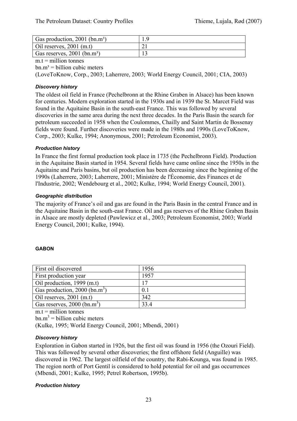| Gas production, $2001$ (bn.m <sup>3</sup> ) |  |
|---------------------------------------------|--|
| Oil reserves, $2001$ (m.t)                  |  |
| Gas reserves, $2001$ (bn.m <sup>3</sup> )   |  |

#### $m.t =$  million tonnes

 $bn.m<sup>3</sup> = billion cubic meters$ 

(LoveToKnow, Corp., 2003; Laherrere, 2003; World Energy Council, 2001; CIA, 2003)

# *Discovery history*

The oldest oil field in France (Pechelbronn at the Rhine Graben in Alsace) has been known for centuries. Modern exploration started in the 1930s and in 1939 the St. Marcet Field was found in the Aquitaine Basin in the south-east France. This was followed by several discoveries in the same area during the next three decades. In the Paris Basin the search for petroleum succeeded in 1958 when the Coulommes, Chailly and Saint Martin de Bossenay fields were found. Further discoveries were made in the 1980s and 1990s (LoveToKnow, Corp., 2003; Kulke, 1994; Anonymous, 2001; Petroleum Economist, 2003).

#### *Production history*

In France the first formal production took place in 1735 (the Pechelbronn Field). Production in the Aquitaine Basin started in 1954. Several fields have came online since the 1950s in the Aquitaine and Paris basins, but oil production has been decreasing since the beginning of the 1990s (Laherrere, 2003; Laherrere, 2001; Ministère de l'Économie, des Finances et de l'Industrie, 2002; Wendebourg et al., 2002; Kulke, 1994; World Energy Council, 2001).

#### *Geographic distribution*

The majority of France's oil and gas are found in the Paris Basin in the central France and in the Aquitaine Basin in the south-east France. Oil and gas reserves of the Rhine Graben Basin in Alsace are mostly depleted (Pawlewicz et al., 2003; Petroleum Economist, 2003; World Energy Council, 2001; Kulke, 1994).

#### **GABON**

| First oil discovered                        | 1956 |
|---------------------------------------------|------|
| First production year                       | 1957 |
| Oil production, 1999 (m.t)                  | 17   |
| Gas production, $2000$ (bn.m <sup>3</sup> ) | 0.1  |
| Oil reserves, $2001$ (m.t)                  | 342  |
| Gas reserves, $2000$ (bn.m <sup>3</sup> )   | 334  |

 $m.t =$  million tonnes

 $bm{m}^3$  = billion cubic meters

(Kulke, 1995; World Energy Council, 2001; Mbendi, 2001)

#### *Discovery history*

Exploration in Gabon started in 1926, but the first oil was found in 1956 (the Ozouri Field). This was followed by several other discoveries; the first offshore field (Anguille) was discovered in 1962. The largest oilfield of the country, the Rabi-Kounga, was found in 1985. The region north of Port Gentil is considered to hold potential for oil and gas occurrences (Mbendi, 2001; Kulke, 1995; Petrel Robertson, 1995b).

#### *Production history*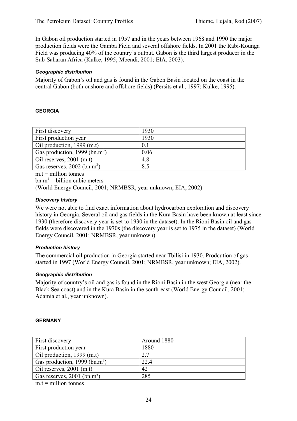In Gabon oil production started in 1957 and in the years between 1968 and 1990 the major production fields were the Gamba Field and several offshore fields. In 2001 the Rabi-Kounga Field was producing 40% of the country's output. Gabon is the third largest producer in the Sub-Saharan Africa (Kulke, 1995; Mbendi, 2001; EIA, 2003).

# *Geographic distribution*

Majority of Gabon's oil and gas is found in the Gabon Basin located on the coast in the central Gabon (both onshore and offshore fields) (Persits et al., 1997; Kulke, 1995).

# **GEORGIA**

| First discovery                           | 1930           |
|-------------------------------------------|----------------|
| First production year                     | 1930           |
| Oil production, 1999 (m.t)                | 0 <sub>1</sub> |
| Gas production, 1999 (bn.m <sup>3</sup> ) | 0.06           |
| Oil reserves, $2001$ (m.t)                | 4.8            |
| Gas reserves, $2002$ (bn.m <sup>3</sup> ) | 8.5            |

 $m_t$  = million tonnes

 $bm{m}^3$  = billion cubic meters

(World Energy Council, 2001; NRMBSR, year unknown; EIA, 2002)

# *Discovery history*

We were not able to find exact information about hydrocarbon exploration and discovery history in Georgia. Several oil and gas fields in the Kura Basin have been known at least since 1930 (therefore discovery year is set to 1930 in the dataset). In the Rioni Basin oil and gas fields were discovered in the 1970s (the discovery year is set to 1975 in the dataset) (World Energy Council, 2001; NRMBSR, year unknown).

# *Production history*

The commercial oil production in Georgia started near Tbilisi in 1930. Prodcution of gas started in 1997 (World Energy Council, 2001; NRMBSR, year unknown; EIA, 2002).

# *Geographic distribution*

Majority of country's oil and gas is found in the Rioni Basin in the west Georgia (near the Black Sea coast) and in the Kura Basin in the south-east (World Energy Council, 2001; Adamia et al., year unknown).

# **GERMANY**

| <b>First discovery</b>                    | Around 1880 |
|-------------------------------------------|-------------|
| <b>First production year</b>              | 1880        |
| Oil production, $1999$ (m.t)              | 2.7         |
| Gas production, 1999 (bn.m <sup>3</sup> ) | 22.4        |
| Oil reserves, $2001$ (m.t)                | 42          |
| Gas reserves, $2001$ (bn.m <sup>3</sup> ) | 285         |

 $m.t = million tonnes$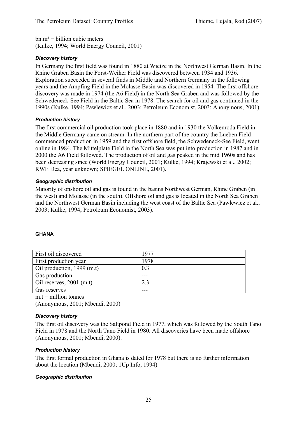$bn.m<sup>3</sup> = billion cubic meters$ (Kulke, 1994; World Energy Council, 2001)

# *Discovery history*

In Germany the first field was found in 1880 at Wietze in the Northwest German Basin. In the Rhine Graben Basin the Forst-Weiher Field was discovered between 1934 and 1936. Exploration succeeded in several finds in Middle and Northern Germany in the following years and the Ampfing Field in the Molasse Basin was discovered in 1954. The first offshore discovery was made in 1974 (the A6 Field) in the North Sea Graben and was followed by the Schwedeneck-See Field in the Baltic Sea in 1978. The search for oil and gas continued in the 1990s (Kulke, 1994; Pawlewicz et al., 2003; Petroleum Economist, 2003; Anonymous, 2001).

# *Production history*

The first commercial oil production took place in 1880 and in 1930 the Volkenroda Field in the Middle Germany came on stream. In the northern part of the country the Lueben Field commenced production in 1959 and the first offshore field, the Schwedeneck-See Field, went online in 1984. The Mittelplate Field in the North Sea was put into production in 1987 and in 2000 the A6 Field followed. The production of oil and gas peaked in the mid 1960s and has been decreasing since (World Energy Council, 2001; Kulke, 1994; Krajewski et al., 2002; RWE Dea, year unknown; SPIEGEL ONLINE, 2001).

# *Geographic distribution*

Majority of onshore oil and gas is found in the basins Northwest German, Rhine Graben (in the west) and Molasse (in the south). Offshore oil and gas is located in the North Sea Graben and the Northwest German Basin including the west coast of the Baltic Sea (Pawlewicz et al., 2003; Kulke, 1994; Petroleum Economist, 2003).

# **GHANA**

| First oil discovered       | 1977 |
|----------------------------|------|
| First production year      | 1978 |
| Oil production, 1999 (m.t) | 0.3  |
| Gas production             |      |
| Oil reserves, $2001$ (m.t) |      |
| Gas reserves               |      |

 $m.t =$  million tonnes

(Anonymous, 2001; Mbendi, 2000)

# *Discovery history*

The first oil discovery was the Saltpond Field in 1977, which was followed by the South Tano Field in 1978 and the North Tano Field in 1980. All discoveries have been made offshore (Anonymous, 2001; Mbendi, 2000).

# *Production history*

The first formal production in Ghana is dated for 1978 but there is no further information about the location (Mbendi, 2000; 1Up Info, 1994).

# *Geographic distribution*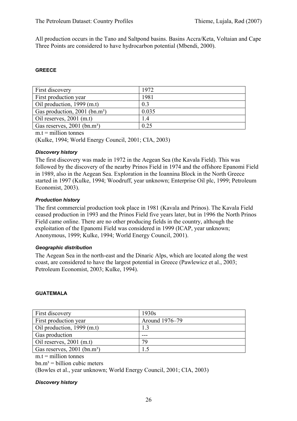All production occurs in the Tano and Saltpond basins. Basins Accra/Keta, Voltaian and Cape Three Points are considered to have hydrocarbon potential (Mbendi, 2000).

#### **GREECE**

| First discovery                             | 1972  |
|---------------------------------------------|-------|
| First production year                       | 1981  |
| Oil production, $1999$ (m.t)                | 0.3   |
| Gas production, $2001$ (bn.m <sup>3</sup> ) | 0.035 |
| Oil reserves, $2001$ (m.t)                  | 1.4   |
| Gas reserves, 2001 (bn.m <sup>3</sup> )     | 0.25  |

 $m.t = million tonnes$ 

(Kulke, 1994; World Energy Council, 2001; CIA, 2003)

#### *Discovery history*

The first discovery was made in 1972 in the Aegean Sea (the Kavala Field). This was followed by the discovery of the nearby Prinos Field in 1974 and the offshore Epanomi Field in 1989, also in the Aegean Sea. Exploration in the Ioannina Block in the North Greece started in 1997 (Kulke, 1994; Woodruff, year unknown; Enterprise Oil plc, 1999; Petroleum Economist, 2003).

#### *Production history*

The first commercial production took place in 1981 (Kavala and Prinos). The Kavala Field ceased production in 1993 and the Prinos Field five years later, but in 1996 the North Prinos Field came online. There are no other producing fields in the country, although the exploitation of the Epanomi Field was considered in 1999 (ICAP, year unknown; Anonymous, 1999; Kulke, 1994; World Energy Council, 2001).

#### *Geographic distribution*

The Aegean Sea in the north-east and the Dinaric Alps, which are located along the west coast, are considered to have the largest potential in Greece (Pawlewicz et al., 2003; Petroleum Economist, 2003; Kulke, 1994).

#### **GUATEMALA**

| <b>First discovery</b>                  | 1930s          |
|-----------------------------------------|----------------|
| <b>First production year</b>            | Around 1976–79 |
| Oil production, $1999$ (m.t)            |                |
| Gas production                          |                |
| Oil reserves, $2001$ (m.t)              | 79             |
| Gas reserves, 2001 (bn.m <sup>3</sup> ) |                |

 $m.t =$  million tonnes

 $bn.m<sup>3</sup> = billion cubic meters$ 

(Bowles et al., year unknown; World Energy Council, 2001; CIA, 2003)

#### *Discovery history*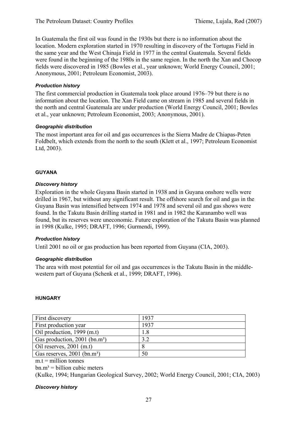In Guatemala the first oil was found in the 1930s but there is no information about the location. Modern exploration started in 1970 resulting in discovery of the Tortugas Field in the same year and the West Chinaja Field in 1977 in the central Guatemala. Several fields were found in the beginning of the 1980s in the same region. In the north the Xan and Chocop fields were discovered in 1985 (Bowles et al., year unknown; World Energy Council, 2001; Anonymous, 2001; Petroleum Economist, 2003).

# *Production history*

The first commercial production in Guatemala took place around 1976–79 but there is no information about the location. The Xan Field came on stream in 1985 and several fields in the north and central Guatemala are under production (World Energy Council, 2001; Bowles et al., year unknown; Petroleum Economist, 2003; Anonymous, 2001).

#### *Geographic distribution*

The most important area for oil and gas occurrences is the Sierra Madre de Chiapas-Peten Foldbelt, which extends from the north to the south (Klett et al., 1997; Petroleum Economist Ltd, 2003).

#### **GUYANA**

#### *Discovery history*

Exploration in the whole Guyana Basin started in 1938 and in Guyana onshore wells were drilled in 1967, but without any significant result. The offshore search for oil and gas in the Guyana Basin was intensified between 1974 and 1978 and several oil and gas shows were found. In the Takutu Basin drilling started in 1981 and in 1982 the Karanambo well was found, but its reserves were uneconomic. Future exploration of the Takutu Basin was planned in 1998 (Kulke, 1995; DRAFT, 1996; Gurmendi, 1999).

# *Production history*

Until 2001 no oil or gas production has been reported from Guyana (CIA, 2003).

# *Geographic distribution*

The area with most potential for oil and gas occurrences is the Takutu Basin in the middlewestern part of Guyana (Schenk et al., 1999; DRAFT, 1996).

#### **HUNGARY**

| First discovery                           | 1937 |
|-------------------------------------------|------|
| First production year                     | 1937 |
| Oil production, 1999 (m.t)                | 1.8  |
| Gas production, 2001 (bn.m <sup>3</sup> ) | 3.2  |
| Oil reserves, $2001$ (m.t)                |      |
| Gas reserves, 2001 (bn.m <sup>3</sup> )   | 50   |

 $m.t = *m*$ illion tonnes

 $bm.m^3 = \text{billion cubic meters}$ 

(Kulke, 1994; Hungarian Geological Survey, 2002; World Energy Council, 2001; CIA, 2003)

#### *Discovery history*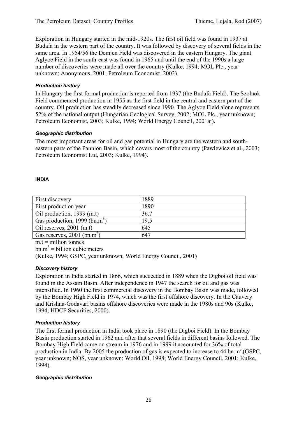Exploration in Hungary started in the mid-1920s. The first oil field was found in 1937 at Budafa in the western part of the country. It was followed by discovery of several fields in the same area. In 1954/56 the Demjen Field was discovered in the eastern Hungary. The giant Aglyoe Field in the south-east was found in 1965 and until the end of the 1990s a large number of discoveries were made all over the country (Kulke, 1994; MOL Plc., year unknown; Anonymous, 2001; Petroleum Economist, 2003).

# *Production history*

In Hungary the first formal production is reported from 1937 (the Budafa Field). The Szolnok Field commenced production in 1955 as the first field in the central and eastern part of the country. Oil production has steadily decreased since 1990. The Aglyoe Field alone represents 52% of the national output (Hungarian Geological Survey, 2002; MOL Plc., year unknown; Petroleum Economist, 2003; Kulke, 1994; World Energy Council, 2001aj).

#### *Geographic distribution*

The most important areas for oil and gas potential in Hungary are the western and southeastern parts of the Pannion Basin, which covers most of the country (Pawlewicz et al., 2003; Petroleum Economist Ltd, 2003; Kulke, 1994).

#### **INDIA**

| First discovery                           | 1889 |
|-------------------------------------------|------|
| First production year                     | 1890 |
| Oil production, 1999 (m.t)                | 36.7 |
| Gas production, 1999 (bn.m <sup>3</sup> ) | 19.5 |
| Oil reserves, $2001$ (m.t)                | 645  |
| Gas reserves, $2001$ (bn.m <sup>3</sup> ) | 647  |

 $m.t = *m*$ illion tonnes

 $bm{m}^3$  = billion cubic meters

(Kulke, 1994; GSPC, year unknown; World Energy Council, 2001)

# *Discovery history*

Exploration in India started in 1866, which succeeded in 1889 when the Digboi oil field was found in the Assam Basin. After independence in 1947 the search for oil and gas was intensified. In 1960 the first commercial discovery in the Bombay Basin was made, followed by the Bombay High Field in 1974, which was the first offshore discovery. In the Cauvery and Krishna-Godavari basins offshore discoveries were made in the 1980s and 90s (Kulke, 1994; HDCF Securities, 2000).

# *Production history*

The first formal production in India took place in 1890 (the Digboi Field). In the Bombay Basin production started in 1962 and after that several fields in different basins followed. The Bombay High Field came on stream in 1976 and in 1999 it accounted for 36% of total production in India. By 2005 the production of gas is expected to increase to 44 bn.m<sup>3</sup> (GSPC, year unknown; NOS, year unknown; World Oil, 1998; World Energy Council, 2001; Kulke, 1994).

#### *Geographic distribution*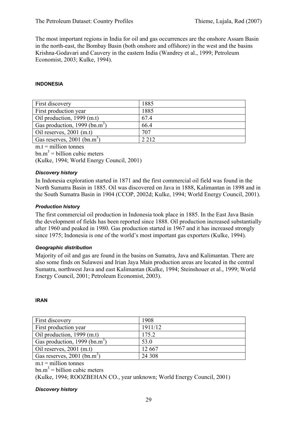The most important regions in India for oil and gas occurrences are the onshore Assam Basin in the north-east, the Bombay Basin (both onshore and offshore) in the west and the basins Krishna-Godavari and Cauvery in the eastern India (Wandrey et al., 1999; Petroleum Economist, 2003; Kulke, 1994).

#### **INDONESIA**

| First discovery                           | 1885  |
|-------------------------------------------|-------|
| First production year                     | 1885  |
| Oil production, 1999 (m.t)                | 67.4  |
| Gas production, 1999 (bn.m <sup>3</sup> ) | 66.4  |
| Oil reserves, $2001$ (m.t)                | 707   |
| Gas reserves, $2001$ (bn.m <sup>3</sup> ) | 2.212 |
|                                           |       |

 $m.t = million tonnes$  $bm{m}^3$  = billion cubic meters (Kulke, 1994; World Energy Council, 2001)

#### *Discovery history*

In Indonesia exploration started in 1871 and the first commercial oil field was found in the North Sumatra Basin in 1885. Oil was discovered on Java in 1888, Kalimantan in 1898 and in the South Sumatra Basin in 1904 (CCOP, 2002d; Kulke, 1994; World Energy Council, 2001).

#### *Production history*

The first commercial oil production in Indonesia took place in 1885. In the East Java Basin the development of fields has been reported since 1888. Oil production increased substantially after 1960 and peaked in 1980. Gas production started in 1967 and it has increased strongly since 1975; Indonesia is one of the world's most important gas exporters (Kulke, 1994).

#### *Geographic distribution*

Majority of oil and gas are found in the basins on Sumatra, Java and Kalimantan. There are also some finds on Sulawesi and Irian Jaya Main production areas are located in the central Sumatra, northwest Java and east Kalimantan (Kulke, 1994; Steinshouer et al., 1999; World Energy Council, 2001; Petroleum Economist, 2003).

#### **IRAN**

| First discovery                           | 1908    |
|-------------------------------------------|---------|
| First production year                     | 1911/12 |
| Oil production, 1999 (m.t)                | 175.2   |
| Gas production, 1999 (bn.m <sup>3</sup> ) | 53.0    |
| Oil reserves, $2001$ (m.t)                | 12 667  |
| Gas reserves, $2001$ (bn.m <sup>3</sup> ) | 24 308  |

 $m.t =$  million tonnes

 $bm{m}^3$  = billion cubic meters

(Kulke, 1994; ROOZBEHAN CO., year unknown; World Energy Council, 2001)

#### *Discovery history*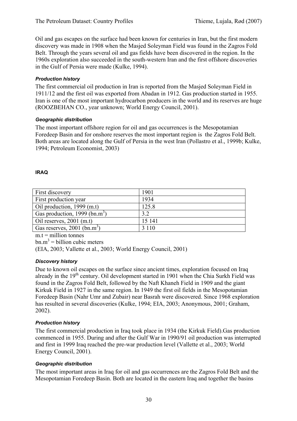Oil and gas escapes on the surface had been known for centuries in Iran, but the first modern discovery was made in 1908 when the Masjed Soleyman Field was found in the Zagros Fold Belt. Through the years several oil and gas fields have been discovered in the region. In the 1960s exploration also succeeded in the south-western Iran and the first offshore discoveries in the Gulf of Persia were made (Kulke, 1994).

# *Production history*

The first commercial oil production in Iran is reported from the Masjed Soleyman Field in 1911/12 and the first oil was exported from Abadan in 1912. Gas production started in 1955. Iran is one of the most important hydrocarbon producers in the world and its reserves are huge (ROOZBEHAN CO., year unknown; World Energy Council, 2001).

# *Geographic distribution*

The most important offshore region for oil and gas occurrences is the Mesopotamian Foredeep Basin and for onshore reserves the most important region is the Zagros Fold Belt. Both areas are located along the Gulf of Persia in the west Iran (Pollastro et al., 1999b; Kulke, 1994; Petroleum Economist, 2003)

# **IRAQ**

| First discovery                           | 1901    |
|-------------------------------------------|---------|
| First production year                     | 1934    |
| Oil production, 1999 (m.t)                | 125.8   |
| Gas production, 1999 (bn.m <sup>3</sup> ) | 3.2     |
| Oil reserves, $2001$ (m.t)                | 15 14 1 |
| Gas reserves, $2001$ (bn.m <sup>3</sup> ) | 3 1 1 0 |

 $m.t =$  million tonnes

 $bm{m}^3$  = billion cubic meters

(EIA, 2003; Vallette et al., 2003; World Energy Council, 2001)

# *Discovery history*

Due to known oil escapes on the surface since ancient times, exploration focused on Iraq already in the 19<sup>th</sup> century. Oil development started in 1901 when the Chia Surkh Field was found in the Zagros Fold Belt, followed by the Naft Khaneh Field in 1909 and the giant Kirkuk Field in 1927 in the same region. In 1949 the first oil fields in the Mesopotamian Foredeep Basin (Nahr Umr and Zubair) near Basrah were discovered. Since 1968 exploration has resulted in several discoveries (Kulke, 1994; EIA, 2003; Anonymous, 2001; Graham, 2002).

# *Production history*

The first commercial production in Iraq took place in 1934 (the Kirkuk Field).Gas production commenced in 1955. During and after the Gulf War in 1990/91 oil production was interrupted and first in 1999 Iraq reached the pre-war production level (Vallette et al., 2003; World Energy Council, 2001).

# *Geographic distribution*

The most important areas in Iraq for oil and gas occurrences are the Zagros Fold Belt and the Mesopotamian Foredeep Basin. Both are located in the eastern Iraq and together the basins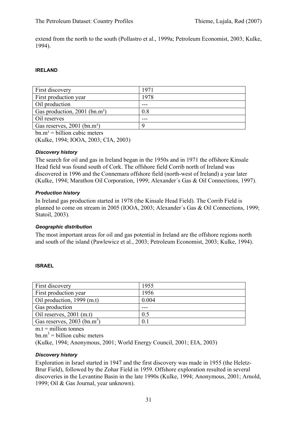extend from the north to the south (Pollastro et al., 1999a; Petroleum Economist, 2003; Kulke, 1994).

#### **IRELAND**

| <b>First discovery</b>                      | 1971 |
|---------------------------------------------|------|
| <b>First production year</b>                | 1978 |
| Oil production                              |      |
| Gas production, $2001$ (bn.m <sup>3</sup> ) | 0.8  |
| Oil reserves                                |      |
| Gas reserves, $2001$ (bn.m <sup>3</sup> )   |      |

 $bn.m<sup>3</sup> = billion cubic meters$ 

(Kulke, 1994; IOOA, 2003; CIA, 2003)

#### *Discovery history*

The search for oil and gas in Ireland began in the 1950s and in 1971 the offshore Kinsale Head field was found south of Cork. The offshore field Corrib north of Ireland was discovered in 1996 and the Connemara offshore field (north-west of Ireland) a year later (Kulke, 1994; Marathon Oil Corporation, 1999; Alexander´s Gas & Oil Connections, 1997).

#### *Production history*

In Ireland gas production started in 1978 (the Kinsale Head Field). The Corrib Field is planned to come on stream in 2005 (IOOA, 2003; Alexander´s Gas & Oil Connections, 1999; Statoil, 2003).

#### *Geographic distribution*

The most important areas for oil and gas potential in Ireland are the offshore regions north and south of the island (Pawlewicz et al., 2003; Petroleum Economist, 2003; Kulke, 1994).

#### **ISRAEL**

| First discovery                           | 1955  |
|-------------------------------------------|-------|
| First production year                     | 1956  |
| Oil production, 1999 (m.t)                | 0.004 |
| Gas production                            |       |
| Oil reserves, $2001$ (m.t)                | 0.5   |
| Gas reserves, $2003$ (bn.m <sup>3</sup> ) | 0.1   |

 $m.t =$  million tonnes

 $bm{m}^3$  = billion cubic meters

(Kulke, 1994; Anonymous, 2001; World Energy Council, 2001; EIA, 2003)

#### *Discovery history*

Exploration in Israel started in 1947 and the first discovery was made in 1955 (the Heletz-Brur Field), followed by the Zohar Field in 1959. Offshore exploration resulted in several discoveries in the Levantine Basin in the late 1990s (Kulke, 1994; Anonymous, 2001; Arnold, 1999; Oil & Gas Journal, year unknown).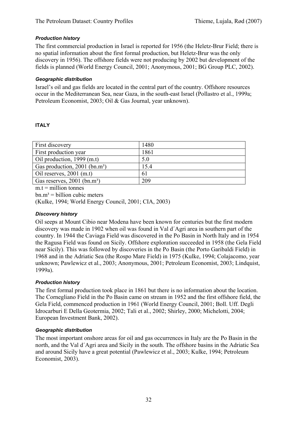# *Production history*

The first commercial production in Israel is reported for 1956 (the Heletz-Brur Field; there is no spatial information about the first formal production, but Heletz-Brur was the only discovery in 1956). The offshore fields were not producing by 2002 but development of the fields is planned (World Energy Council, 2001; Anonymous, 2001; BG Group PLC, 2002).

#### *Geographic distribution*

Israel's oil and gas fields are located in the central part of the country. Offshore resources occur in the Mediterranean Sea, near Gaza, in the south-east Israel (Pollastro et al., 1999a; Petroleum Economist, 2003; Oil & Gas Journal, year unknown).

#### **ITALY**

| First discovery                             | 1480 |
|---------------------------------------------|------|
| First production year                       | 1861 |
| Oil production, 1999 (m.t)                  | 5.0  |
| Gas production, $2001$ (bn.m <sup>3</sup> ) | 15.4 |
| Oil reserves, $2001$ (m.t)                  | 61   |
| Gas reserves, 2001 (bn.m <sup>3</sup> )     | 209  |
|                                             |      |

 $m.t =$  million tonnes

 $bn.m<sup>3</sup> = billion cubic meters$ 

(Kulke, 1994; World Energy Council, 2001; CIA, 2003)

# *Discovery history*

Oil seeps at Mount Cibio near Modena have been known for centuries but the first modern discovery was made in 1902 when oil was found in Val d´Agri area in southern part of the country. In 1944 the Caviaga Field was discovered in the Po Basin in North Italy and in 1954 the Ragusa Field was found on Sicily. Offshore exploration succeeded in 1958 (the Gela Field near Sicily). This was followed by discoveries in the Po Basin (the Porto Garibaldi Field) in 1968 and in the Adriatic Sea (the Rospo Mare Field) in 1975 (Kulke, 1994; Colajacomo, year unknown; Pawlewicz et al., 2003; Anonymous, 2001; Petroleum Economist, 2003; Lindquist, 1999a).

#### *Production history*

The first formal production took place in 1861 but there is no information about the location. The Cornegliano Field in the Po Basin came on stream in 1952 and the first offshore field, the Gela Field, commenced production in 1961 (World Energy Council, 2001; Boll. Uff. Degli Idrocarburi E Della Geotermia, 2002; Tali et al., 2002; Shirley, 2000; Michelotti, 2004; European Investment Bank, 2002).

#### *Geographic distribution*

The most important onshore areas for oil and gas occurrences in Italy are the Po Basin in the north, and the Val d´Agri area and Sicily in the south. The offshore basins in the Adriatic Sea and around Sicily have a great potential (Pawlewicz et al., 2003; Kulke, 1994; Petroleum Economist, 2003).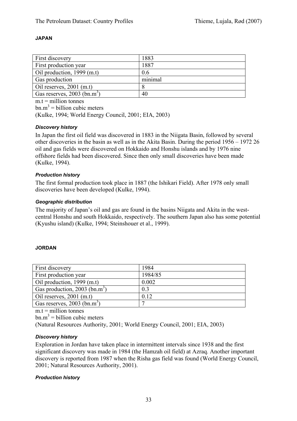# **JAPAN**

| <b>First discovery</b>                    | 1883    |
|-------------------------------------------|---------|
| <b>First production year</b>              | 1887    |
| Oil production, $1999$ (m.t)              | 0.6     |
| <b>Gas production</b>                     | minimal |
| Oil reserves, $2001$ (m.t)                |         |
| Gas reserves, $2003$ (bn.m <sup>3</sup> ) | 40      |

 $m.t = *m*$ illion tonnes

 $bm{m}^3$  = billion cubic meters

(Kulke, 1994; World Energy Council, 2001; EIA, 2003)

#### *Discovery history*

In Japan the first oil field was discovered in 1883 in the Niigata Basin, followed by several other discoveries in the basin as well as in the Akita Basin. During the period 1956 – 1972 26 oil and gas fields were discovered on Hokkaido and Honshu islands and by 1976 nine offshore fields had been discovered. Since then only small discoveries have been made (Kulke, 1994).

#### *Production history*

The first formal production took place in 1887 (the Ishikari Field). After 1978 only small discoveries have been developed (Kulke, 1994).

#### *Geographic distribution*

The majority of Japan's oil and gas are found in the basins Niigata and Akita in the westcentral Honshu and south Hokkaido, respectively. The southern Japan also has some potential (Kyushu island) (Kulke, 1994; Steinshouer et al., 1999).

#### **JORDAN**

| First discovery                           | 1984    |
|-------------------------------------------|---------|
| First production year                     | 1984/85 |
| Oil production, 1999 (m.t)                | 0.002   |
| Gas production, 2003 (bn.m <sup>3</sup> ) | 0.3     |
| Oil reserves, $2001$ (m.t)                | 0.12    |
| Gas reserves, $2003$ (bn.m <sup>3</sup> ) |         |

 $m.t = *m*$ illion tonnes

 $bm{m}^3$  = billion cubic meters

(Natural Resources Authority, 2001; World Energy Council, 2001; EIA, 2003)

# *Discovery history*

Exploration in Jordan have taken place in intermittent intervals since 1938 and the first significant discovery was made in 1984 (the Hamzah oil field) at Azraq. Another important discovery is reported from 1987 when the Risha gas field was found (World Energy Council, 2001; Natural Resources Authority, 2001).

#### *Production history*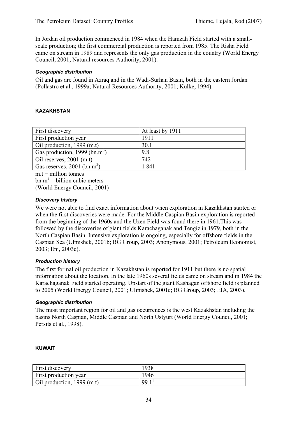In Jordan oil production commenced in 1984 when the Hamzah Field started with a smallscale production; the first commercial production is reported from 1985. The Risha Field came on stream in 1989 and represents the only gas production in the country (World Energy Council, 2001; Natural resources Authority, 2001).

# *Geographic distribution*

Oil and gas are found in Azraq and in the Wadi-Surhan Basin, both in the eastern Jordan (Pollastro et al., 1999a; Natural Resources Authority, 2001; Kulke, 1994).

#### **KAZAKHSTAN**

| First discovery                           | At least by 1911 |
|-------------------------------------------|------------------|
| First production year                     | 1911             |
| Oil production, 1999 (m.t)                | 30.1             |
| Gas production, 1999 (bn.m <sup>3</sup> ) | 9.8              |
| Oil reserves, $2001$ (m.t)                | 742              |
| Gas reserves, $2001$ (bn.m <sup>3</sup> ) | l 841            |

 $m.t = *m*$ illion tonnes

 $bm{m}^3$  = billion cubic meters (World Energy Council, 2001)

#### *Discovery history*

We were not able to find exact information about when exploration in Kazakhstan started or when the first discoveries were made. For the Middle Caspian Basin exploration is reported from the beginning of the 1960s and the Uzen Field was found there in 1961.This was followed by the discoveries of giant fields Karachaganak and Tengiz in 1979, both in the North Caspian Basin. Intensive exploration is ongoing, especially for offshore fields in the Caspian Sea (Ulmishek, 2001b; BG Group, 2003; Anonymous, 2001; Petroleum Economist, 2003; Eni, 2003c).

# *Production history*

The first formal oil production in Kazakhstan is reported for 1911 but there is no spatial information about the location. In the late 1960s several fields came on stream and in 1984 the Karachaganak Field started operating. Upstart of the giant Kashagan offshore field is planned to 2005 (World Energy Council, 2001; Ulmishek, 2001e; BG Group, 2003; EIA, 2003).

# *Geographic distribution*

The most important region for oil and gas occurrences is the west Kazakhstan including the basins North Caspian, Middle Caspian and North Ustyurt (World Energy Council, 2001; Persits et al., 1998).

#### **KUWAIT**

| First discovery            | 1938 |
|----------------------------|------|
| First production year      | 1946 |
| Oil production, 1999 (m.t) | 99.1 |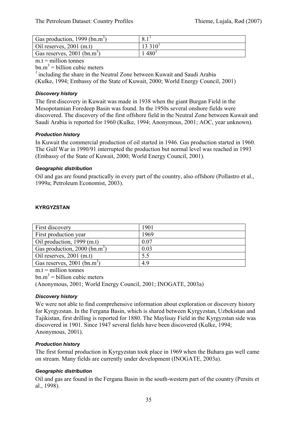| Gas production, 1999 (bn.m <sup>3</sup> ) |           |
|-------------------------------------------|-----------|
| Oil reserves, $2001$ (m.t)                | $13310^1$ |
| Gas reserves, $2001$ (bn.m <sup>3</sup> ) | $480^{1}$ |

# $m.t =$  million tonnes

 $bm{m}^3$  = billion cubic meters

 $1$  including the share in the Neutral Zone between Kuwait and Saudi Arabia (Kulke, 1994; Embassy of the State of Kuwait, 2000; World Energy Council, 2001)

#### *Discovery history*

The first discovery in Kuwait was made in 1938 when the giant Burgan Field in the Mesopotamian Foredeep Basin was found. In the 1950s several onshore fields were discovered. The discovery of the first offshore field in the Neutral Zone between Kuwait and Saudi Arabia is reported for 1960 (Kulke, 1994; Anonymous, 2001; AOC, year unknown).

#### *Production history*

In Kuwait the commercial production of oil started in 1946. Gas production started in 1960. The Gulf War in 1990/91 interrupted the production but normal level was reached in 1993 (Embassy of the State of Kuwait, 2000; World Energy Council, 2001).

#### *Geographic distribution*

Oil and gas are found practically in every part of the country, also offshore (Pollastro et al., 1999a; Petroleum Economist, 2003).

| <b>First discovery</b>                    | 1901 |
|-------------------------------------------|------|
| First production year                     | 1969 |
| $\vert$ Oil production, 1999 (m.t)        | 0.07 |
| Gas production, 2000 (bn.m <sup>3</sup> ) | 0.03 |
| Oil reserves, $2001$ (m.t)                | 5.5  |
| Gas reserves, 2001 (bn.m <sup>3</sup> )   | 4.9  |

#### **KYRGYZSTAN**

 $m.t =$  million tonnes

 $bm{m}^3$  = billion cubic meters

(Anonymous, 2001; World Energy Council, 2001; INOGATE, 2003a)

# *Discovery history*

We were not able to find comprehensive information about exploration or discovery history for Kyrgyzstan. In the Fergana Basin, which is shared between Kyrgyzstan, Uzbekistan and Tajikistan, first drilling is reported for 1880. The Maylisay Field in the Kyrgyzstan side was discovered in 1901. Since 1947 several fields have been discovered (Kulke, 1994; Anonymous, 2001).

#### *Production history*

The first formal production in Kyrgyzstan took place in 1969 when the Buhara gas well came on stream. Many fields are currently under development (INOGATE, 2003a).

# *Geographic distribution*

Oil and gas are found in the Fergana Basin in the south-western part of the country (Persits et al., 1998).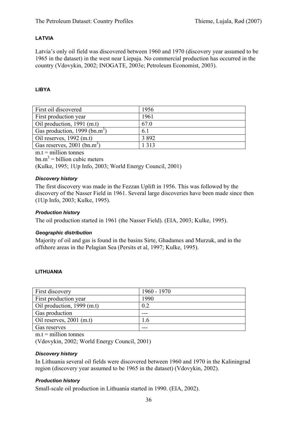# **LATVIA**

Latvia's only oil field was discovered between 1960 and 1970 (discovery year assumed to be 1965 in the dataset) in the west near Liepaja. No commercial production has occurred in the country (Vdovykin, 2002; INOGATE, 2003e; Petroleum Economist, 2003).

# **LIBYA**

| First oil discovered                      | 1956    |
|-------------------------------------------|---------|
| First production year                     | 1961    |
| Oil production, 1991 (m.t)                | 67.0    |
| Gas production, 1999 (bn.m <sup>3</sup> ) | 6.1     |
| Oil reserves, $1992$ (m.t)                | 3 8 9 2 |
| Gas reserves, $2001$ (bn.m <sup>3</sup> ) | 1 3 1 3 |
| .                                         |         |

 $m.t = *m*$ illion tonnes  $bm{m}^3$  = billion cubic meters (Kulke, 1995; 1Up Info, 2003; World Energy Council, 2001)

# *Discovery history*

The first discovery was made in the Fezzan Uplift in 1956. This was followed by the discovery of the Nasser Field in 1961. Several large discoveries have been made since then (1Up Info, 2003; Kulke, 1995).

#### *Production history*

The oil production started in 1961 (the Nasser Field). (EIA, 2003; Kulke, 1995).

#### *Geographic distribution*

Majority of oil and gas is found in the basins Sirte, Ghadames and Murzuk, and in the offshore areas in the Pelagian Sea (Persits et al, 1997; Kulke, 1995).

#### **LITHUANIA**

| First discovery            | $1960 - 1970$ |
|----------------------------|---------------|
| First production year      | 1990          |
| Oil production, 1999 (m.t) | 0.2           |
| Gas production             |               |
| Oil reserves, $2001$ (m.t) | $\mathbf{.6}$ |
| Gas reserves               | ---           |

 $m.t =$  million tonnes

(Vdovykin, 2002; World Energy Council, 2001)

#### *Discovery history*

In Lithuania several oil fields were discovered between 1960 and 1970 in the Kaliningrad region (discovery year assumed to be 1965 in the dataset) (Vdovykin, 2002).

#### *Production history*

Small-scale oil production in Lithuania started in 1990. (EIA, 2002).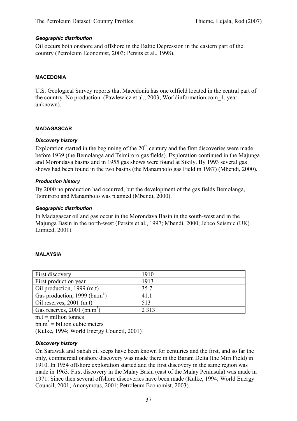#### *Geographic distribution*

Oil occurs both onshore and offshore in the Baltic Depression in the eastern part of the country (Petroleum Economist, 2003; Persits et al., 1998).

#### **MACEDONIA**

U.S. Geological Survey reports that Macedonia has one oilfield located in the central part of the country. No production. (Pawlewicz et al., 2003; Worldinformation.com\_1, year unknown).

#### **MADAGASCAR**

#### *Discovery history*

Exploration started in the beginning of the  $20<sup>th</sup>$  century and the first discoveries were made before 1939 (the Bemolanga and Tsimiroro gas fields). Exploration continued in the Majunga and Morondava basins and in 1955 gas shows were found at Sikily. By 1993 several gas shows had been found in the two basins (the Manambolo gas Field in 1987) (Mbendi, 2000).

#### *Production history*

By 2000 no production had occurred, but the development of the gas fields Bemolanga, Tsimiroro and Manambolo was planned (Mbendi, 2000).

#### *Geographic distribution*

In Madagascar oil and gas occur in the Morondava Basin in the south-west and in the Majunga Basin in the north-west (Persits et al., 1997; Mbendi, 2000; Jebco Seismic (UK) Limited, 2001).

#### **MALAYSIA**

| First discovery                           | 1910    |
|-------------------------------------------|---------|
| First production year                     | 1913    |
| Oil production, 1999 (m.t)                | 35.7    |
| Gas production, 1999 (bn.m <sup>3</sup> ) | 41.1    |
| Oil reserves, $2001$ (m.t)                | 513     |
| Gas reserves, $2001$ (bn.m <sup>3</sup> ) | 2 3 1 3 |

 $m.t =$  million tonnes

 $bm{m}^3$  = billion cubic meters

(Kulke, 1994; World Energy Council, 2001)

#### *Discovery history*

On Sarawak and Sabah oil seeps have been known for centuries and the first, and so far the only, commercial onshore discovery was made there in the Baram Delta (the Miri Field) in 1910. In 1954 offshore exploration started and the first discovery in the same region was made in 1963. First discovery in the Malay Basin (east of the Malay Peninsula) was made in 1971. Since then several offshore discoveries have been made (Kulke, 1994; World Energy Council, 2001; Anonymous, 2001; Petroleum Economist, 2003).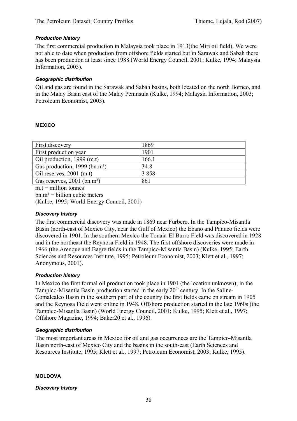### *Production history*

The first commercial production in Malaysia took place in 1913(the Miri oil field). We were not able to date when production from offshore fields started but in Sarawak and Sabah there has been production at least since 1988 (World Energy Council, 2001; Kulke, 1994; Malaysia Information, 2003).

#### *Geographic distribution*

Oil and gas are found in the Sarawak and Sabah basins, both located on the north Borneo, and in the Malay Basin east of the Malay Peninsula (Kulke, 1994; Malaysia Information, 2003; Petroleum Economist, 2003).

#### **MEXICO**

| First discovery                             | 1869  |
|---------------------------------------------|-------|
| First production year                       | 1901  |
| Oil production, 1999 (m.t)                  | 166.1 |
| Gas production, $1999$ (bn.m <sup>3</sup> ) | 34.8  |
| Oil reserves, $2001$ (m.t)                  | 3858  |
| Gas reserves, 2001 (bn.m <sup>3</sup> )     | 861   |
|                                             |       |

 $m.t =$  million tonnes

 $bn.m<sup>3</sup> = billion cubic meters$ 

(Kulke, 1995; World Energy Council, 2001)

#### *Discovery history*

The first commercial discovery was made in 1869 near Furbero. In the Tampico-Misantla Basin (north-east of Mexico City, near the Gulf of Mexico) the Ebano and Panuco fields were discovered in 1901. In the southern Mexico the Tonaia-El Burro Field was discovered in 1928 and in the northeast the Reynosa Field in 1948. The first offshore discoveries were made in 1966 (the Arenque and Bagre fields in the Tampico-Misantla Basin) (Kulke, 1995; Earth Sciences and Resources Institute, 1995; Petroleum Economist, 2003; Klett et al., 1997; Anonymous, 2001).

#### *Production history*

In Mexico the first formal oil production took place in 1901 (the location unknown); in the Tampico-Misantla Basin production started in the early  $20<sup>th</sup>$  century. In the Saline-Comalcalco Basin in the southern part of the country the first fields came on stream in 1905 and the Reynosa Field went online in 1948. Offshore production started in the late 1960s (the Tampico-Misantla Basin) (World Energy Council, 2001; Kulke, 1995; Klett et al., 1997; Offshore Magazine, 1994; Baker20 et al., 1996).

#### *Geographic distribution*

The most important areas in Mexico for oil and gas occurrences are the Tampico-Misantla Basin north-east of Mexico City and the basins in the south-east (Earth Sciences and Resources Institute, 1995; Klett et al., 1997; Petroleum Economist, 2003; Kulke, 1995).

#### **MOLDOVA**

*Discovery history*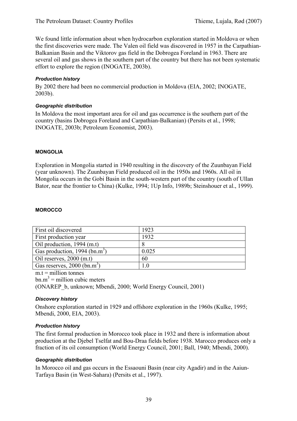We found little information about when hydrocarbon exploration started in Moldova or when the first discoveries were made. The Valen oil field was discovered in 1957 in the Carpathian-Balkanian Basin and the Viktorov gas field in the Dobrogea Foreland in 1963. There are several oil and gas shows in the southern part of the country but there has not been systematic effort to explore the region (INOGATE, 2003b).

## *Production history*

By 2002 there had been no commercial production in Moldova (EIA, 2002; INOGATE, 2003b).

### *Geographic distribution*

In Moldova the most important area for oil and gas occurrence is the southern part of the country (basins Dobrogea Foreland and Carpathian-Balkanian) (Persits et al., 1998; INOGATE, 2003b; Petroleum Economist, 2003).

### **MONGOLIA**

Exploration in Mongolia started in 1940 resulting in the discovery of the Zuunbayan Field (year unknown). The Zuunbayan Field produced oil in the 1950s and 1960s. All oil in Mongolia occurs in the Gobi Basin in the south-western part of the country (south of Ullan Bator, near the frontier to China) (Kulke, 1994; 1Up Info, 1989b; Steinshouer et al., 1999).

### **MOROCCO**

| First oil discovered                      | 1923                     |
|-------------------------------------------|--------------------------|
| First production year                     | 1932                     |
| Oil production, 1994 (m.t)                |                          |
| Gas production, 1994 (bn.m <sup>3</sup> ) | 0.025                    |
| Oil reserves, $2000$ (m.t)                | 60                       |
| Gas reserves, $2000$ (bn.m <sup>3</sup> ) | $\!\!\!\!\phantom{0}0.1$ |

 $m.t = *m*$ illion tonnes

 $bm{m}^3$  = million cubic meters

(ONAREP\_b, unknown; Mbendi, 2000; World Energy Council, 2001)

## *Discovery history*

Onshore exploration started in 1929 and offshore exploration in the 1960s (Kulke, 1995; Mbendi, 2000, EIA, 2003).

## *Production history*

The first formal production in Morocco took place in 1932 and there is information about production at the Djebel Tselfat and Bou-Draa fields before 1938. Marocco produces only a fraction of its oil consumption (World Energy Council, 2001; Ball, 1940; Mbendi, 2000).

## *Geographic distribution*

In Morocco oil and gas occurs in the Essaouni Basin (near city Agadir) and in the Aaiun-Tarfaya Basin (in West-Sahara) (Persits et al., 1997).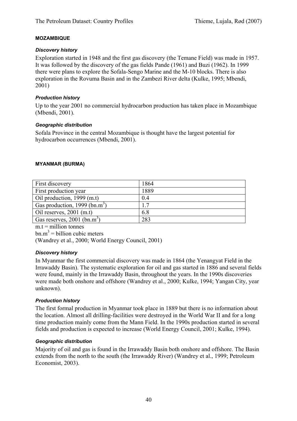## **MOZAMBIQUE**

### *Discovery history*

Exploration started in 1948 and the first gas discovery (the Temane Field) was made in 1957. It was followed by the discovery of the gas fields Pande (1961) and Buzi (1962). In 1999 there were plans to explore the Sofala-Sengo Marine and the M-10 blocks. There is also exploration in the Rovuma Basin and in the Zambezi River delta (Kulke, 1995; Mbendi, 2001)

## *Production history*

Up to the year 2001 no commercial hydrocarbon production has taken place in Mozambique (Mbendi, 2001).

### *Geographic distribution*

Sofala Province in the central Mozambique is thought have the largest potential for hydrocarbon occurrences (Mbendi, 2001).

### **MYANMAR (BURMA)**

| First discovery                           | 1864       |
|-------------------------------------------|------------|
| First production year                     | 1889       |
| Oil production, 1999 (m.t)                | 0.4        |
| Gas production, 1999 (bn.m <sup>3</sup> ) | $\sqrt{7}$ |
| Oil reserves, $2001$ (m.t)                | 6.8        |
| Gas reserves, $2001$ (bn.m <sup>3</sup> ) | 283        |

 $m.t =$  million tonnes

 $bm{m}^3$  = billion cubic meters

(Wandrey et al., 2000; World Energy Council, 2001)

## *Discovery history*

In Myanmar the first commercial discovery was made in 1864 (the Yenangyat Field in the Irrawaddy Basin). The systematic exploration for oil and gas started in 1886 and several fields were found, mainly in the Irrawaddy Basin, throughout the years. In the 1990s discoveries were made both onshore and offshore (Wandrey et al., 2000; Kulke, 1994; Yangan City, year unknown).

#### *Production history*

The first formal production in Myanmar took place in 1889 but there is no information about the location. Almost all drilling-facilities were destroyed in the World War II and for a long time production mainly come from the Mann Field. In the 1990s production started in several fields and production is expected to increase (World Energy Council, 2001; Kulke, 1994).

#### *Geographic distribution*

Majority of oil and gas is found in the Irrawaddy Basin both onshore and offshore. The Basin extends from the north to the south (the Irrawaddy River) (Wandrey et al., 1999; Petroleum Economist, 2003).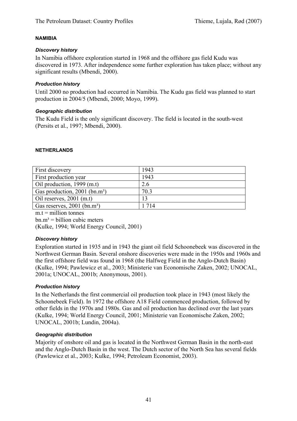### **NAMIBIA**

## *Discovery history*

In Namibia offshore exploration started in 1968 and the offshore gas field Kudu was discovered in 1973. After independence some further exploration has taken place; without any significant results (Mbendi, 2000).

## *Production history*

Until 2000 no production had occurred in Namibia. The Kudu gas field was planned to start production in 2004/5 (Mbendi, 2000; Moyo, 1999).

### *Geographic distribution*

The Kudu Field is the only significant discovery. The field is located in the south-west (Persits et al., 1997; Mbendi, 2000).

## **NETHERLANDS**

| First discovery                           | 1943    |
|-------------------------------------------|---------|
| First production year                     | 1943    |
| Oil production, $1999$ (m.t)              | 2.6     |
| Gas production, 2001 (bn.m <sup>3</sup> ) | 70.3    |
| Oil reserves, $2001$ (m.t)                | 13      |
| Gas reserves, 2001 (bn.m <sup>3</sup> )   | 1 7 1 4 |
|                                           |         |

 $m.t = *m*$ illion tonnes

 $bn.m<sup>3</sup> = billion cubic meters$ 

(Kulke, 1994; World Energy Council, 2001)

#### *Discovery history*

Exploration started in 1935 and in 1943 the giant oil field Schoonebeek was discovered in the Northwest German Basin. Several onshore discoveries were made in the 1950s and 1960s and the first offshore field was found in 1968 (the Halfweg Field in the Anglo-Dutch Basin) (Kulke, 1994; Pawlewicz et al., 2003; Ministerie van Economische Zaken, 2002; UNOCAL, 2001a; UNOCAL, 2001b; Anonymous, 2001).

## *Production history*

In the Netherlands the first commercial oil production took place in 1943 (most likely the Schoonebeek Field). In 1972 the offshore A18 Field commenced production, followed by other fields in the 1970s and 1980s. Gas and oil production has declined over the last years (Kulke, 1994; World Energy Council, 2001; Ministerie van Economische Zaken, 2002; UNOCAL, 2001b; Lundin, 2004a).

## *Geographic distribution*

Majority of onshore oil and gas is located in the Northwest German Basin in the north-east and the Anglo-Dutch Basin in the west. The Dutch sector of the North Sea has several fields (Pawlewicz et al., 2003; Kulke, 1994; Petroleum Economist, 2003).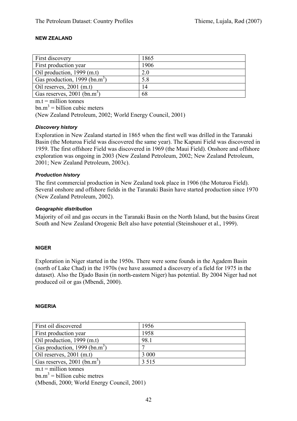### **NEW ZEALAND**

| <b>First discovery</b>                    | 1865 |
|-------------------------------------------|------|
| <b>First production year</b>              | 1906 |
| Oil production, $1999$ (m.t)              | 2.0  |
| Gas production, 1999 (bn.m <sup>3</sup> ) | 5.8  |
| Oil reserves, $2001$ (m.t)                | 14   |
| Gas reserves, $2001$ (bn.m <sup>3</sup> ) | 68   |

 $m.t =$  million tonnes

 $bm{m}^3$  = billion cubic meters

(New Zealand Petroleum, 2002; World Energy Council, 2001)

### *Discovery history*

Exploration in New Zealand started in 1865 when the first well was drilled in the Taranaki Basin (the Moturoa Field was discovered the same year). The Kapuni Field was discovered in 1959. The first offshore Field was discovered in 1969 (the Maui Field). Onshore and offshore exploration was ongoing in 2003 (New Zealand Petroleum, 2002; New Zealand Petroleum, 2001; New Zealand Petroleum, 2003c).

### *Production history*

The first commercial production in New Zealand took place in 1906 (the Moturoa Field). Several onshore and offshore fields in the Taranaki Basin have started production since 1970 (New Zealand Petroleum, 2002).

### *Geographic distribution*

Majority of oil and gas occurs in the Taranaki Basin on the North Island, but the basins Great South and New Zealand Orogenic Belt also have potential (Steinshouer et al., 1999).

#### **NIGER**

Exploration in Niger started in the 1950s. There were some founds in the Agadem Basin (north of Lake Chad) in the 1970s (we have assumed a discovery of a field for 1975 in the dataset). Also the Djado Basin (in north-eastern Niger) has potential. By 2004 Niger had not produced oil or gas (Mbendi, 2000).

#### **NIGERIA**

| First oil discovered                      | 1956    |
|-------------------------------------------|---------|
| First production year                     | 1958    |
| Oil production, 1999 (m.t)                | 98.1    |
| Gas production, 1999 (bn.m <sup>3</sup> ) |         |
| Oil reserves, $2001$ (m.t)                | 3 0 0 0 |
| Gas reserves, $2001$ (bn.m <sup>3</sup> ) | 3 5 1 5 |

 $m.t =$  million tonnes

 $bm{m}^3$  = billion cubic metres

(Mbendi, 2000; World Energy Council, 2001)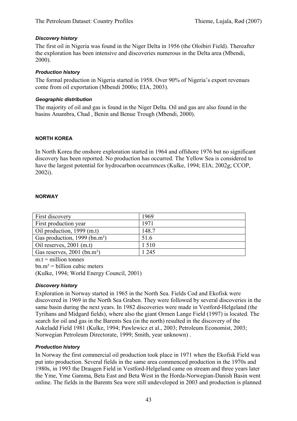## *Discovery history*

The first oil in Nigeria was found in the Niger Delta in 1956 (the Oloibiri Field). Thereafter the exploration has been intensive and discoveries numerous in the Delta area (Mbendi, 2000).

### *Production history*

The formal production in Nigeria started in 1958. Over 90% of Nigeria's export revenues come from oil exportation (Mbendi 2000o; EIA, 2003).

### *Geographic distribution*

The majority of oil and gas is found in the Niger Delta. Oil and gas are also found in the basins Anambra, Chad , Benin and Benue Trough (Mbendi, 2000).

### **NORTH KOREA**

In North Korea the onshore exploration started in 1964 and offshore 1976 but no significant discovery has been reported. No production has occurred. The Yellow Sea is considered to have the largest potential for hydrocarbon occurrences (Kulke, 1994; EIA; 2002g; CCOP, 2002i).

### **NORWAY**

| First discovery                           | 1969  |
|-------------------------------------------|-------|
| First production year                     | 1971  |
| Oil production, 1999 (m.t)                | 148.7 |
| Gas production, 1999 (bn.m <sup>3</sup> ) | 51.6  |
| Oil reserves, $2001$ (m.t)                | 1510  |
| Gas reserves, 2001 (bn.m <sup>3</sup> )   | 1 245 |

 $m.t =$  million tonnes

 $bm.m^3 = \text{billion cubic meters}$ 

(Kulke, 1994; World Energy Council, 2001)

#### *Discovery history*

Exploration in Norway started in 1965 in the North Sea. Fields Cod and Ekofisk were discovered in 1969 in the North Sea Graben. They were followed by several discoveries in the same basin during the next years. In 1982 discoveries were made in Vestford-Helgeland (the Tyrihans and Midgard fields), where also the giant Ormen Lange Field (1997) is located. The search for oil and gas in the Barents Sea (in the north) resulted in the discovery of the Askeladd Field 1981 (Kulke, 1994; Pawlewicz et al., 2003; Petroleum Economist, 2003; Norwegian Petroleum Directorate, 1999; Smith, year unknown) .

## *Production history*

In Norway the first commercial oil production took place in 1971 when the Ekofisk Field was put into production. Several fields in the same area commenced production in the 1970s and 1980s, in 1993 the Draugen Field in Vestford-Helgeland came on stream and three years later the Yme, Yme Gamma, Beta East and Beta West in the Horda-Norwegian-Danish Basin went online. The fields in the Barents Sea were still undeveloped in 2003 and production is planned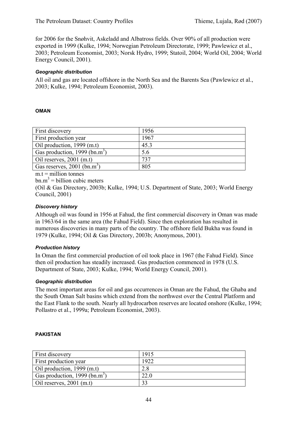for 2006 for the Snøhvit, Askeladd and Albatross fields. Over 90% of all production were exported in 1999 (Kulke, 1994; Norwegian Petroleum Directorate, 1999; Pawlewicz et al., 2003; Petroleum Economist, 2003; Norsk Hydro, 1999; Statoil, 2004; World Oil, 2004; World Energy Council, 2001).

## *Geographic distribution*

All oil and gas are located offshore in the North Sea and the Barents Sea (Pawlewicz et al., 2003; Kulke, 1994; Petroleum Economist, 2003).

### **OMAN**

| First discovery                           | 1956 |
|-------------------------------------------|------|
| First production year                     | 1967 |
| Oil production, 1999 (m.t)                | 45.3 |
| Gas production, 1999 (bn.m <sup>3</sup> ) | 5.6  |
| Oil reserves, $2001$ (m.t)                | 737  |
| Gas reserves, $2001$ (bn.m <sup>3</sup> ) | 805  |

 $m_t$  = million tonnes

 $bm{m}^3$  = billion cubic meters

(Oil & Gas Directory, 2003b; Kulke, 1994; U.S. Department of State, 2003; World Energy Council, 2001)

### *Discovery history*

Although oil was found in 1956 at Fahud, the first commercial discovery in Oman was made in 1963/64 in the same area (the Fahud Field). Since then exploration has resulted in numerous discoveries in many parts of the country. The offshore field Bukha was found in 1979 (Kulke, 1994; Oil & Gas Directory, 2003b; Anonymous, 2001).

#### *Production history*

In Oman the first commercial production of oil took place in 1967 (the Fahud Field). Since then oil production has steadily increased. Gas production commenced in 1978 (U.S. Department of State, 2003; Kulke, 1994; World Energy Council, 2001).

#### *Geographic distribution*

The most important areas for oil and gas occurrences in Oman are the Fahud, the Ghaba and the South Oman Salt basins which extend from the northwest over the Central Platform and the East Flank to the south. Nearly all hydrocarbon reserves are located onshore (Kulke, 1994; Pollastro et al., 1999a; Petroleum Economist, 2003).

#### **PAKISTAN**

| First discovery                           | 1915 |
|-------------------------------------------|------|
| First production year                     | 1922 |
| Oil production, 1999 (m.t)                | 2.8  |
| Gas production, 1999 (bn.m <sup>3</sup> ) | 22.0 |
| Oil reserves, $2001$ (m.t)                | 33   |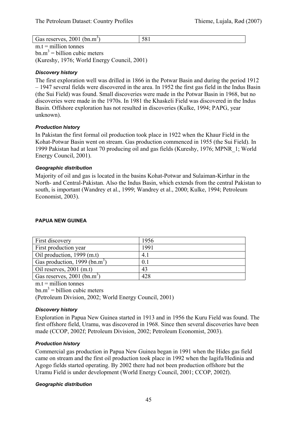| Gas reserves, $2001$ (bn.m <sup>3</sup> ) | 581 |
|-------------------------------------------|-----|
|                                           |     |

 $m.t = *m*$ illion tonnes  $bm{m}^3$  = billion cubic meters (Kureshy, 1976; World Energy Council, 2001)

## *Discovery history*

The first exploration well was drilled in 1866 in the Potwar Basin and during the period 1912 – 1947 several fields were discovered in the area. In 1952 the first gas field in the Indus Basin (the Sui Field) was found. Small discoveries were made in the Potwar Basin in 1968, but no discoveries were made in the 1970s. In 1981 the Khaskeli Field was discovered in the Indus Basin. Offshore exploration has not resulted in discoveries (Kulke, 1994; PAPG, year unknown).

### *Production history*

In Pakistan the first formal oil production took place in 1922 when the Khaur Field in the Kohat-Potwar Basin went on stream. Gas production commenced in 1955 (the Sui Field). In 1999 Pakistan had at least 70 producing oil and gas fields (Kureshy, 1976; MPNR\_1; World Energy Council, 2001).

## *Geographic distribution*

Majority of oil and gas is located in the basins Kohat-Potwar and Sulaiman-Kirthar in the North- and Central-Pakistan. Also the Indus Basin, which extends from the central Pakistan to south, is important (Wandrey et al., 1999; Wandrey et al., 2000; Kulke, 1994; Petroleum Economist, 2003).

## **PAPUA NEW GUINEA**

| First discovery                           | 1956 |
|-------------------------------------------|------|
| First production year                     | 1991 |
| Oil production, 1999 (m.t)                | 4.1  |
| Gas production, 1999 (bn.m <sup>3)</sup>  | 0.1  |
| Oil reserves, $2001$ (m.t)                | 43   |
| Gas reserves, $2001$ (bn.m <sup>3</sup> ) | 428  |

 $m.t =$  million tonnes

 $bm{m}^3$  = billion cubic meters

(Petroleum Division, 2002; World Energy Council, 2001)

## *Discovery history*

Exploration in Papua New Guinea started in 1913 and in 1956 the Kuru Field was found. The first offshore field, Uramu, was discovered in 1968. Since then several discoveries have been made (CCOP, 2002f; Petroleum Division, 2002; Petroleum Economist, 2003).

## *Production history*

Commercial gas production in Papua New Guinea began in 1991 when the Hides gas field came on stream and the first oil production took place in 1992 when the Iagifu/Hedinia and Agogo fields started operating. By 2002 there had not been production offshore but the Uramu Field is under development (World Energy Council, 2001; CCOP, 2002f).

#### *Geographic distribution*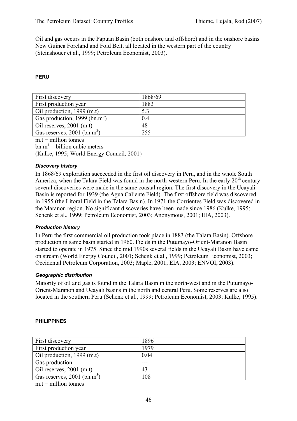Oil and gas occurs in the Papuan Basin (both onshore and offshore) and in the onshore basins New Guinea Foreland and Fold Belt, all located in the western part of the country (Steinshouer et al., 1999; Petroleum Economist, 2003).

## **PERU**

| First discovery                           | 1868/69 |
|-------------------------------------------|---------|
| First production year                     | 1883    |
| Oil production, 1999 (m.t)                | 5.3     |
| Gas production, 1999 (bn.m <sup>3</sup> ) | 0.4     |
| Oil reserves, $2001$ (m.t)                | 48      |
| Gas reserves, $2001$ (bn.m <sup>3</sup> ) | 255     |

 $m.t =$  million tonnes

 $bm{m}^3$  = billion cubic meters

(Kulke, 1995; World Energy Council, 2001)

### *Discovery history*

In 1868/69 exploration succeeded in the first oil discovery in Peru, and in the whole South America, when the Talara Field was found in the north-western Peru. In the early  $20<sup>th</sup>$  century several discoveries were made in the same coastal region. The first discovery in the Ucayali Basin is reported for 1939 (the Agua Caliente Field). The first offshore field was discovered in 1955 (the Litoral Field in the Talara Basin). In 1971 the Corrientes Field was discovered in the Maranon region. No significant discoveries have been made since 1986 (Kulke, 1995; Schenk et al., 1999; Petroleum Economist, 2003; Anonymous, 2001; EIA, 2003).

#### *Production history*

In Peru the first commercial oil production took place in 1883 (the Talara Basin). Offshore production in same basin started in 1960. Fields in the Putumayo-Orient-Maranon Basin started to operate in 1975. Since the mid 1990s several fields in the Ucayali Basin have came on stream (World Energy Council, 2001; Schenk et al., 1999; Petroleum Economist, 2003; Occidental Petroleum Corporation, 2003; Maple, 2001; EIA, 2003; ENVOI, 2003).

#### *Geographic distribution*

Majority of oil and gas is found in the Talara Basin in the north-west and in the Putumayo-Orient-Maranon and Ucayali basins in the north and central Peru. Some reserves are also located in the southern Peru (Schenk et al., 1999; Petroleum Economist, 2003; Kulke, 1995).

#### **PHILIPPINES**

| First discovery                           | 1896 |
|-------------------------------------------|------|
| First production year                     | 1979 |
| Oil production, 1999 (m.t)                | 0.04 |
| Gas production                            |      |
| Oil reserves, $2001$ (m.t)                | 43   |
| Gas reserves, $2001$ (bn.m <sup>3</sup> ) | 108  |

 $m.t = million tonnes$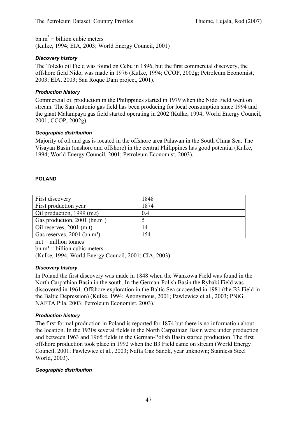$bm{m}^3$  = billion cubic meters (Kulke, 1994; EIA, 2003; World Energy Council, 2001)

## *Discovery history*

The Toledo oil Field was found on Cebu in 1896, but the first commercial discovery, the offshore field Nido, was made in 1976 (Kulke, 1994; CCOP, 2002g; Petroleum Economist, 2003; EIA, 2003; San Roque Dam project, 2001).

## *Production history*

Commercial oil production in the Philippines started in 1979 when the Nido Field went on stream. The San Antonio gas field has been producing for local consumption since 1994 and the giant Malampaya gas field started operating in 2002 (Kulke, 1994; World Energy Council, 2001; CCOP, 2002g).

## *Geographic distribution*

Majority of oil and gas is located in the offshore area Palawan in the South China Sea. The Visayan Basin (onshore and offshore) in the central Philippines has good potential (Kulke, 1994; World Energy Council, 2001; Petroleum Economist, 2003).

## **POLAND**

| First discovery                             | 1848 |
|---------------------------------------------|------|
| First production year                       | 1874 |
| Oil production, $1999$ (m.t)                | 0.4  |
| Gas production, $2001$ (bn.m <sup>3</sup> ) |      |
| Oil reserves, $2001$ (m.t)                  | 14   |
| Gas reserves, $2001$ (bn.m <sup>3</sup> )   | 154  |

 $m.t = *m*$ illion tonnes

 $bm.m^3 = \text{billion cubic meters}$ 

(Kulke, 1994; World Energy Council, 2001; CIA, 2003)

## *Discovery history*

In Poland the first discovery was made in 1848 when the Wankowa Field was found in the North Carpathian Basin in the south. In the German-Polish Basin the Rybaki Field was discovered in 1961. Offshore exploration in the Baltic Sea succeeded in 1981 (the B3 Field in the Baltic Depression) (Kulke, 1994; Anonymous, 2001; Pawlewicz et al., 2003; PNiG NAFTA Pila, 2003; Petroleum Economist, 2003).

## *Production history*

The first formal production in Poland is reported for 1874 but there is no information about the location. In the 1930s several fields in the North Carpathian Basin were under production and between 1963 and 1965 fields in the German-Polish Basin started production. The first offshore production took place in 1992 when the B3 Field came on stream (World Energy Council, 2001; Pawlewicz et al., 2003; Nafta Gaz Sanok, year unknown; Stainless Steel World, 2003).

## *Geographic distribution*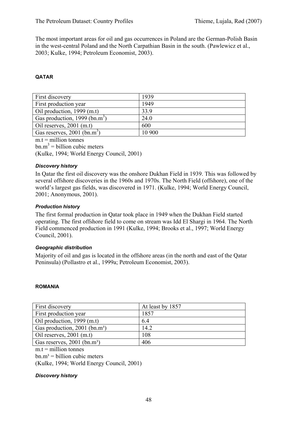The most important areas for oil and gas occurrences in Poland are the German-Polish Basin in the west-central Poland and the North Carpathian Basin in the south. (Pawlewicz et al., 2003; Kulke, 1994; Petroleum Economist, 2003).

## **QATAR**

| First discovery                           | 1939   |
|-------------------------------------------|--------|
| First production year                     | 1949   |
| Oil production, 1999 (m.t)                | 33.9   |
| Gas production, 1999 (bn.m <sup>3</sup> ) | 24.0   |
| Oil reserves, $2001$ (m.t)                | 600    |
| Gas reserves, $2001$ (bn.m <sup>3</sup> ) | 10 900 |

 $m.t =$  million tonnes  $bm{m}^3$  = billion cubic meters

(Kulke, 1994; World Energy Council, 2001)

### *Discovery history*

In Qatar the first oil discovery was the onshore Dukhan Field in 1939. This was followed by several offshore discoveries in the 1960s and 1970s. The North Field (offshore), one of the world's largest gas fields, was discovered in 1971. (Kulke, 1994; World Energy Council, 2001; Anonymous, 2001).

### *Production history*

The first formal production in Qatar took place in 1949 when the Dukhan Field started operating. The first offshore field to come on stream was Idd El Shargi in 1964. The North Field commenced production in 1991 (Kulke, 1994; Brooks et al., 1997; World Energy Council, 2001).

#### *Geographic distribution*

Majority of oil and gas is located in the offshore areas (in the north and east of the Qatar Peninsula) (Pollastro et al., 1999a; Petroleum Economist, 2003).

#### **ROMANIA**

| First discovery                             | At least by 1857 |
|---------------------------------------------|------------------|
| First production year                       | 1857             |
| Oil production, 1999 (m.t)                  | 6.4              |
| Gas production, $2001$ (bn.m <sup>3</sup> ) | 14.2             |
| Oil reserves, $2001$ (m.t)                  | 108              |
| Gas reserves, 2001 (bn.m <sup>3</sup> )     | 406              |

 $m t =$  million tonnes

 $bn.m<sup>3</sup> = billion cubic meters$ 

(Kulke, 1994; World Energy Council, 2001)

#### *Discovery history*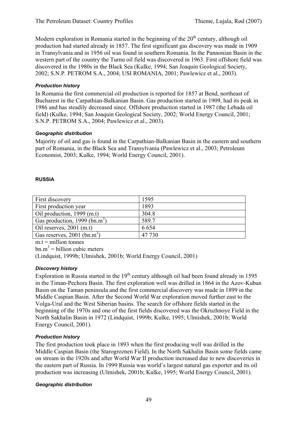Modern exploration in Romania started in the beginning of the  $20<sup>th</sup>$  century, although oil production had started already in 1857. The first significant gas discovery was made in 1909 in Transylvania and in 1956 oil was found in southern Romania. In the Pannonian Basin in the western part of the country the Turnu oil field was discovered in 1963. First offshore field was discovered in the 1980s in the Black Sea (Kulke, 1994; San Joaquin Geological Society, 2002; S.N.P. PETROM S.A., 2004; USI ROMANIA, 2001; Pawlewicz et al., 2003).

## *Production history*

In Romania the first commercial oil production is reported for 1857 at Bend, northeast of Bucharest in the Carpathian-Balkanian Basin. Gas production started in 1909, had its peak in 1986 and has steadily decreased since. Offshore production started in 1987 (the Lebada oil field) (Kulke, 1994; San Joaquin Geological Society, 2002; World Energy Council, 2001; S.N.P. PETROM S.A., 2004; Pawlewicz et al., 2003).

### *Geographic distribution*

Majority of oil and gas is found in the Carpathian-Balkanian Basin in the eastern and southern part of Romania, in the Black Sea and Transylvania (Pawlewicz et al., 2003; Petroleum Economist, 2003; Kulke, 1994; World Energy Council, 2001).

### **RUSSIA**

| First discovery                           | 1595    |
|-------------------------------------------|---------|
| First production year                     | 1893    |
| Oil production, 1999 (m.t)                | 304.8   |
| Gas production, 1999 (bn.m <sup>3</sup> ) | 589.7   |
| Oil reserves, $2001$ (m.t)                | 6 6 5 4 |
| Gas reserves, $2001$ (bn.m <sup>3</sup> ) | 47 730  |

 $m.t = million tonnes$ 

 $bm{m}^3$  = billion cubic meters

(Lindquist, 1999b; Ulmishek, 2001b; World Energy Council, 2001)

## *Discovery history*

Exploration in Russia started in the  $19<sup>th</sup>$  century although oil had been found already in 1595 in the Timan-Pechora Basin. The first exploration well was drilled in 1864 in the Azov-Kuban Basin on the Taman peninsula and the first commercial discovery was made in 1899 in the Middle Caspian Basin. After the Second World War exploration moved further east to the Volga-Ural and the West Siberian basins. The search for offshore fields started in the beginning of the 1970s and one of the first fields discovered was the Okruzhnoye Field in the North Sakhalin Basin in 1972 (Lindquist, 1999b; Kulke, 1995; Ulmishek, 2001b; World Energy Council, 2001).

## *Production history*

The first production took place in 1893 when the first producing well was drilled in the Middle Caspian Basin (the Starogroznen Field). In the North Sakhalin Basin some fields came on stream in the 1920s and after World War II production increased due to new discoveries in the eastern part of Russia. In 1999 Russia was world's largest natural gas exporter and its oil production was increasing (Ulmishek, 2001b; Kulke, 1995; World Energy Council, 2001).

#### *Geographic distribution*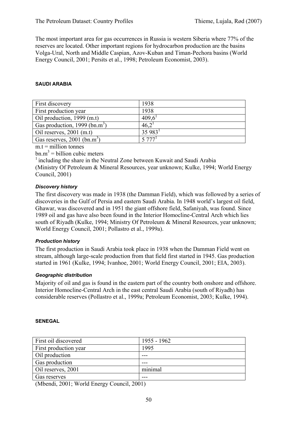The most important area for gas occurrences in Russia is western Siberia where 77% of the reserves are located. Other important regions for hydrocarbon production are the basins Volga-Ural, North and Middle Caspian, Azov-Kuban and Timan-Pechora basins (World Energy Council, 2001; Persits et al., 1998; Petroleum Economist, 2003).

### **SAUDI ARABIA**

| First discovery                           | 1938                 |
|-------------------------------------------|----------------------|
| First production year                     | 1938                 |
| Oil production, 1999 (m.t)                | 409.6                |
| Gas production, 1999 (bn.m <sup>3</sup> ) | 46,2                 |
| Oil reserves, $2001$ (m.t)                | $35983^1$            |
| Gas reserves, $2001$ (bn.m <sup>3</sup> ) | $5.777$ <sup>1</sup> |
|                                           |                      |

 $m.t = million tonnes$ 

 $bm{m}^3$  = billion cubic meters

 $1$  including the share in the Neutral Zone between Kuwait and Saudi Arabia (Ministry Of Petroleum & Mineral Resources, year unknown; Kulke, 1994; World Energy Council, 2001)

### *Discovery history*

The first discovery was made in 1938 (the Damman Field), which was followed by a series of discoveries in the Gulf of Persia and eastern Saudi Arabia. In 1948 world's largest oil field, Ghawar, was discovered and in 1951 the giant offshore field, Safaniyah, was found. Since 1989 oil and gas have also been found in the Interior Homocline-Central Arch which lies south of Riyadh (Kulke, 1994; Ministry Of Petroleum & Mineral Resources, year unknown; World Energy Council, 2001; Pollastro et al., 1999a).

## *Production history*

The first production in Saudi Arabia took place in 1938 when the Damman Field went on stream, although large-scale production from that field first started in 1945. Gas production started in 1961 (Kulke, 1994; Ivanhoe, 2001; World Energy Council, 2001; EIA, 2003).

## *Geographic distribution*

Majority of oil and gas is found in the eastern part of the country both onshore and offshore. Interior Homocline-Central Arch in the east central Saudi Arabia (south of Riyadh) has considerable reserves (Pollastro et al., 1999a; Petroleum Economist, 2003; Kulke, 1994).

### **SENEGAL**

| First oil discovered  | 1955 - 1962 |
|-----------------------|-------------|
| First production year | 1995        |
| Oil production        |             |
| Gas production        | ---         |
| Oil reserves, 2001    | minimal     |
| Gas reserves          |             |

(Mbendi, 2001; World Energy Council, 2001)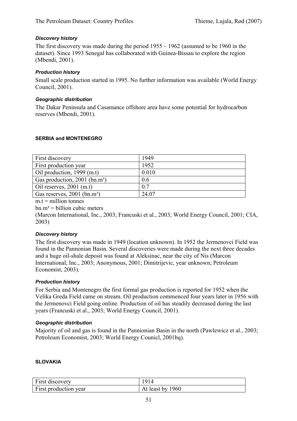## *Discovery history*

The first discovery was made during the period 1955 – 1962 (assumed to be 1960 in the dataset). Since 1993 Senegal has collaborated with Guinea-Bissau to explore the region (Mbendi, 2001).

### *Production history*

Small scale production started in 1995. No further information was available (World Energy Council, 2001).

### *Geographic distribution*

The Dakar Peninsula and Casamance offshore area have some potential for hydrocarbon reserves (Mbendi, 2001).

### **SERBIA and MONTENEGRO**

| First discovery                             | 1949  |
|---------------------------------------------|-------|
|                                             |       |
| First production year                       | 1952  |
| Oil production, 1999 (m.t)                  | 0.010 |
| Gas production, $2001$ (bn.m <sup>3</sup> ) | 0.6   |
| Oil reserves, $2001$ (m.t)                  | 0.7   |
| Gas reserves, 2001 (bn.m <sup>3</sup> )     | 24.07 |

 $m.t = *m*$ illion tonnes

 $bm.m^3 = \text{billion cubic meters}$ 

(Marcon International, Inc., 2003; Francuski et al., 2003; World Energy Council, 2001; CIA, 2003)

#### *Discovery history*

The first discovery was made in 1949 (location unknown). In 1952 the Jermenovci Field was found in the Pannonian Basin. Several discoveries were made during the next three decades and a huge oil-shale deposit was found at Aleksinac, near the city of Nis (Marcon International, Inc., 2003; Anonymous, 2001; Dimitrijevic, year unknown; Petroleum Economist, 2003).

## *Production history*

For Serbia and Montenegro the first formal gas production is reported for 1952 when the Velika Greda Field came on stream. Oil production commenced four years later in 1956 with the Jermenovci Field going online. Production of oil has steadily decreased during the last years (Francuski et al., 2003; World Energy Council, 2001).

#### *Geographic distribution*

Majority of oil and gas is found in the Pannionian Basin in the north (Pawlewicz et al., 2003; Petroleum Economist, 2003; World Energy Counicl, 2001bq).

#### **SLOVAKIA**

| First discovery       | 1914             |
|-----------------------|------------------|
| First production year | At least by 1960 |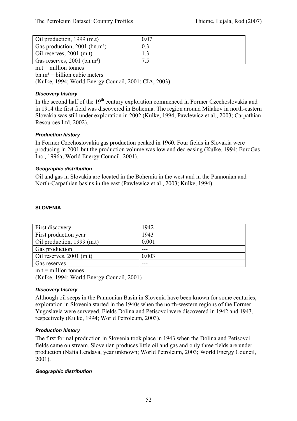| Oil production, 1999 (m.t)                  | 0.07 |
|---------------------------------------------|------|
| Gas production, $2001$ (bn.m <sup>3</sup> ) |      |
| Oil reserves, $2001$ (m.t)                  |      |
| Gas reserves, $2001$ (bn.m <sup>3</sup> )   |      |

 $m.t =$  million tonnes

 $bm.m^3 = \text{billion cubic meters}$ 

(Kulke, 1994; World Energy Council, 2001; CIA, 2003)

## *Discovery history*

In the second half of the  $19<sup>th</sup>$  century exploration commenced in Former Czechoslovakia and in 1914 the first field was discovered in Bohemia. The region around Milakov in north-eastern Slovakia was still under exploration in 2002 (Kulke, 1994; Pawlewicz et al., 2003; Carpathian Resources Ltd, 2002).

## *Production history*

In Former Czechoslovakia gas production peaked in 1960. Four fields in Slovakia were producing in 2001 but the production volume was low and decreasing (Kulke, 1994; EuroGas Inc., 1996a; World Energy Council, 2001).

### *Geographic distribution*

Oil and gas in Slovakia are located in the Bohemia in the west and in the Pannonian and North-Carpathian basins in the east (Pawlewicz et al., 2003; Kulke, 1994).

### **SLOVENIA**

| <b>First discovery</b>       | 1942  |
|------------------------------|-------|
| <b>First production year</b> | 1943  |
|                              | 0.001 |
| Oil production, $1999$ (m.t) |       |
| Gas production               |       |
| Oil reserves, $2001$ (m.t)   | 0.003 |
| Gas reserves                 |       |

 $m.t =$  million tonnes

(Kulke, 1994; World Energy Council, 2001)

## *Discovery history*

Although oil seeps in the Pannonian Basin in Slovenia have been known for some centuries, exploration in Slovenia started in the 1940s when the north-western regions of the Former Yugoslavia were surveyed. Fields Dolina and Petisovci were discovered in 1942 and 1943, respectively (Kulke, 1994; World Petroleum, 2003).

## *Production history*

The first formal production in Slovenia took place in 1943 when the Dolina and Petisovci fields came on stream. Slovenian produces little oil and gas and only three fields are under production (Nafta Lendava, year unknown; World Petroleum, 2003; World Energy Council, 2001).

#### *Geographic distribution*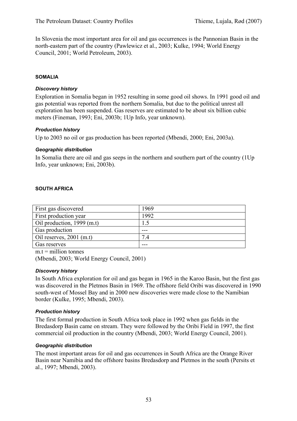In Slovenia the most important area for oil and gas occurrences is the Pannonian Basin in the north-eastern part of the country (Pawlewicz et al., 2003; Kulke, 1994; World Energy Council, 2001; World Petroleum, 2003).

### **SOMALIA**

### *Discovery history*

Exploration in Somalia began in 1952 resulting in some good oil shows. In 1991 good oil and gas potential was reported from the northern Somalia, but due to the political unrest all exploration has been suspended. Gas reserves are estimated to be about six billion cubic meters (Fineman, 1993; Eni, 2003b; 1Up Info, year unknown).

### *Production history*

Up to 2003 no oil or gas production has been reported (Mbendi, 2000; Eni, 2003a).

### *Geographic distribution*

In Somalia there are oil and gas seeps in the northern and southern part of the country (1Up Info, year unknown; Eni, 2003b).

### **SOUTH AFRICA**

| First gas discovered       | 1969 |
|----------------------------|------|
| First production year      | 1992 |
| Oil production, 1999 (m.t) |      |
| Gas production             |      |
| Oil reserves, $2001$ (m.t) | 74   |
| Gas reserves               |      |

 $m t =$  million tonnes

(Mbendi, 2003; World Energy Council, 2001)

#### *Discovery history*

In South Africa exploration for oil and gas began in 1965 in the Karoo Basin, but the first gas was discovered in the Pletmos Basin in 1969. The offshore field Oribi was discovered in 1990 south-west of Mossel Bay and in 2000 new discoveries were made close to the Namibian border (Kulke, 1995; Mbendi, 2003).

## *Production history*

The first formal production in South Africa took place in 1992 when gas fields in the Bredasdorp Basin came on stream. They were followed by the Oribi Field in 1997, the first commercial oil production in the country (Mbendi, 2003; World Energy Council, 2001).

## *Geographic distribution*

The most important areas for oil and gas occurrences in South Africa are the Orange River Basin near Namibia and the offshore basins Bredasdorp and Pletmos in the south (Persits et al., 1997; Mbendi, 2003).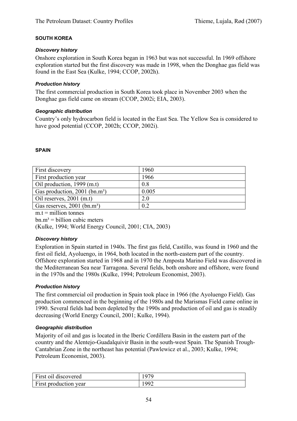## **SOUTH KOREA**

### *Discovery history*

Onshore exploration in South Korea began in 1963 but was not successful. In 1969 offshore exploration started but the first discovery was made in 1998, when the Donghae gas field was found in the East Sea (Kulke, 1994; CCOP, 2002h).

## *Production history*

The first commercial production in South Korea took place in November 2003 when the Donghae gas field came on stream (CCOP, 2002i; EIA, 2003).

### *Geographic distribution*

Country's only hydrocarbon field is located in the East Sea. The Yellow Sea is considered to have good potential (CCOP, 2002h; CCOP, 2002i).

### **SPAIN**

| First discovery                             | 1960  |
|---------------------------------------------|-------|
| First production year                       | 1966  |
| Oil production, 1999 (m.t)                  | 0.8   |
| Gas production, $2001$ (bn.m <sup>3</sup> ) | 0.005 |
| Oil reserves, $2001$ (m.t)                  | 2.0   |
| Gas reserves, 2001 (bn.m <sup>3</sup> )     | 0.2   |
|                                             |       |

 $m.t = *million tonnes*$ 

 $bn.m<sup>3</sup> = billion cubic meters$ 

(Kulke, 1994; World Energy Council, 2001; CIA, 2003)

#### *Discovery history*

Exploration in Spain started in 1940s. The first gas field, Castillo, was found in 1960 and the first oil field, Ayoluengo, in 1964, both located in the north-eastern part of the country. Offshore exploration started in 1968 and in 1970 the Amposta Marino Field was discovered in the Mediterranean Sea near Tarragona. Several fields, both onshore and offshore, were found in the 1970s and the 1980s (Kulke, 1994; Petroleum Economist, 2003).

## *Production history*

The first commercial oil production in Spain took place in 1966 (the Ayoluengo Field). Gas production commenced in the beginning of the 1980s and the Marismas Field came online in 1990. Several fields had been depleted by the 1990s and production of oil and gas is steadily decreasing (World Energy Council, 2001; Kulke, 1994).

## *Geographic distribution*

Majority of oil and gas is located in the Iberic Cordillera Basin in the eastern part of the country and the Alentejo-Guadalquivir Basin in the south-west Spain. The Spanish Trough-Cantabrian Zone in the northeast has potential (Pawlewicz et al., 2003; Kulke, 1994; Petroleum Economist, 2003).

| First oil discovered  | 979  |
|-----------------------|------|
| First production year | 1002 |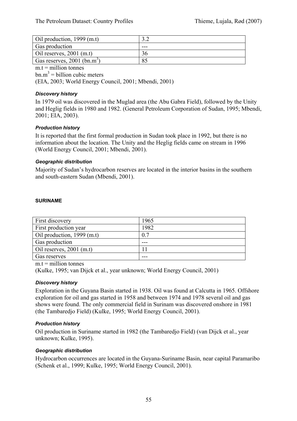| Oil production, 1999 (m.t)                |     |  |
|-------------------------------------------|-----|--|
| Gas production                            | --- |  |
| Oil reserves, $2001$ (m.t)                |     |  |
| Gas reserves, $2001$ (bn.m <sup>3</sup> ) | 85  |  |
|                                           |     |  |

 $m.t =$  million tonnes

 $bm{m}^3$  = billion cubic meters

(EIA, 2003; World Energy Council, 2001; Mbendi, 2001)

### *Discovery history*

In 1979 oil was discovered in the Muglad area (the Abu Gabra Field), followed by the Unity and Heglig fields in 1980 and 1982. (General Petroleum Corporation of Sudan, 1995; Mbendi, 2001; EIA, 2003).

## *Production history*

It is reported that the first formal production in Sudan took place in 1992, but there is no information about the location. The Unity and the Heglig fields came on stream in 1996 (World Energy Council, 2001; Mbendi, 2001).

## *Geographic distribution*

Majority of Sudan's hydrocarbon reserves are located in the interior basins in the southern and south-eastern Sudan (Mbendi, 2001).

### **SURINAME**

| <b>First discovery</b>       | 1965 |
|------------------------------|------|
| <b>First production year</b> | 1982 |
| Oil production, $1999$ (m.t) | 0.7  |
| Gas production               |      |
| Oil reserves, $2001$ (m.t)   |      |
| Gas reserves                 |      |

 $m t =$  million tonnes

(Kulke, 1995; van Dijck et al., year unknown; World Energy Council, 2001)

#### *Discovery history*

Exploration in the Guyana Basin started in 1938. Oil was found at Calcutta in 1965. Offshore exploration for oil and gas started in 1958 and between 1974 and 1978 several oil and gas shows were found. The only commercial field in Surinam was discovered onshore in 1981 (the Tambaredjo Field) (Kulke, 1995; World Energy Council, 2001).

## *Production history*

Oil production in Suriname started in 1982 (the Tambaredjo Field) (van Dijck et al., year unknown; Kulke, 1995).

## *Geographic distribution*

Hydrocarbon occurrences are located in the Guyana-Suriname Basin, near capital Paramaribo (Schenk et al., 1999; Kulke, 1995; World Energy Council, 2001).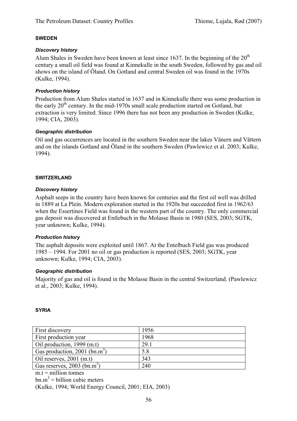#### **SWEDEN**

### *Discovery history*

Alum Shales in Sweden have been known at least since 1637. In the beginning of the  $20<sup>th</sup>$ century a small oil field was found at Kinnekulle in the south Sweden, followed by gas and oil shows on the island of Öland. On Gotland and central Sweden oil was found in the 1970s (Kulke, 1994).

## *Production history*

Production from Alum Shales started in 1637 and in Kinnekulle there was some production in the early  $20<sup>th</sup>$  century. In the mid-1970s small scale production started on Gotland, but extraction is very limited. Since 1996 there has not been any production in Sweden (Kulke, 1994; CIA, 2003).

### *Geographic distribution*

Oil and gas occurrences are located in the southern Sweden near the lakes Vänern and Vättern and on the islands Gotland and Öland in the southern Sweden (Pawlewicz et al. 2003; Kulke, 1994).

### **SWITZERLAND**

## *Discovery history*

Asphalt seeps in the country have been known for centuries and the first oil well was drilled in 1889 at La Plein. Modern exploration started in the 1920s but succeeded first in 1962/63 when the Essertines Field was found in the western part of the country. The only commercial gas deposit was discovered at Entlebuch in the Molasse Basin in 1980 (SES, 2003; SGTK, year unknown; Kulke, 1994).

## *Production history*

The asphalt deposits were exploited until 1867. At the Entelbuch Field gas was produced 1985 – 1994. For 2001 no oil or gas production is reported (SES, 2003; SGTK, year unknown; Kulke, 1994; CIA, 2003).

## *Geographic distribution*

Majority of gas and oil is found in the Molasse Basin in the central Switzerland. (Pawlewicz et al., 2003; Kulke, 1994).

#### **SYRIA**

| First discovery                           | 1956 |
|-------------------------------------------|------|
| First production year                     | 1968 |
| Oil production, 1999 (m.t)                | 29.1 |
| Gas production, 2001 (bn.m <sup>3)</sup>  | 5.8  |
| Oil reserves, $2001$ (m.t)                | 343  |
| Gas reserves, $2003$ (bn.m <sup>3</sup> ) | 240  |

 $m.t =$  million tonnes

 $bm{m}^3$  = billion cubic meters

(Kulke, 1994; World Energy Council, 2001; EIA, 2003)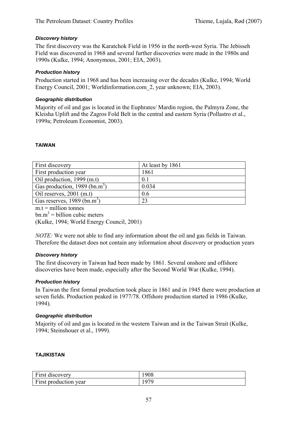## *Discovery history*

The first discovery was the Karatchok Field in 1956 in the north-west Syria. The Jebisseh Field was discovered in 1968 and several further discoveries were made in the 1980s and 1990s (Kulke, 1994; Anonymous, 2001; EIA, 2003).

### *Production history*

Production started in 1968 and has been increasing over the decades (Kulke, 1994; World Energy Council, 2001; Worldinformation.com\_2, year unknown; EIA, 2003).

### *Geographic distribution*

Majority of oil and gas is located in the Euphrates/ Mardin region, the Palmyra Zone, the Kleisha Uplift and the Zagros Fold Belt in the central and eastern Syria (Pollastro et al., 1999a; Petroleum Economist, 2003).

### **TAIWAN**

| First discovery                           | At least by 1861 |
|-------------------------------------------|------------------|
| First production year                     | 1861             |
| Oil production, 1999 (m.t)                | 0.1              |
| Gas production, 1989 (bn.m <sup>3</sup> ) | 0.034            |
| Oil reserves, $2001$ (m.t)                | 0.6              |
| Gas reserves, $1989$ (bn.m <sup>3</sup> ) | 23               |

 $m.t =$  million tonnes

 $bm{m}^3$  = billion cubic meters

(Kulke, 1994; World Energy Council, 2001)

*NOTE:* We were not able to find any information about the oil and gas fields in Taiwan. Therefore the dataset does not contain any information about discovery or production years

#### *Discovery history*

The first discovery in Taiwan had been made by 1861. Several onshore and offshore discoveries have been made, especially after the Second World War (Kulke, 1994).

#### *Production history*

In Taiwan the first formal production took place in 1861 and in 1945 there were production at seven fields. Production peaked in 1977/78. Offshore production started in 1986 (Kulke, 1994).

#### *Geographic distribution*

Majority of oil and gas is located in the western Taiwan and in the Taiwan Strait (Kulke, 1994; Steinshouer et al., 1999).

#### **TAJIKISTAN**

| First discovery       | 908 |
|-----------------------|-----|
| First production year | 070 |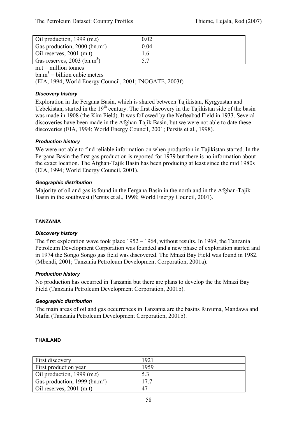| Oil production, 1999 (m.t)                  | 0.02 |
|---------------------------------------------|------|
| Gas production, $2000$ (bn.m <sup>3</sup> ) | 0.04 |
| Oil reserves, $2001$ (m.t)                  |      |
| Gas reserves, $2003$ (bn.m <sup>3</sup> )   |      |

 $m.t =$  million tonnes

 $bm{m}^3$  = billion cubic meters

(EIA, 1994; World Energy Council, 2001; INOGATE, 2003f)

## *Discovery history*

Exploration in the Fergana Basin, which is shared between Tajikistan, Kyrgyzstan and Uzbekistan, started in the  $19<sup>th</sup>$  century. The first discovery in the Tajikistan side of the basin was made in 1908 (the Kim Field). It was followed by the Nefteabad Field in 1933. Several discoveries have been made in the Afghan-Tajik Basin, but we were not able to date these discoveries (EIA, 1994; World Energy Council, 2001; Persits et al., 1998).

## *Production history*

We were not able to find reliable information on when production in Tajikistan started. In the Fergana Basin the first gas production is reported for 1979 but there is no information about the exact location. The Afghan-Tajik Basin has been producing at least since the mid 1980s (EIA, 1994; World Energy Council, 2001).

### *Geographic distribution*

Majority of oil and gas is found in the Fergana Basin in the north and in the Afghan-Tajik Basin in the southwest (Persits et al., 1998; World Energy Council, 2001).

#### **TANZANIA**

#### *Discovery history*

The first exploration wave took place 1952 – 1964, without results. In 1969, the Tanzania Petroleum Development Corporation was founded and a new phase of exploration started and in 1974 the Songo Songo gas field was discovered. The Mnazi Bay Field was found in 1982. (Mbendi, 2001; Tanzania Petroleum Development Corporation, 2001a).

#### *Production history*

No production has occurred in Tanzania but there are plans to develop the the Mnazi Bay Field (Tanzania Petroleum Development Corporation, 2001b).

#### *Geographic distribution*

The main areas of oil and gas occurrences in Tanzania are the basins Ruvuma, Mandawa and Mafia (Tanzania Petroleum Development Corporation, 2001b).

#### **THAILAND**

| First discovery                           | 1921 |
|-------------------------------------------|------|
| First production year                     | 1959 |
| Oil production, 1999 (m.t)                |      |
| Gas production, 1999 (bn.m <sup>3</sup> ) | 177  |
| Oil reserves, $2001$ (m.t)                | 47   |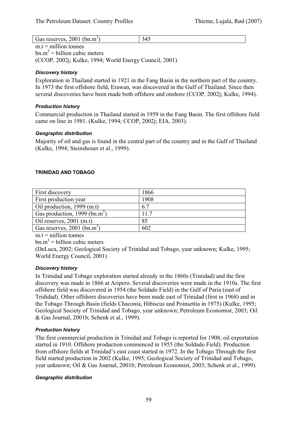| Gas reserves, 2001 | (bn.m <sup>3</sup> ) | ◝▵<br>. .<br>- - |
|--------------------|----------------------|------------------|

 $m.t = *m*$ illion tonnes  $bm{m}^3$  = billion cubic meters (CCOP, 2002j; Kulke, 1994; World Energy Council, 2001)

## *Discovery history*

Exploration in Thailand started in 1921 in the Fang Basin in the northern part of the country. In 1973 the first offshore field, Erawan, was discovered in the Gulf of Thailand. Since then several discoveries have been made both offshore and onshore (CCOP, 2002j; Kulke, 1994).

## *Production history*

Commercial production in Thailand started in 1959 in the Fang Basin. The first offshore field came on line in 1981. (Kulke, 1994; CCOP, 2002j; EIA, 2003).

## *Geographic distribution*

Majority of oil and gas is found in the central part of the country and in the Gulf of Thailand (Kulke, 1994; Steinshouer et al., 1999).

## **TRINIDAD AND TOBAGO**

| First discovery                           | 1866 |
|-------------------------------------------|------|
| First production year                     | 1908 |
| Oil production, 1999 (m.t)                | 6.7  |
| Gas production, 1999 (bn.m <sup>3</sup> ) | 11.7 |
| Oil reserves, $2001$ (m.t)                | 85   |
| Gas reserves, $2001$ (bn.m <sup>3</sup> ) | 602  |

 $m.t =$  million tonnes

 $bm{m}^3$  = billion cubic meters

(DeLuca, 2002; Geological Society of Trinidad and Tobago, year unknown; Kulke, 1995; World Energy Council, 2001)

## *Discovery history*

In Trinidad and Tobago exploration started already in the 1860s (Trinidad) and the first discovery was made in 1866 at Aripero. Several discoveries were made in the 1910s. The first offshore field was discovered in 1954 (the Soldado Field) in the Gulf of Paria (east of Trididad). Other offshore discoveries have been made east of Trinidad (first in 1968) and in the Tobago Through Basin (fields Chaconia, Hibiscus and Poinsettia in 1975) (Kulke, 1995; Geological Society of Trinidad and Tobago, year unknown; Petroleum Economist, 2003; Oil & Gas Journal, 2001b; Schenk et al., 1999).

# *Production history*

The first commercial production in Trinidad and Tobago is reported for 1908; oil exportation started in 1910. Offshore production commenced in 1955 (the Soldado Field). Production from offshore fields at Trinidad's east coast started in 1972. In the Tobago Through the first field started production in 2002 (Kulke, 1995; Geological Society of Trinidad and Tobago, year unknown; Oil & Gas Journal, 2001b; Petroleum Economist, 2003; Schenk et al., 1999).

## *Geographic distribution*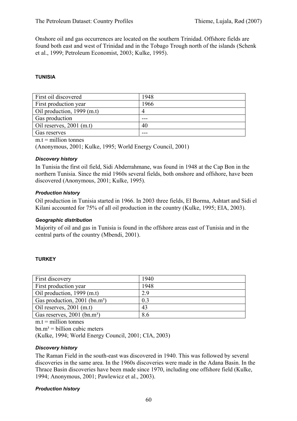Onshore oil and gas occurrences are located on the southern Trinidad. Offshore fields are found both east and west of Trinidad and in the Tobago Trough north of the islands (Schenk et al., 1999; Petroleum Economist, 2003; Kulke, 1995).

### **TUNISIA**

| First oil discovered       | 1948 |
|----------------------------|------|
| First production year      | 1966 |
| Oil production, 1999 (m.t) |      |
| Gas production             |      |
| Oil reserves, $2001$ (m.t) | 40   |
| Gas reserves               |      |

 $m.t = million tonnes$ 

(Anonymous, 2001; Kulke, 1995; World Energy Council, 2001)

#### *Discovery history*

In Tunisia the first oil field, Sidi Abderrahmane, was found in 1948 at the Cap Bon in the northern Tunisia. Since the mid 1960s several fields, both onshore and offshore, have been discovered (Anonymous, 2001; Kulke, 1995).

#### *Production history*

Oil production in Tunisia started in 1966. In 2003 three fields, El Borma, Ashtart and Sidi el Kilani accounted for 75% of all oil production in the country (Kulke, 1995; EIA, 2003).

#### *Geographic distribution*

Majority of oil and gas in Tunisia is found in the offshore areas east of Tunisia and in the central parts of the country (Mbendi, 2001).

#### **TURKEY**

| First discovery                             | 1940 |
|---------------------------------------------|------|
| First production year                       | 1948 |
| Oil production, 1999 (m.t)                  | 2.9  |
| Gas production, $2001$ (bn.m <sup>3</sup> ) | 0.3  |
| Oil reserves, $2001$ (m.t)                  | 43   |
| Gas reserves, 2001 (bn.m <sup>3</sup> )     | 8.6  |

 $m.t = million tonnes$ 

 $bn.m<sup>3</sup> = billion cubic meters$ 

(Kulke, 1994; World Energy Council, 2001; CIA, 2003)

#### *Discovery history*

The Raman Field in the south-east was discovered in 1940. This was followed by several discoveries in the same area. In the 1960s discoveries were made in the Adana Basin. In the Thrace Basin discoveries have been made since 1970, including one offshore field (Kulke, 1994; Anonymous, 2001; Pawlewicz et al., 2003).

#### *Production history*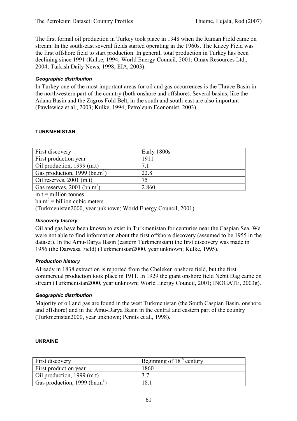The first formal oil production in Turkey took place in 1948 when the Raman Field came on stream. In the south-east several fields started operating in the 1960s. The Kuzey Field was the first offshore field to start production. In general, total production in Turkey has been declining since 1991 (Kulke, 1994; World Energy Council, 2001; Omax Resources Ltd., 2004; Turkish Daily News, 1998; EIA, 2003).

### *Geographic distribution*

In Turkey one of the most important areas for oil and gas occurrences is the Thrace Basin in the northwestern part of the country (both onshore and offshore). Several basins, like the Adana Basin and the Zagros Fold Belt, in the south and south-east are also important (Pawlewicz et al., 2003; Kulke, 1994; Petroleum Economist, 2003).

### **TURKMENISTAN**

| First discovery                           | Early 1800s |
|-------------------------------------------|-------------|
| First production year                     | 1911        |
| Oil production, 1999 (m.t)                | 7.1         |
| Gas production, 1999 (bn.m <sup>3</sup> ) | 22.8        |
| Oil reserves, $2001$ (m.t)                | 75          |
| Gas reserves, $2001$ (bn.m <sup>3</sup> ) | 2 8 6 0     |

 $m.t =$  million tonnes

 $bm{m}^3$  = billion cubic meters

(Turkmenistan2000, year unknown; World Energy Council, 2001)

## *Discovery history*

Oil and gas have been known to exist in Turkmenistan for centuries near the Caspian Sea. We were not able to find information about the first offshore discovery (assumed to be 1955 in the dataset). In the Amu-Darya Basin (eastern Turkmenistan) the first discovery was made in 1956 (the Darwasa Field) (Turkmenistan2000, year unknown; Kulke, 1995).

#### *Production history*

Already in 1838 extraction is reported from the Cheleken onshore field, but the first commercial production took place in 1911. In 1929 the giant onshore field Nebit Dag came on stream (Turkmenistan2000, year unknown; World Energy Council, 2001; INOGATE, 2003g).

## *Geographic distribution*

Majority of oil and gas are found in the west Turkmenistan (the South Caspian Basin, onshore and offshore) and in the Amu-Darya Basin in the central and eastern part of the country (Turkmenistan2000, year unknown; Persits et al., 1998).

#### **UKRAINE**

| First discovery                           | Beginning of $18th$ century |
|-------------------------------------------|-----------------------------|
| First production year                     | 1860                        |
| Oil production, 1999 (m.t)                |                             |
| Gas production, 1999 (bn.m <sup>3</sup> ) | 18.                         |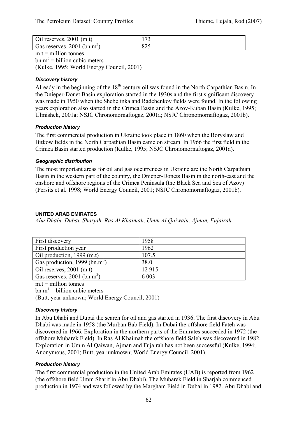| Oil reserves, $2001$ (m.t)                | $\overline{ }$ |
|-------------------------------------------|----------------|
| Gas reserves, $2001$ (bn.m <sup>3</sup> ) | 84J            |

 $m.t =$  million tonnes  $bm{m}^3$  = billion cubic meters (Kulke, 1995; World Energy Council, 2001)

## *Discovery history*

Already in the beginning of the  $18<sup>th</sup>$  century oil was found in the North Carpathian Basin. In the Dnieper-Donet Basin exploration started in the 1930s and the first significant discovery was made in 1950 when the Shebelinka and Radchenkov fields were found. In the following years exploration also started in the Crimea Basin and the Azov-Kuban Basin (Kulke, 1995; Ulmishek, 2001a; NSJC Chronomornaftogaz, 2001a; NSJC Chronomornaftogaz, 2001b).

## *Production history*

The first commercial production in Ukraine took place in 1860 when the Boryslaw and Bitkow fields in the North Carpathian Basin came on stream. In 1966 the first field in the Crimea Basin started production (Kulke, 1995; NSJC Chronomornaftogaz, 2001a).

### *Geographic distribution*

The most important areas for oil and gas occurrences in Ukraine are the North Carpathian Basin in the western part of the country, the Dnieper-Donets Basin in the north-east and the onshore and offshore regions of the Crimea Peninsula (the Black Sea and Sea of Azov) (Persits et al. 1998; World Energy Council, 2001; NSJC Chronomornaftogaz, 2001b).

## **UNITED ARAB EMIRATES**

*Abu Dhabi, Dubai, Sharjah, Ras Al Khaimah, Umm Al Qaiwain, Ajman, Fujairah* 

| First discovery                           | 1958    |
|-------------------------------------------|---------|
| First production year                     | 1962    |
| Oil production, 1999 (m.t)                | 107.5   |
| Gas production, 1999 (bn.m <sup>3)</sup>  | 38.0    |
| Oil reserves, $2001$ (m.t)                | 12915   |
| Gas reserves, $2001$ (bn.m <sup>3</sup> ) | 6 0 0 3 |

 $m t =$  million tonnes

 $bm{m}^3$  = billion cubic meters

(Butt, year unknown; World Energy Council, 2001)

## *Discovery history*

In Abu Dhabi and Dubai the search for oil and gas started in 1936. The first discovery in Abu Dhabi was made in 1958 (the Murban Bab Field). In Dubai the offshore field Fateh was discovered in 1966. Exploration in the northern parts of the Emirates succeeded in 1972 (the offshore Mubarek Field). In Ras Al Khaimah the offshore field Saleh was discovered in 1982. Exploration in Umm Al Qaiwan, Ajman and Fujairah has not been successful (Kulke, 1994; Anonymous, 2001; Butt, year unknown; World Energy Council, 2001).

## *Production history*

The first commercial production in the United Arab Emirates (UAB) is reported from 1962 (the offshore field Umm Sharif in Abu Dhabi). The Mubarek Field in Sharjah commenced production in 1974 and was followed by the Margham Field in Dubai in 1982. Abu Dhabi and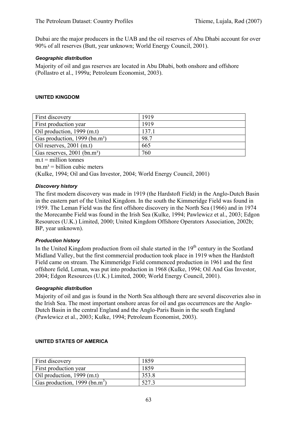Dubai are the major producers in the UAB and the oil reserves of Abu Dhabi account for over 90% of all reserves (Butt, year unknown; World Energy Council, 2001).

### *Geographic distribution*

Majority of oil and gas reserves are located in Abu Dhabi, both onshore and offshore (Pollastro et al., 1999a; Petroleum Economist, 2003).

### **UNITED KINGDOM**

| First discovery                           | 1919  |
|-------------------------------------------|-------|
| First production year                     | 1919  |
| Oil production, $1999$ (m.t)              | 137.1 |
| Gas production, 1999 (bn.m <sup>3</sup> ) | 98.7  |
| Oil reserves, $2001$ (m.t)                | 665   |
| Gas reserves, 2001 (bn.m <sup>3</sup> )   | 760   |
|                                           |       |

 $m.t = *million tonnes*$ 

 $bm.m^3 = \text{billion cubic meters}$ 

(Kulke, 1994; Oil and Gas Investor, 2004; World Energy Council, 2001)

### *Discovery history*

The first modern discovery was made in 1919 (the Hardstoft Field) in the Anglo-Dutch Basin in the eastern part of the United Kingdom. In the south the Kimmeridge Field was found in 1959. The Leman Field was the first offshore discovery in the North Sea (1966) and in 1974 the Morecambe Field was found in the Irish Sea (Kulke, 1994; Pawlewicz et al., 2003; Edgon Resources (U.K.) Limited, 2000; United Kingdom Offshore Operators Association, 2002b; BP, year unknown).

## *Production history*

In the United Kingdom production from oil shale started in the  $19<sup>th</sup>$  century in the Scotland Midland Valley, but the first commercial production took place in 1919 when the Hardstoft Field came on stream. The Kimmeridge Field commenced production in 1961 and the first offshore field, Leman, was put into production in 1968 (Kulke, 1994; Oil And Gas Investor, 2004; Edgon Resources (U.K.) Limited, 2000; World Energy Council, 2001).

### *Geographic distribution*

Majority of oil and gas is found in the North Sea although there are several discoveries also in the Irish Sea. The most important onshore areas for oil and gas occurrences are the Anglo-Dutch Basin in the central England and the Anglo-Paris Basin in the south England (Pawlewicz et al., 2003; Kulke, 1994; Petroleum Economist, 2003).

| <b>First discovery</b>                    | 1859  |
|-------------------------------------------|-------|
| <b>First production year</b>              | 1859  |
| $\vert$ Oil production, 1999 (m.t)        | 353.8 |
| Gas production, 1999 (bn.m <sup>3</sup> ) | 5272  |

## **UNITED STATES OF AMERICA**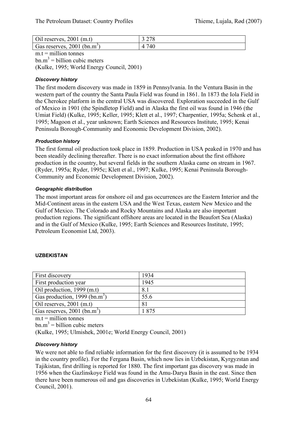| Oil reserves, $2001$ (m.t)                | 3 2 7 8         |
|-------------------------------------------|-----------------|
| Gas reserves, $2001$ (bn.m <sup>3</sup> ) | 740<br>$\Delta$ |

 $m.t = *m*$ illion tonnes  $bm{m}^3$  = billion cubic meters (Kulke, 1995; World Energy Council, 2001)

## *Discovery history*

The first modern discovery was made in 1859 in Pennsylvania. In the Ventura Basin in the western part of the country the Santa Paula Field was found in 1861. In 1873 the Iola Field in the Cherokee platform in the central USA was discovered. Exploration succeeded in the Gulf of Mexico in 1901 (the Spindletop Field) and in Alaska the first oil was found in 1946 (the Umiat Field) (Kulke, 1995; Keller, 1995; Klett et al., 1997; Charpentier, 1995a; Schenk et al., 1995; Magoon et al., year unknown; Earth Sciences and Resources Institute, 1995; Kenai Peninsula Borough-Community and Economic Development Division, 2002).

## *Production history*

The first formal oil production took place in 1859. Production in USA peaked in 1970 and has been steadily declining thereafter. There is no exact information about the first offshore production in the country, but several fields in the southern Alaska came on stream in 1967. (Ryder, 1995a; Ryder, 1995c; Klett et al., 1997; Kulke, 1995; Kenai Peninsula Borough-Community and Economic Development Division, 2002).

## *Geographic distribution*

The most important areas for onshore oil and gas occurrences are the Eastern Interior and the Mid-Continent areas in the eastern USA and the West Texas, eastern New Mexico and the Gulf of Mexico. The Colorado and Rocky Mountains and Alaska are also important production regions. The significant offshore areas are located in the Beaufort Sea (Alaska) and in the Gulf of Mexico (Kulke, 1995; Earth Sciences and Resources Institute, 1995; Petroleum Economist Ltd, 2003).

## **UZBEKISTAN**

| 1934 |
|------|
| 1945 |
| 8.1  |
| 55.6 |
| 81   |
| 1875 |
|      |

 $m.t = *m*$ illion tonnes

 $bm{m}^3$  = billion cubic meters

(Kulke, 1995; Ulmishek, 2001e; World Energy Council, 2001)

## *Discovery history*

We were not able to find reliable information for the first discovery (it is assumed to be 1934 in the country profile). For the Fergana Basin, which now lies in Uzbekistan, Kyrgyzstan and Tajikistan, first drilling is reported for 1880. The first important gas discovery was made in 1956 when the Gazlinskoye Field was found in the Amu-Darya Basin in the east. Since then there have been numerous oil and gas discoveries in Uzbekistan (Kulke, 1995; World Energy Council, 2001).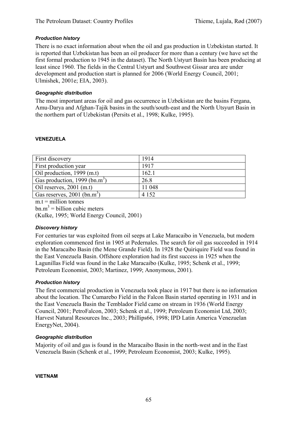## *Production history*

There is no exact information about when the oil and gas production in Uzbekistan started. It is reported that Uzbekistan has been an oil producer for more than a century (we have set the first formal production to 1945 in the dataset). The North Ustyurt Basin has been producing at least since 1960. The fields in the Central Ustyurt and Southwest Gissar area are under development and production start is planned for 2006 (World Energy Council, 2001; Ulmishek, 2001e; EIA, 2003).

### *Geographic distribution*

The most important areas for oil and gas occurrence in Uzbekistan are the basins Fergana, Amu-Darya and Afghan-Tajik basins in the south/south-east and the North Utsyurt Basin in the northern part of Uzbekistan (Persits et al., 1998; Kulke, 1995).

#### **VENEZUELA**

| First discovery                           | 1914    |
|-------------------------------------------|---------|
| First production year                     | 1917    |
| Oil production, 1999 (m.t)                | 162.1   |
| Gas production, 1999 (bn.m <sup>3</sup> ) | 26.8    |
| Oil reserves, $2001$ (m.t)                | 11 048  |
| Gas reserves, $2001$ (bn.m <sup>3</sup> ) | 4 1 5 2 |
|                                           |         |

 $m.t =$  million tonnes  $bm{m}^3$  = billion cubic meters (Kulke, 1995; World Energy Council, 2001)

## *Discovery history*

For centuries tar was exploited from oil seeps at Lake Maracaibo in Venezuela, but modern exploration commenced first in 1905 at Pedernales. The search for oil gas succeeded in 1914 in the Maracaibo Basin (the Mene Grande Field). In 1928 the Quiriquire Field was found in the East Venezuela Basin. Offshore exploration had its first success in 1925 when the Lagunillas Field was found in the Lake Maracaibo (Kulke, 1995; Schenk et al., 1999; Petroleum Economist, 2003; Martinez, 1999; Anonymous, 2001).

## *Production history*

The first commercial production in Venezuela took place in 1917 but there is no information about the location. The Cumarebo Field in the Falcon Basin started operating in 1931 and in the East Venezuela Basin the Temblador Field came on stream in 1936 (World Energy Council, 2001; PetroFalcon, 2003; Schenk et al., 1999; Petroleum Economist Ltd, 2003; Harvest Natural Resources Inc., 2003; Phillips66, 1998; IPD Latin America Venezuelan EnergyNet, 2004).

#### *Geographic distribution*

Majority of oil and gas is found in the Maracaibo Basin in the north-west and in the East Venezuela Basin (Schenk et al., 1999; Petroleum Economist, 2003; Kulke, 1995).

**VIETNAM**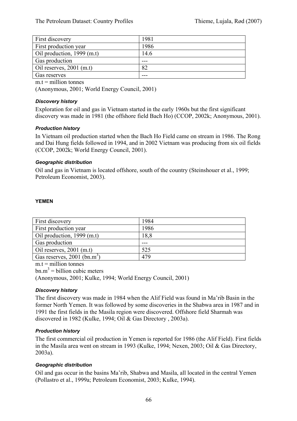| First discovery            | 1981 |
|----------------------------|------|
| First production year      | 1986 |
| Oil production, 1999 (m.t) | 14.6 |
| Gas production             |      |
| Oil reserves, $2001$ (m.t) | 82   |
| Gas reserves               |      |

 $m t =$  million tonnes

(Anonymous, 2001; World Energy Council, 2001)

### *Discovery history*

Exploration for oil and gas in Vietnam started in the early 1960s but the first significant discovery was made in 1981 (the offshore field Bach Ho) (CCOP, 2002k; Anonymous, 2001).

### *Production history*

In Vietnam oil production started when the Bach Ho Field came on stream in 1986. The Rong and Dai Hung fields followed in 1994, and in 2002 Vietnam was producing from six oil fields (CCOP, 2002k; World Energy Council, 2001).

### *Geographic distribution*

Oil and gas in Vietnam is located offshore, south of the country (Steinshouer et al., 1999; Petroleum Economist, 2003).

### **YEMEN**

| First discovery                           | 1984 |
|-------------------------------------------|------|
| First production year                     | 1986 |
| Oil production, $1999$ (m.t)              | 18,8 |
| Gas production                            |      |
| Oil reserves, $2001$ (m.t)                | 525  |
| Gas reserves, $2001$ (bn.m <sup>3</sup> ) | 479  |

 $m.t = million tonnes$ 

 $bm{m}^3$  = billion cubic meters

(Anonymous, 2001; Kulke, 1994; World Energy Council, 2001)

## *Discovery history*

The first discovery was made in 1984 when the Alif Field was found in Ma'rib Basin in the former North Yemen. It was followed by some discoveries in the Shabwa area in 1987 and in 1991 the first fields in the Masila region were discovered. Offshore field Sharmah was discovered in 1982 (Kulke, 1994; Oil & Gas Directory , 2003a).

#### *Production history*

The first commercial oil production in Yemen is reported for 1986 (the Alif Field). First fields in the Masila area went on stream in 1993 (Kulke, 1994; Nexen, 2003; Oil & Gas Directory, 2003a).

## *Geographic distribution*

Oil and gas occur in the basins Ma'rib, Shabwa and Masila, all located in the central Yemen (Pollastro et al., 1999a; Petroleum Economist, 2003; Kulke, 1994).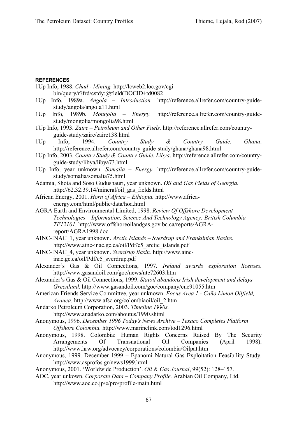## **REFERENCES**

| 1Up Info, 1988. Chad - Mining. http://lcweb2.loc.gov/cgi-                                    |  |
|----------------------------------------------------------------------------------------------|--|
| bin/query/r?frd/cstdy:@field(DOCID+td0082                                                    |  |
| 1Up Info, 1989a. Angola - Introduction. http://reference.allrefer.com/country-guide-         |  |
| study/angola/angola11.html                                                                   |  |
| Info, 1989b. Mongolia - Energy. http://reference.allrefer.com/country-guide-<br>1Up          |  |
| study/mongolia/mongolia98.html                                                               |  |
| 1Up Info, 1993. Zaire - Petroleum and Other Fuels. http://reference.allrefer.com/country-    |  |
| guide-study/zaire/zaire138.html                                                              |  |
| Info, 1994. Country<br>Study & Country Guide.<br>1Up<br>Ghana.                               |  |
| http://reference.allrefer.com/country-guide-study/ghana/ghana98.html                         |  |
| 1Up Info, 2003. Country Study & Country Guide. Libya. http://reference.allrefer.com/country- |  |
| guide-study/libya/libya73.html                                                               |  |
| 1Up Info, year unknown. Somalia - Energy. http://reference.allrefer.com/country-guide-       |  |
| study/somalia/somalia75.html                                                                 |  |
| Adamia, Shota and Soso Gudushauri, year unknown. Oil and Gas Fields of Georgia.              |  |
| http://62.32.39.14/mineral/oil_gas_fields.html                                               |  |
| African Energy, 2001. Horn of Africa - Ethiopia. http://www.africa-                          |  |
| energy.com/html/public/data/hoa.html                                                         |  |
| AGRA Earth and Environmental Limited, 1998. Review Of Offshore Development                   |  |
| Technologies - Information, Science And Technology Agency: British Columbia                  |  |
| TF12101. http://www.offshoreoilandgas.gov.bc.ca/reports/AGRA-                                |  |
| report/AGRA1998.doc                                                                          |  |
| AINC-INAC_1, year unknown. Arctic Islands - Sverdrup and Franklinian Basins.                 |  |
| http://www.ainc-inac.gc.ca/oil/Pdf/c5 arctic islands.pdf                                     |  |
| AINC-INAC_4, year unknown. Sverdrup Basin. http://www.ainc-                                  |  |
| inac.gc.ca/oil/Pdf/c5 sverdrup.pdf                                                           |  |
| Alexander's Gas & Oil Connections, 1997. Ireland awards exploration licenses.                |  |
| http://www.gasandoil.com/goc/news/nte72603.htm                                               |  |
| Alexander's Gas & Oil Connections, 1999. Statoil abandons Irish development and delays       |  |
| Greenland. http://www.gasandoil.com/goc/company/cne91055.htm                                 |  |
| American Friends Service Committee, year unknown. Focus Area 1 - Caño Limon Oilfield,        |  |
| Arauca. http://www.afsc.org/colombiaoil/oil 2.htm                                            |  |
| Andarko Petroleum Corporation, 2003. Timeline 1990s.                                         |  |
| http://www.anadarko.com/aboutus/1990.shtml                                                   |  |
| Anonymous, 1996. December 1996 Today's News Archive - Texaco Completes Platform              |  |
| Offshore Colombia. http://www.marinelink.com/tod1296.html                                    |  |
| Anonymous, 1998. Colombia: Human Rights Concerns Raised<br>By The<br>Security                |  |
| Transnational<br>Companies<br>Arrangements<br><b>Of</b><br>Oil<br>(April<br>1998).           |  |
| http://www.hrw.org/advocacy/corporations/colombia/Oilpat.htm                                 |  |
| Anonymous, 1999. December 1999 - Epanomi Natural Gas Exploitation Feasibility Study.         |  |
| http://www.asprofos.gr/news1999.html                                                         |  |

- Anonymous, 2001. 'Worldwide Production'. *Oil & Gas Journal*, 99(52): 128–157.
- AOC, year unkown. *Corporate Data Company Profile.* Arabian Oil Company, Ltd. http://www.aoc.co.jp/e/pro/profile-main.html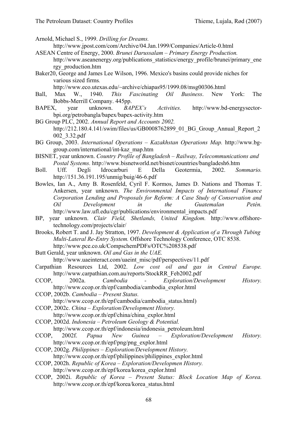Arnold, Michael S., 1999. *Drilling for Dreams.* 

http://www.jpost.com/com/Archive/04.Jan.1999/Companies/Article-0.html

- ASEAN Centre of Energy, 2000. *Brunei Darussalam Primary Energy Production.*  http://www.aseanenergy.org/publications\_statistics/energy\_profile/brunei/primary\_ene rgy\_production.htm
- Baker20, George and James Lee Wilson, 1996. Mexico's basins could provide niches for various sized firms*.* 
	- http://www.eco.utexas.edu/~archive/chiapas95/1999.08/msg00306.html
- Ball, Max W., 1940. *This Fascinating Oil Business*. New York: The Bobbs-Merrill Company. 445pp.
- BAPEX, year unknown. *BAPEX's Activities.* http://www.bd-energysectorbpi.org/petrobangla/bapex/bapex-activity.htm
- BG Group PLC, 2002. *Annual Report and Accounts 2002.*  http://212.180.4.141/swim/files/us/GB0008762899\_01\_BG\_Group\_Annual\_Report\_2 002\_3.32.pdf
- BG Group, 2003. *International Operations Kazakhstan Operations Map.* http://www.bggroup.com/international/int-kaz\_map.htm
- BISNET, year unknown. *Country Profile of Bangladesh Railway, Telecommunications and Postal Systems.* http://www.bisnetworld.net/bisnet/countries/bangladesh6.htm
- Boll. Uff. Degli Idrocarburi E Della Geotermia, 2002. *Sommario.* http://151.36.191.195/unmig/buig/46-6.pdf
- Bowles, Ian A., Amy B. Rosenfeld, Cyril F. Kormos, James D. Nations and Thomas T. Ankersen, year unknown. *The Environmental Impacts of International Finance Corporation Lending and Proposals for Reform: A Case Study of Conservation and Oil Development in the Guatemalan Petén.* http://www.law.ufl.edu/cgr/publications/environmental\_impacts.pdf
- BP, year unknown. *Clair Field, Shetlands, United Kingdom.* http://www.offshoretechnology.com/projects/clair/
- Brooks, Robert T. and J. Jay Stratton, 1997. *Development & Application of a Through Tubing Multi-Lateral Re-Entry System.* Offshore Technology Conference, OTC 8538. http://www.pce.co.uk/CompschemPDFs/OTC%208538.pdf
- Butt Gerald, year unknown. *Oil and Gas in the UAE.*  http://www.uaeinteract.com/uaeint\_misc/pdf/perspectives/11.pdf
- Carpathian Resources Ltd, 2002. *Low cost oil and gas in Central Europe.* http://www.carpathian.com.au/reports/StockRR\_Feb2002.pdf
- CCOP, 2002a. *Cambodia Exploration/Development History.* http://www.ccop.or.th/epf/cambodia/cambodia\_explor.html
- CCOP, 2002b. *Cambodia Present Status.*
	- http://www.ccop.or.th/epf/cambodia/cambodia\_status.html)
- CCOP, 2002c. *China Exploration/Development History.*  http://www.ccop.or.th/epf/china/china\_explor.html
- CCOP, 2002d. *Indonesia Petroleum Geology & Potential.*  http://www.ccop.or.th/epf/indonesia/indonesia\_petroleum.html
- CCOP, 2002f. *Papua New Guinea Exploration/Development History.*  http://www.ccop.or.th/epf/png/png\_explor.html
- CCOP, 2002g. *Philippines Exploration/Development History.*  http://www.ccop.or.th/epf/philippines/philippines\_explor.html
- CCOP, 2002h. *Republic of Korea Exploration/Developmen History.* http://www.ccop.or.th/epf/korea/korea\_explor.html
- CCOP, 2002i. *Republic of Korea Present Status: Block Location Map of Korea.* http://www.ccop.or.th/epf/korea/korea\_status.html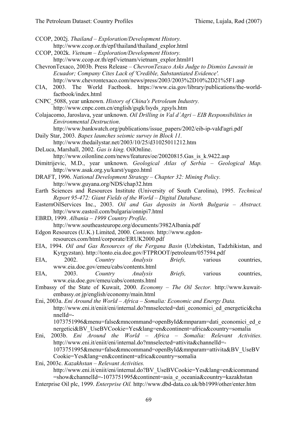CCOP, 2002j. *Thailand – Exploration/Development History.*  http://www.ccop.or.th/epf/thailand/thailand\_explor.html CCOP, 2002k. *Vietnam – Exploration/Development History.*  http://www.ccop.or.th/epf/vietnam/vietnam\_explor.html#1 ChevronTexaco, 2003b. Press Release – *ChevronTexaco Asks Judge to Dismiss Lawsuit in Ecuador; Company Cites Lack of 'Credible, Substantiated Evidence'.*  http://www.chevrontexaco.com/news/press/2003/2003%2D10%2D21%5F1.asp CIA, 2003. The World Factbook. https://www.cia.gov/library/publications/the-worldfactbook/index.html CNPC\_5088, year unknown. *History of China's Petroleum Industry.*  http://www.cnpc.com.cn/english/gsgk/lsyds\_zgsyls.htm Colajacomo, Jaroslava, year unknown. *Oil Drilling in Val d´Agri – EIB Responsibilities in Environmental Destruction*. http://www.bankwatch.org/publications/issue\_papers/2002/eib-ip-vald'agri.pdf Daily Star, 2003. *Bapex launches seismic survey in Block 11.*  http://www.thedailystar.net/2003/10/25/d31025011212.htm DeLuca, Marshall, 2002*. Gas is king.* OilOnline. http://www.oilonline.com/news/features/oe/20020815.Gas is k.9422.asp Dimitrijevic, M.D., year unknown. *Geological Atlas of Serbia – Geological Map.*  http://www.asak.org.yu/karst/yugeo.html DRAFT, 1996. *National Development Strategy – Chapter 32: Mining Policy.* http://www.guyana.org/NDS/chap32.htm Earth Sciences and Resources Institute (University of South Carolina), 1995. *Technical Report 95-472: Giant Fields of the World – Digital Database.* EasternOilServices Inc., 2003. *Oil and Gas deposits in North Bulgaria – Abstract.* http://www.eastoil.com/bulgaria/onnipi7.html EBRD, 1999. *Albania – 1999 Country Profile*. http://www.southeasteurope.org/documents/3982Albania.pdf Edgon Resources (U.K.) Limited, 2000. *Contents.* http://www.egdonresources.com/html/corporate/ERUK2000.pdf EIA, 1994. *Oil and Gas Resources of the Fergana Basin* (Uzbekistan, Tadzhikistan, and Kyrgyzstan). http://tonto.eia.doe.gov/FTPROOT/petroleum/057594.pdf EIA, 2002. *Country Analysis Briefs,* various countries, www.eia.doe.gov/emeu/cabs/contents.html EIA, 2003. *Country Analysis Briefs,* various countries, www.eia.doe.gov/emeu/cabs/contents.html Embassy of the State of Kuwait, 2000. *Economy – The Oil Sector.* http://www.kuwaitembassy.or.jp/english/economy/main.html Eni, 2003a. *Eni Around the World – Africa – Somalia: Economic and Energy Data.*  http://www.eni.it/eniit/eni/internal.do?mnselected=dati\_economici\_ed\_energetici&cha nnelId=- 1073751996&menu=false&mncommand=openById&mnparam=dati\_economici\_ed\_e nergetici&BV\_UseBVCookie=Yes&lang=en&continent=africa&country=somalia Eni, 2003b. *Eni Around the World – Africa – Somalia: Relevant Activities.*  http://www.eni.it/eniit/eni/internal.do?mnselected=attivita&channelId=- 1073751995&menu=false&mncommand=openById&mnparam=attivita&BV\_UseBV Cookie=Yes&lang=en&continent=africa&country=somalia Eni, 2003c. *Kazakhstan – Relevant Activities.* 

http://www.eni.it/eniit/eni/internal.do?BV\_UseBVCookie=Yes&lang=en&icommand =show&channelId=-1073751995&continent=asia\_e\_oceania&country=kazakhstan Enterprise Oil plc, 1999. *Enterprise Oil.* http://www.dbd-data.co.uk/bb1999/other/enter.htm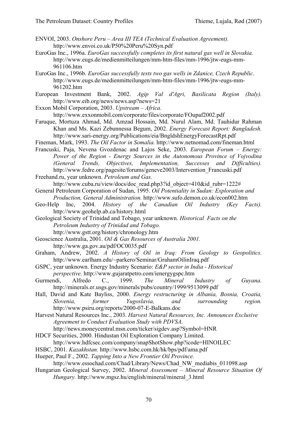ENVOI, 2003. *Onshore Peru – Area III TEA (Technical Evaluation Agreement).* http://www.envoi.co.uk/P50%20Peru%20Syn.pdf

- EuroGas Inc., 1996a. *EuroGas successfully completes its first natural gas well in Slovakia.* http://www.eugs.de/medienmitteilungen/mm-htm-files/mm-1996/jtw-eugs-mm-961106.htm
- EuroGas Inc., 1996b. *EuroGas successfully tests two gas wells in Zdanice, Czech Republic*. http://www.eugs.de/medienmitteilungen/mm-htm-files/mm-1996/jtw-eugs-mm-961202.htm
- European Investment Bank, 2002. *Agip Val d'Agri, Basilicata Region (Italy).*  http://www.eib.org/news/news.asp?news=21
- Exxon Mobil Corporation, 2003. *Upstream Africa.*

http://www.exxonmobil.com/corporate/files/corporate/FOupaf2002.pdf

- Faruque, Mortuza Ahmad, Md. Amzad Hossain, Md. Nurul Alam, Md. Tauhidur Rahman Khan and Ms. Kazi Zebunnessa Begum, 2002. *Energy Forecast Report: Bangladesh.*  http://www.sari-energy.org/Publications/eia/BngldshEnergyForecastRpt.pdf
- Fineman, Mark, 1993. *The Oil Factor in Somalia.* http://www.netnomad.com/fineman.html
- Francuski, Paja, Nevena Gvozdenac and Lajos Seke, 2003. *European Forum Energy: Power of the Region - Energy Sources in the Autonomous Province of Vojvodina (General Trends, Objectives, Implementation, Successes and Difficulties).* http://www.fedre.org/pagesite/forums/geneve2003/Intervention\_Francuski.pdf

Freehand.ru, year unknown. *Petroleum and Gas.*

http://www.cuba.ru/view/docs/doc\_read.php3?id\_object=410&id\_rubr=1222#

- General Petroleum Corporation of Sudan, 1995. *Oil Potentiality in Sudan: Exploration and Production, General Administration.* http://www.sufo.demon.co.uk/econ002.htm
- Geo-Help Inc, 2004. *History of the Canadian Oil Industry (Key Facts).* http://www.geohelp.ab.ca/history.html
- Geological Society of Trinidad and Tobago, year unknown. *Historical Facts on the Petroleum Industry of Trinidad and Tobago.* 
	- http://www.gstt.org/history/chronology.htm
- Geoscience Australia, 2001. *Oil & Gas Resources of Australia 2001.* http://www.ga.gov.au/pdf/OC0035.pdf
- Graham, Andrew, 2002. *A History of Oil in Iraq: From Geology to Geopolitics.*  http://www.earlham.edu/~parkero/Seminar/GrahamOilinIraq.pdf
- GSPC, year unknown. Energy Industry Scenario: *E&P sector in India Historical perspective.* http://www.gujaratpetro.com/ienergygspc.htm
- Gurmendi, Alfredo C., 1999. *The Mineral Industry of Guyana.* http://minerals.er.usgs.gov/minerals/pubs/country/1999/9513099.pdf
- Hall, David and Kate Bayliss, 2000. *Energy restructuring in Albania, Bosnia, Croatia, Slovenia, former Yugoslavia, and surrounding region.* http://www.psiru.org/reports/2000-07-E-Balkans.doc
- Harvest Natural Resources Inc., 2003. *Harvest Natural Resources, Inc. Announces Exclusive Agreement to Conduct Evaluation Study with PDVSA.*  http://news.moneycentral.msn.com/ticker/sigdev.asp?Symbol=HNR
- HDCF Securities, 2000. Hindustan Oil Exploration Company Limited. http://www.hdfcsec.com/company/snapShotShow.php?icode=HINOILEC
- HSBC, 2001. *Kazakhstan.* http://www.hsbc.com.hk/hk/bps/pdf/ama.pdf
- Hueper, Paul F., 2002. *Tapping Into a New Frontier Oil Province.*

http://www.essochad.com/Chad/Library/News/Chad\_NW\_mediabis\_011098.asp

Hungarian Geological Survey, 2002. *Mineral Assessment – Mineral Resource Situation Of Hungary.* http://www.mgsz.hu/english/mineral/mineral\_3.html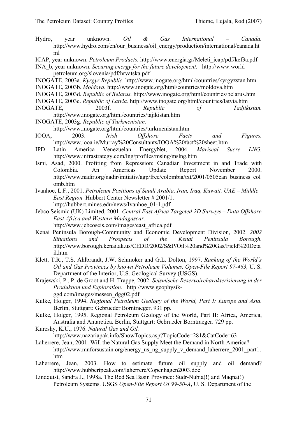- Hydro, year unknown. *Oil & Gas International Canada.* http://www.hydro.com/en/our\_business/oil\_energy/production/international/canada.ht ml
- ICAP, year unknown. *Petroleum Products.* http://www.energia.gr/Meleti\_icap/pdf/kef3a.pdf
- INA\_b, year unknown. *Securing energy for the future development.* http://www.worldpetroleum.org/slovenia/pdf/hrvatska.pdf
- INOGATE, 2003a. *Kyrgyz Republic.* http://www.inogate.org/html/countries/kyrgyzstan.htm
- INOGATE, 2003b. *Moldova.* http://www.inogate.org/html/countries/moldova.htm
- INOGATE, 2003d. *Republic of Belarus.* http://www.inogate.org/html/countries/belarus.htm
- INOGATE, 2003e. *Republic of Latvia.* http://www.inogate.org/html/countries/latvia.htm
- INOGATE, 2003f. *Republic of Tadjikistan.*  http://www.inogate.org/html/countries/tajikistan.htm

INOGATE, 2003g. *Republic of Turkmenistan.*

http://www.inogate.org/html/countries/turkmenistan.htm

- IOOA, 2003. *Irish Offshore Facts and Figures.*  http://www.iooa.ie/Murray%20Consultants/IOOA%20fact%20sheet.htm
- IPD Latin America Venezuelan EnergyNet, 2004. *Mariscal Sucre LNG.*  http://www.infrastrategy.com/lng/profiles/mslng/mslng.htm
- Ismi, Asad, 2000. Profiting from Repression: Canadian Investment in and Trade with Colombia. An Americas Update Report November 2000. http://www.nadir.org/nadir/initiativ/agp/free/colombia/txt/2001/0505can\_business\_col omb.htm
- Ivanhoe, L.F., 2001. *Petroleum Positions of Saudi Arabia, Iran, Iraq, Kuwait, UAE Middle East Region.* Hubbert Center Newsletter # 2001/1. http://hubbert.mines.edu/news/Ivanhoe\_01-1.pdf
- Jebco Seismic (UK) Limited, 2001. *Central East Africa Targeted 2D Surveys Data Offshore East Africa and Western Madagascar.*

- Kenai Peninsula Borough-Community and Economic Development Division, 2002. *2002 Situations and Prospects of the Kenai Peninsula Borough.* http://www.borough.kenai.ak.us/CEDD/2002/S&P/Oil%20and%20Gas/Field%20Deta il.htm
- Klett, T.R., T.S. Ahlbrandt, J.W. Schmoker and G.L. Dolton, 1997. *Ranking of the World´s Oil and Gas Provinces by known Petroleum Volumes. Open-File Report 97-463,* U. S. Department of the Interior, U.S. Geological Survey (USGS).
- Krajewski, P., P. de Groot and H. Trappe, 2002. *Seismische Reservoircharakterisierung in der Produktion und Exploration.* http://www.geophysikggd.com/images/messen\_dgg02.pdf
- Kulke, Holger, 1994. *Regional Petroleum Geology of the World, Part I: Europe and Asia.*  Berlin, Stuttgart: Gebrueder Borntraeger. 931 pp.
- Kulke, Holger, 1995. Regional Petroleum Geology of the World, Part II: Africa, America, Australia and Antarctica. Berlin, Stuttgart: Gebrueder Borntraeger. 729 pp.
- Kureshy, K.U., 1976. *Natural Gas and Oil.*

http://www.nazariapak.info/ShowTopics.asp?TopicCode=281&CatCode=63

- Laherrere, Jean, 2001. Will the Natural Gas Supply Meet the Demand in North America? http://www.mnforsustain.org/energy\_us\_ng\_supply\_v\_demand\_laherrere\_2001\_part1. htm
- Laherrere, Jean, 2003. How to estimate future oil supply and oil demand? http://www.hubbertpeak.com/laherrere/Copenhagen2003.doc
- Lindquist, Sandra J., 1998a. The Red Sea Basin Province: Sudr-Nubia(!) and Maqna(!) Petroleum Systems. USGS *Open-File Report OF99-50-A*, U. S. Department of the

http://www.jebcoseis.com/images/east\_africa.pdf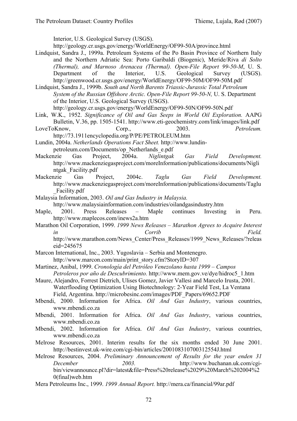Interior, U.S. Geological Survey (USGS).

http://geology.cr.usgs.gov/energy/WorldEnergy/OF99-50A/province.html

Lindquist, Sandra J., 1999a. Petroleum Systems of the Po Basin Province of Northern Italy and the Northern Adriatic Sea: Porto Garibaldi (Biogenic), Meride/Riva *di Solto (Thermal), and Marnoso Arenacea (Thermal). Open-File Report 99-50-M*, U. S. Department of the Interior, U.S. Geological Survey (USGS). http://greenwood.cr.usgs.gov/energy/WorldEnergy/OF99-50M/OF99-50M.pdf

Lindquist, Sandra J., 1999b. *South and North Barents Triassic-Jurassic Total Petroleum System of the Russian Offshore Arctic. Open-File Report 99-50-N,* U. S. Department of the Interior, U.S. Geological Survey (USGS). http://geology.cr.usgs.gov/energy/WorldEnergy/OF99-50N/OF99-50N.pdf

- Link, W.K., 1952. *Significance of Oil and Gas Seeps in World Oil Exploration.* AAPG Bulletin, V.36, pp. 1505-1541. http://www.eti-geochemistry.com/link/images/link.pdf
- LoveToKnow, Corp., 2003. Petroleum. http://73.1911encyclopedia.org/P/PE/PETROLEUM.htm

Lundin, 2004a. *Netherlands Operations Fact Sheet.* http://www.lundin-

- petroleum.com/Documents/op\_Netherlands\_e.pdf
- Mackenzie Gas Project, 2004a. *Niglintgak Gas Field Development.* http://www.mackenziegasproject.com/moreInformation/publications/documents/Nigli ntgak\_Facility.pdf
- Mackenzie Gas Project, 2004c. *Taglu Gas Field Development.*  http://www.mackenziegasproject.com/moreInformation/publications/documents/Taglu \_Facility.pdf
- Malaysia Information, 2003. *Oil and Gas Industry in Malaysia.*

http://www.malaysiainformation.com/industries/oilandgasindustry.htm

Maple, 2001. Press Releases – Maple continues Investing in Peru. http://www.maplecos.com/inews2a.htm

Marathon Oil Corporation, 1999. *1999 News Releases – Marathon Agrees to Acquire Interest in Corrib Field.*  http://www.marathon.com/News\_Center/Press\_Releases/1999\_News\_Releases/?releas

eid=245675

Marcon International, Inc., 2003. Yugoslavia – Serbia and Montenegro.

http://www.marcon.com/main/print\_story.cfm?StoryID=307

- Martinez, Anibal, 1999. *Cronología del Petróleo Venezolano hasta 1999 Campos Petroleros por año de Descubrimiento.* http://www.mem.gov.ve/dye/hidroc5\_1.htm
- Maure, Alejandro, Forrest Dietrich, Ulises Gomez, Javier Vallesi and Marcelo Irusta, 2001. Waterflooding Optimization Using Biotechnology: 2-Year Field Test, La Ventana Field, Argentina. http://microbesinc.com/images/PDF\_Papers/69652.PDF
- Mbendi, 2000. Information for Africa. *Oil And Gas Industry*, various countries, www.mbendi.co.za
- Mbendi, 2001. Information for Africa. *Oil And Gas Industry*, various countries, www.mbendi.co.za
- Mbendi, 2002. Information for Africa. *Oil And Gas Industry*, various countries, www.mbendi.co.za
- Melrose Resources, 2001. Interim results for the six months ended 30 June 2001. http://bestinvest.uk-wire.com/cgi-bin/articles/200108310700312554J.html
- Melrose Resources, 2004. *Preliminary Announcement of Results for the year enden 31 December 2003.* http://www.buchanan.uk.com/cgibin/viewannounce.pl?dir=latest&file=Press%20release%2029%20March%202004%2 0(final)web.htm
- Mera Petroleums Inc., 1999. *1999 Annual Report.* http://mera.ca/financial/99ar.pdf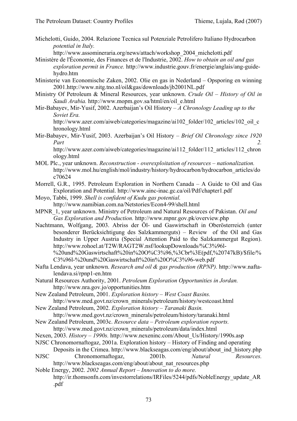Michelotti, Guido, 2004. Relazione Tecnica sul Potenziale Petrolifero Italiano Hydrocarbon *potential in Italy.*

http://www.assomineraria.org/news/attach/workshop\_2004\_michelotti.pdf

Ministère de l'Économie, des Finances et de l'Industrie, 2002. *How to obtain an oil and gas exploration permit in France.* http://www.industrie.gouv.fr/energie/anglais/ang-guidehydro.htm

- Ministerie van Economische Zaken, 2002. Olie en gas in Nederland Opsporing en winning 2001.http://www.nitg.tno.nl/oil&gas/downloads/jb2001NL.pdf
- Ministry Of Petroleum & Mineral Resources, year unknown. *Crude Oil History of Oil in Saudi Arabia.* http://www.mopm.gov.sa/html/en/oil\_e.html
- Mir-Babayev, Mir-Yusif, 2002. Azerbaijan's Oil History *A Chronology Leading up to the Soviet Era.*

http://www.azer.com/aiweb/categories/magazine/ai102\_folder/102\_articles/102\_oil\_c hronology.html

Mir-Babayev, Mir-Yusif, 2003. Azerbaijan's Oil History – *Brief Oil Chronology since 1920 Part 2.* 

http://www.azer.com/aiweb/categories/magazine/ai112\_folder/112\_articles/112\_chron ology.html

- MOL Plc., year unknown. *Reconstruction overexploitation of resources nationalization.* http://www.mol.hu/english/mol/industry/history/hydrocarbon/hydrocarbon\_articles/do c70624
- Morrell, G.R., 1995. Petroleum Exploration in Northern Canada A Guide to Oil and Gas Exploration and Potential. http://www.ainc-inac.gc.ca/oil/Pdf/chapter1.pdf
- Moyo, Tabbi, 1999. *Shell is confident of Kudu gas potential.*  http://www.namibian.com.na/Netstories/Econ4-99/shell.html
- MPNR\_1, year unknown. Ministry of Petroleum and Natural Resources of Pakistan. *Oil and Gas Exploration and Production.* http://www.mpnr.gov.pk/overview.php
- Nachtmann, Wolfgang, 2003. Abriss der Öl- und Gaswirtschaft in Oberösterreich (unter besonderer Berücksichtigung des Salzkammerguts) – Review of the Oil and Gas Industry in Upper Austria (Special Attention Paid to the Salzkammergut Region). http://www.rohoel.at/T2W/RAGT2W.nsf/lookupDownloads/%C3%96l- %20und%20Gaswirtschaft%20in%20O%C3%96,%3Cbr%3E(pdf,%20747kB)/\$file/%
	- C3%96l-%20und%20Gaswirtschaft%20in%20O%C3%96-web.pdf
- Nafta Lendava, year unknown. *Research and oil & gas production (RPNP).* http://www.naftalendava.si/rpnp1-en.htm
- Natural Resources Authority, 2001. *Petroleum Exploration Opportunities in Jordan.* http://www.nra.gov.jo/opportunities.htm
- New Zealand Petroleum, 2001. *Exploration history West Coast Basins.*  http://www.med.govt.nz/crown\_minerals/petroleum/history/westcoast.html

New Zealand Petroleum, 2002. *Exploration history – Taranaki Basin.*  http://www.med.govt.nz/crown\_minerals/petroleum/history/taranaki.html

- New Zealand Petroleum, 2003c. *Resource data Petroleum exploration reports.*  http://www.med.govt.nz/crown\_minerals/petroleum/data/index.html
- Nexen, 2003. *History 1990s.* http://www.nexeninc.com/About\_Us/History/1990s.asp
- NJSC Chronomornaftogaz, 2001a. Exploration history History of Finding and operating Deposits in the Crimea. http://www.blackseagas.com/eng/about/about\_ind\_history.php
- NJSC Chronomornaftogaz, 2001b. *Natural Resources.*  http://www.blackseagas.com/eng/about/about\_nat\_resources.php

Noble Energy, 2002. *2002 Annual Report – Innovation to do more.*  http://ir.thomsonfn.com/investorrelations/IRFiles/5244/pdfs/NobleEnergy\_update\_AR .pdf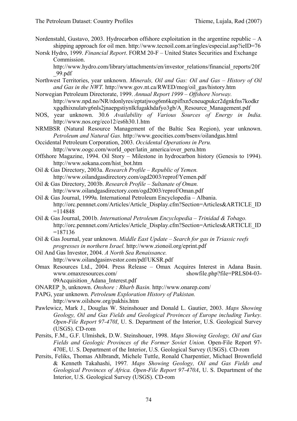- Nordenstahl, Gustavo, 2003. Hydrocarbon offshore exploitation in the argentine republic  $-A$ shipping approach for oil men. http://www.tecnoil.com.ar/ingles/especial.asp?ieID=76
- Norsk Hydro, 1999. *Financial Report*. FORM 20-F United States Securities and Exchange Commission.

http://www.hydro.com/library/attachments/en/investor\_relations/financial\_reports/20f \_99.pdf

- Northwest Territories, year unknown. *Minerals, Oil and Gas: Oil and Gas History of Oil and Gas in the NWT.* http://www.gov.nt.ca/RWED/mog/oil\_gas/history.htm
- Norwegian Petroleum Directorate, 1999. *Annual Report 1999 Offshore Norway.* http://www.npd.no/NR/rdonlyres/eptatjwog6m6kepiflxn5cneuqpukcr2dgnkfns7kodkr xgqdhixnulatvg6nls2jnaepgstiynlkfugakhdafyo3gb/A\_Resource\_Management.pdf
- NOS, year unknown. 30.6 *Availability of Various Sources of Energy in India.*  http://www.nos.org/eco12/es6h30.1.htm
- NRMBSR (Natural Resource Management of the Baltic Sea Region), year unknown. *Petroleum and Natural Gas.* http://www.geocities.com/bsenv/oilandgas.html
- Occidental Petroleum Corporation, 2003. *Occidental Operations in Peru.*  http://www.oogc.com/world\_oper/latin\_america/over\_peru.htm
- Offshore Magazine, 1994. Oil Story Milestone in hydrocarbon history (Genesis to 1994). http://www.sokana.com/hist\_bot.htm
- Oil & Gas Directory, 2003a. *Research Profile Republic of Yemen.*  http://www.oilandgasdirectory.com/ogd2003/reprof/Yemen.pdf
- Oil & Gas Directory, 2003b. *Research Profile Sultanate of Oman.* http://www.oilandgasdirectory.com/ogd2003/reprof/Oman.pdf
- Oil & Gas Journal, 1999a. International Petroleum Encyclopedia Albania. http://orc.pennnet.com/Articles/Article\_Display.cfm?Section=Articles&ARTICLE\_ID  $=114848$
- Oil & Gas Journal, 2001b. *International Petroleum Encyclopedia Trinidad & Tobago.* http://orc.pennnet.com/Articles/Article\_Display.cfm?Section=Articles&ARTICLE\_ID =187136
- Oil & Gas Journal, year unknown. *Middle East Update Search for gas in Triassic reefs progresses in northern Israel.* http://www.zionoil.org/eprint.pdf
- Oil And Gas Investor, 2004. *A North Sea Renaissance.*  http://www.oilandgasinvestor.com/pdf/UKSR.pdf
- Omax Resources Ltd., 2004. Press Release Omax Acquires Interest in Adana Basin. www.omaxresources.com/ showfile.php?file=PRLS04-03- 09Acquisition\_Adana\_Interest.pdf
- ONAREP\_b, unknown. *Onshore : Rharb Basin.* http://www.onarep.com/
- PAPG, year unknown. *Petroleum Exploration History of Pakistan.*  http://www.oilshow.org/pakhis.htm
- Pawlewicz, Mark J., Douglas W. Steinshouer and Donald L. Gautier, 2003. *Maps Showing Geology, Oil and Gas Fields and Geological Provinces of Europe including Turkey. Open-File Report 97-470I*, U. S. Department of the Interior, U.S. Geological Survey (USGS). CD-rom
- Persits, F.M., G.F. Ulmishek, D.W. Steinshouer, 1998. *Maps Showing Geology, Oil and Gas Fields and Geologic Provinces of the Former Soviet Union.* Open-File Report 97- 470E, U. S. Department of the Interior, U.S. Geological Survey (USGS). CD-rom
- Persits, Feliks, Thomas Ahlbrandt, Michele Tuttle, Ronald Charpentier, Michael Brownfield & Kenneth Takahashi, 1997*. Maps Showing Geology, Oil and Gas Fields and Geological Provinces of Africa. Open-File Report 97-470A*, U. S. Department of the Interior, U.S. Geological Survey (USGS). CD-rom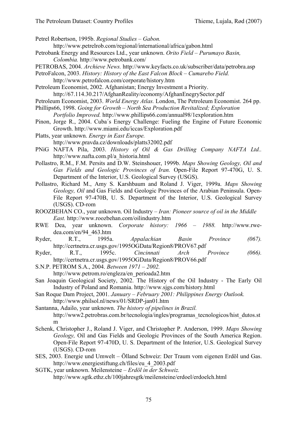Petrel Robertson, 1995b. *Regional Studies – Gabon.* 

http://www.petrelrob.com/regional/international/africa/gabon.html

- Petrobank Energy and Resources Ltd., year unknown. *Orito Field Purumayo Basin, Colombia.* http://www.petrobank.com/
- PETROBAS, 2004. *Archieve News.* http://www.keyfacts.co.uk/subscriber/data/petrobra.asp

PetroFalcon, 2003. *History: History of the East Falcon Block – Cumarebo Field.*  http://www.petrofalcon.com/corporate/history.htm

- Petroleum Economist, 2002. Afghanistan; Energy Investment a Priority. http://67.114.30.217/AfghanReality/economy/AfghanEnegrySector.pdf
- Petroleum Economist, 2003. *World Energy Atlas.* London, The Petroleum Economist. 264 pp.
- Phillips66, 1998. *Going for Growth North Sea Production Revitalized; Exploration Portfolio Improved.* http://www.phillips66.com/annual98/1exploration.htm
- Pinon, Jorge R., 2004. Cuba´s Energy Challenge: Fueling the Engine of Future Economic Growth. http://www.miami.edu/iccas/Exploration.pdf
- Platts, year unknown. *Energy in East Europe.*
- http://www.pravda.cz/downloads/platts32002.pdf
- PNiG NAFTA Pila, 2003. *History of Oil & Gas Drilling Company NAFTA Ltd..* http://www.nafta.com.pl/a\_historia.html
- Pollastro, R.M., F.M. Persits and D.W. Steinshouer, 1999b. *Maps Showing Geology, Oil and Gas Fields and Geologic Provinces of Iran.* Open-File Report 97-470G, U. S. Department of the Interior, U.S. Geological Survey (USGS).
- Pollastro, Richard M., Amy S. Karshbaum and Roland J. Viger, 1999a. *Maps Showing Geology, Oil* and Gas Fields and Geologic Provinces of the Arabian Peninsula. Open-File Report 97-470B, U. S. Department of the Interior, U.S. Geological Survey (USGS). CD-rom
- ROOZBEHAN CO., year unknown. Oil Industry *Iran: Pioneer source of oil in the Middle East.* http://www.roozbehan.com/oilindustry.htm
- RWE Dea, year unknown. *Corporate history: 1966 1988.* http://www.rwedea.com/en/94\_463.htm
- Ryder, R.T., 1995a. *Appalachian Basin Province (067).* http://certnetra.cr.usgs.gov/1995OGData/Region8/PROV67.pdf
- Ryder, R.T., 1995c. *Cincinnati Arch Province (066).*  http://certnetra.cr.usgs.gov/1995OGData/Region8/PROV66.pdf
- S.N.P. PETROM S.A., 2004. *Between 1971 2002.*  http://www.petrom.ro/engleza/en\_perioada2.htm
- San Joaquin Geological Society, 2002. The History of the Oil Industry The Early Oil Industry of Poland and Romania. http://www.sjgs.com/history.html
- San Roque Dam Project, 2001. *January February 2001: Philippines Energy Outlook.*  http://www.philsol.nl/news/01/SRDP-jan01.htm
- Santanna, Adailo, year unknown. *The history of pipelines in Brazil.*  http://www2.petrobras.com.br/tecnologia/ingles/programas\_tecnologicos/hist\_dutos.st m
- Schenk, Christopher J., Roland J. Viger, and Christopher P. Anderson, 1999. *Maps Showing Geology,* Oil and Gas Fields and Geologic Provinces of the South America Region. Open-File Report 97-470D, U. S. Department of the Interior, U.S. Geological Survey (USGS). CD-rom
- SES, 2003. Energie und Umwelt Ölland Schweiz: Der Traum vom eigenen Erdöl und Gas. http://www.energiestiftung.ch/files/eu\_4\_2003.pdf
- SGTK, year unknown. Meilensteine *Erdöl in der Schweiz.*  http://www.sgtk.ethz.ch/100jahresgtk/meilensteine/erdoel/erdoelch.html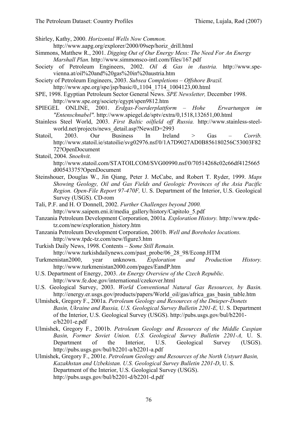Shirley, Kathy, 2000. *Horizontal Wells Now Common.*

http://www.aapg.org/explorer/2000/09sep/horiz\_drill.html

- Simmons, Matthew R., 2001. *Digging Out of Our Energy Mess: The Need For An Energy Marshall Plan.* http://www.simmonsco-intl.com/files/167.pdf
- Society of Petroleum Engineers, 2002. *Oil & Gas in Austria.* http://www.spevienna.at/oil%20and%20gas%20in%20austria.htm

Society of Petroleum Engineers, 2003. *Subsea Completions – Offshore Brazil.*  http://www.spe.org/spe/jsp/basic/0,,1104\_1714\_1004123,00.html

- SPE, 1998. Egyptian Petroleum Sector General News. *SPE Newsletter,* December 1998. http://www.spe.org/society/egypt/spen9812.htm
- SPIEGEL ONLINE, 2001. *Erdgas-Foerderplattform Hohe Erwartungen im "Entenschnabel".* http://www.spiegel.de/sptv/extra/0,1518,132651,00.html
- Stainless Steel World, 2003. *First Baltic oilfield off Russia.* http://www.stainless-steelworld.net/projects/news\_detail.asp?NewsID=2993
- Statoil, 2003. Our Business In Ireland > Gas *Corrib.* http://www.statoil.ie/statoilie/svg02976.nsf/0/1A7D9027AD0B856180256C53003F82 72?OpenDocument
- Statoil, 2004. *Snoehvit.* http://www.statoil.com/STATOILCOM/SVG00990.nsf/0/70514268c02c66df4125665 d00543375?OpenDocument
- Steinshouer, Douglas W., Jin Qiang, Peter J. McCabe, and Robert T. Ryder, 1999. *Maps Showing Geology, Oil and Gas Fields and Geologic Provinces of the Asia Pacific Region. Open-File Report 97-470F,* U. S. Department of the Interior, U.S. Geological Survey (USGS). CD-rom
- Tali, P.F. and H. O´Donnell, 2002. *Further Challenges beyond 2000.* http://www.saipem.eni.it/media\_gallery/history/Capitolo\_5.pdf
- Tanzania Petroleum Development Corporation, 2001a*. Exploration History.* http://www.tpdctz.com/new/exploration\_history.htm
- Tanzania Petroleum Development Corporation, 2001b. *Well and Boreholes locations.*  http://www.tpdc-tz.com/new/figure3.htm
- Turkish Daily News, 1998. Contents *Some Still Remain.* http://www.turkishdailynews.com/past\_probe/06\_28\_98/Econp.HTM
- Turkmenistan2000, year unknown. *Exploration and Production History.*  http://www.turkmenistan2000.com/pages/EandP.htm
- U.S. Department of Energy, 2003. *An Energy Overview of the Czech Republic.* http://www.fe.doe.gov/international/czekover.html
- U.S. Geological Survey, 2003. *World Conventional Natural Gas Resources, by Basin.*  http://energy.er.usgs.gov/products/papers/World\_oil/gas/africa\_gas\_basin\_table.htm
- Ulmishek, Gregory F., 2001a. *Petroleum Geology and Resources of the Dnieper-Donets Basin, Ukraine and Russia, U.S. Geological Survey Bulletin 2201-E,* U. S. Department of the Interior, U.S. Geological Survey (USGS). http://pubs.usgs.gov/bul/b2201 e/b2201-e.pdf
- Ulmishek, Gregory F., 2001b. *Petroleum Geology and Resources of the Middle Caspian Basin, Former Soviet Union. U.S. Geological Survey Bulletin 2201-A,* U. S. Department of the Interior, U.S. Geological Survey (USGS). http://pubs.usgs.gov/bul/b2201-a/b2201-a.pdf
- Ulmishek, Gregory F., 2001e. *Petroleum Geology and Resources of the North Ustyurt Basin, Kazakhstan and Uzbekistan. U.S. Geological Survey Bulletin 2201-D*, U. S. Department of the Interior, U.S. Geological Survey (USGS). http://pubs.usgs.gov/bul/b2201-d/b2201-d.pdf